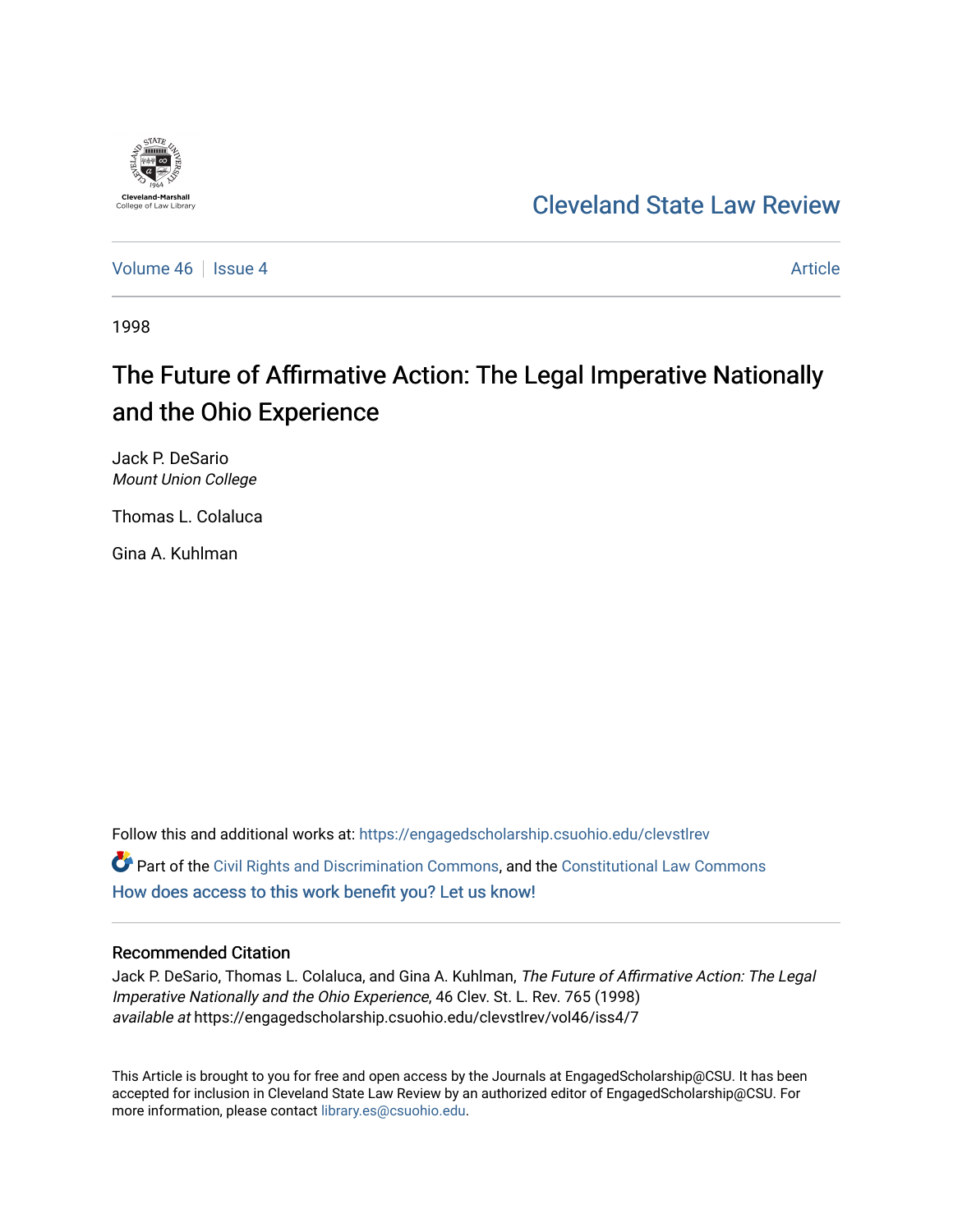

## [Cleveland State Law Review](https://engagedscholarship.csuohio.edu/clevstlrev)

[Volume 46](https://engagedscholarship.csuohio.edu/clevstlrev/vol46) Session 4 [Article](https://engagedscholarship.csuohio.edu/clevstlrev/vol46/iss4/7) 3 Article 3 Article

1998

# The Future of Affirmative Action: The Legal Imperative Nationally and the Ohio Experience

Jack P. DeSario Mount Union College

Thomas L. Colaluca

Gina A. Kuhlman

Follow this and additional works at: [https://engagedscholarship.csuohio.edu/clevstlrev](https://engagedscholarship.csuohio.edu/clevstlrev?utm_source=engagedscholarship.csuohio.edu%2Fclevstlrev%2Fvol46%2Fiss4%2F7&utm_medium=PDF&utm_campaign=PDFCoverPages)  $\bullet$  Part of the [Civil Rights and Discrimination Commons,](http://network.bepress.com/hgg/discipline/585?utm_source=engagedscholarship.csuohio.edu%2Fclevstlrev%2Fvol46%2Fiss4%2F7&utm_medium=PDF&utm_campaign=PDFCoverPages) and the [Constitutional Law Commons](http://network.bepress.com/hgg/discipline/589?utm_source=engagedscholarship.csuohio.edu%2Fclevstlrev%2Fvol46%2Fiss4%2F7&utm_medium=PDF&utm_campaign=PDFCoverPages) [How does access to this work benefit you? Let us know!](http://library.csuohio.edu/engaged/)

### Recommended Citation

Jack P. DeSario, Thomas L. Colaluca, and Gina A. Kuhlman, The Future of Affirmative Action: The Legal Imperative Nationally and the Ohio Experience, 46 Clev. St. L. Rev. 765 (1998) available at https://engagedscholarship.csuohio.edu/clevstlrev/vol46/iss4/7

This Article is brought to you for free and open access by the Journals at EngagedScholarship@CSU. It has been accepted for inclusion in Cleveland State Law Review by an authorized editor of EngagedScholarship@CSU. For more information, please contact [library.es@csuohio.edu](mailto:library.es@csuohio.edu).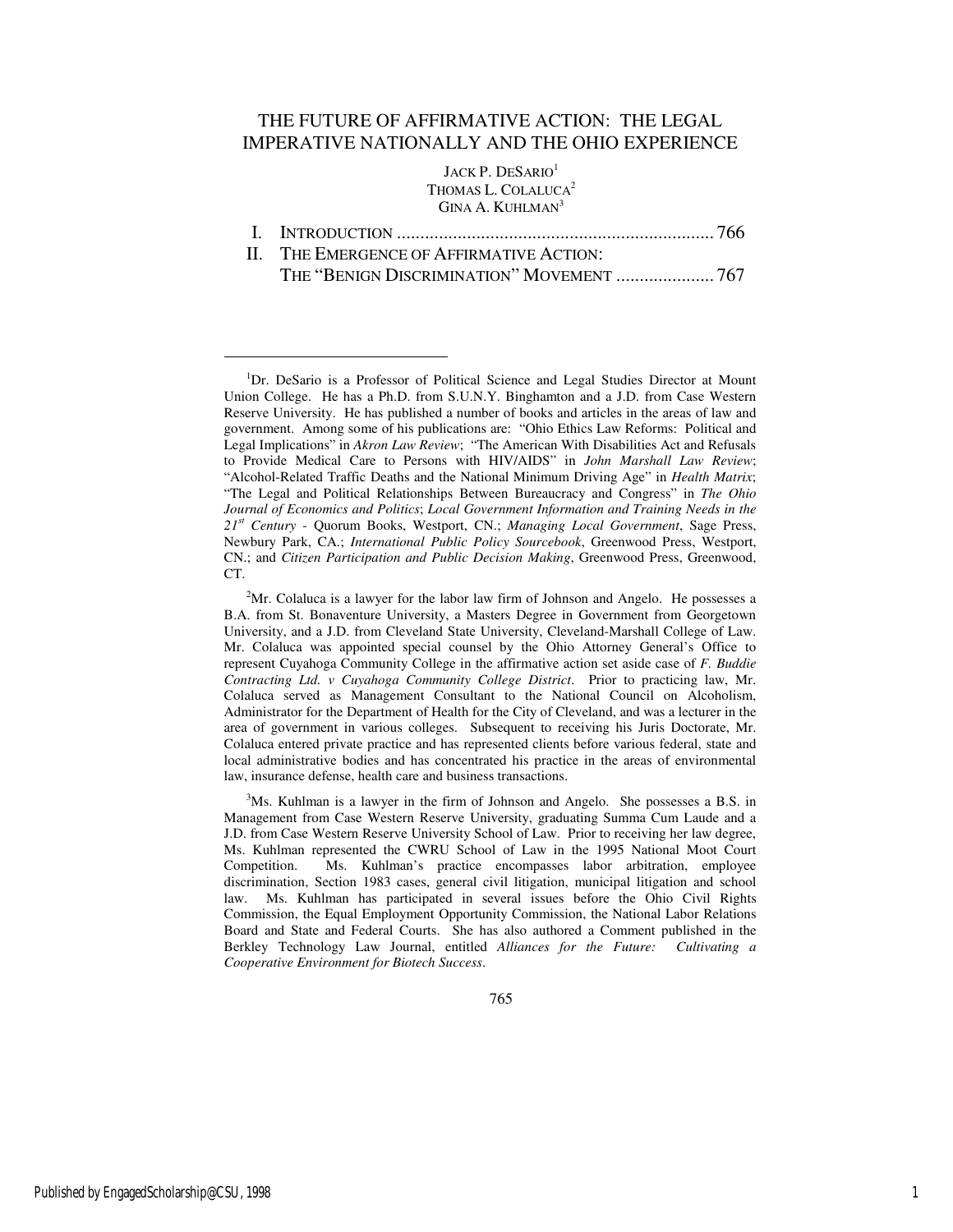## THE FUTURE OF AFFIRMATIVE ACTION: THE LEGAL IMPERATIVE NATIONALLY AND THE OHIO EXPERIENCE

JACK P. DESARIO<sup>1</sup> THOMAS L. COLALUCA<sup>2</sup> GINA A. KUHLMAN<sup>3</sup>

|--|--|--|

II. THE EMERGENCE OF AFFIRMATIVE ACTION: THE "BENIGN DISCRIMINATION" MOVEMENT ..................... 767

<sup>&</sup>lt;sup>1</sup>Dr. DeSario is a Professor of Political Science and Legal Studies Director at Mount Union College. He has a Ph.D. from S.U.N.Y. Binghamton and a J.D. from Case Western Reserve University. He has published a number of books and articles in the areas of law and government. Among some of his publications are: "Ohio Ethics Law Reforms: Political and Legal Implications" in *Akron Law Review*; "The American With Disabilities Act and Refusals to Provide Medical Care to Persons with HIV/AIDS" in *John Marshall Law Review*; "Alcohol-Related Traffic Deaths and the National Minimum Driving Age" in *Health Matrix*; "The Legal and Political Relationships Between Bureaucracy and Congress" in *The Ohio Journal of Economics and Politics*; *Local Government Information and Training Needs in the 21st Century* - Quorum Books, Westport, CN.; *Managing Local Government*, Sage Press, Newbury Park, CA.; *International Public Policy Sourcebook*, Greenwood Press, Westport, CN.; and *Citizen Participation and Public Decision Making*, Greenwood Press, Greenwood, CT.

 ${}^{2}$ Mr. Colaluca is a lawyer for the labor law firm of Johnson and Angelo. He possesses a B.A. from St. Bonaventure University, a Masters Degree in Government from Georgetown University, and a J.D. from Cleveland State University, Cleveland-Marshall College of Law. Mr. Colaluca was appointed special counsel by the Ohio Attorney General's Office to represent Cuyahoga Community College in the affirmative action set aside case of *F. Buddie Contracting Ltd. v Cuyahoga Community College District*. Prior to practicing law, Mr. Colaluca served as Management Consultant to the National Council on Alcoholism, Administrator for the Department of Health for the City of Cleveland, and was a lecturer in the area of government in various colleges. Subsequent to receiving his Juris Doctorate, Mr. Colaluca entered private practice and has represented clients before various federal, state and local administrative bodies and has concentrated his practice in the areas of environmental law, insurance defense, health care and business transactions.

<sup>3</sup>Ms. Kuhlman is a lawyer in the firm of Johnson and Angelo. She possesses a B.S. in Management from Case Western Reserve University, graduating Summa Cum Laude and a J.D. from Case Western Reserve University School of Law. Prior to receiving her law degree, Ms. Kuhlman represented the CWRU School of Law in the 1995 National Moot Court Competition. Ms. Kuhlman's practice encompasses labor arbitration, employee discrimination, Section 1983 cases, general civil litigation, municipal litigation and school law. Ms. Kuhlman has participated in several issues before the Ohio Civil Rights Commission, the Equal Employment Opportunity Commission, the National Labor Relations Board and State and Federal Courts. She has also authored a Comment published in the Berkley Technology Law Journal, entitled *Alliances for the Future: Cultivating a Cooperative Environment for Biotech Success*.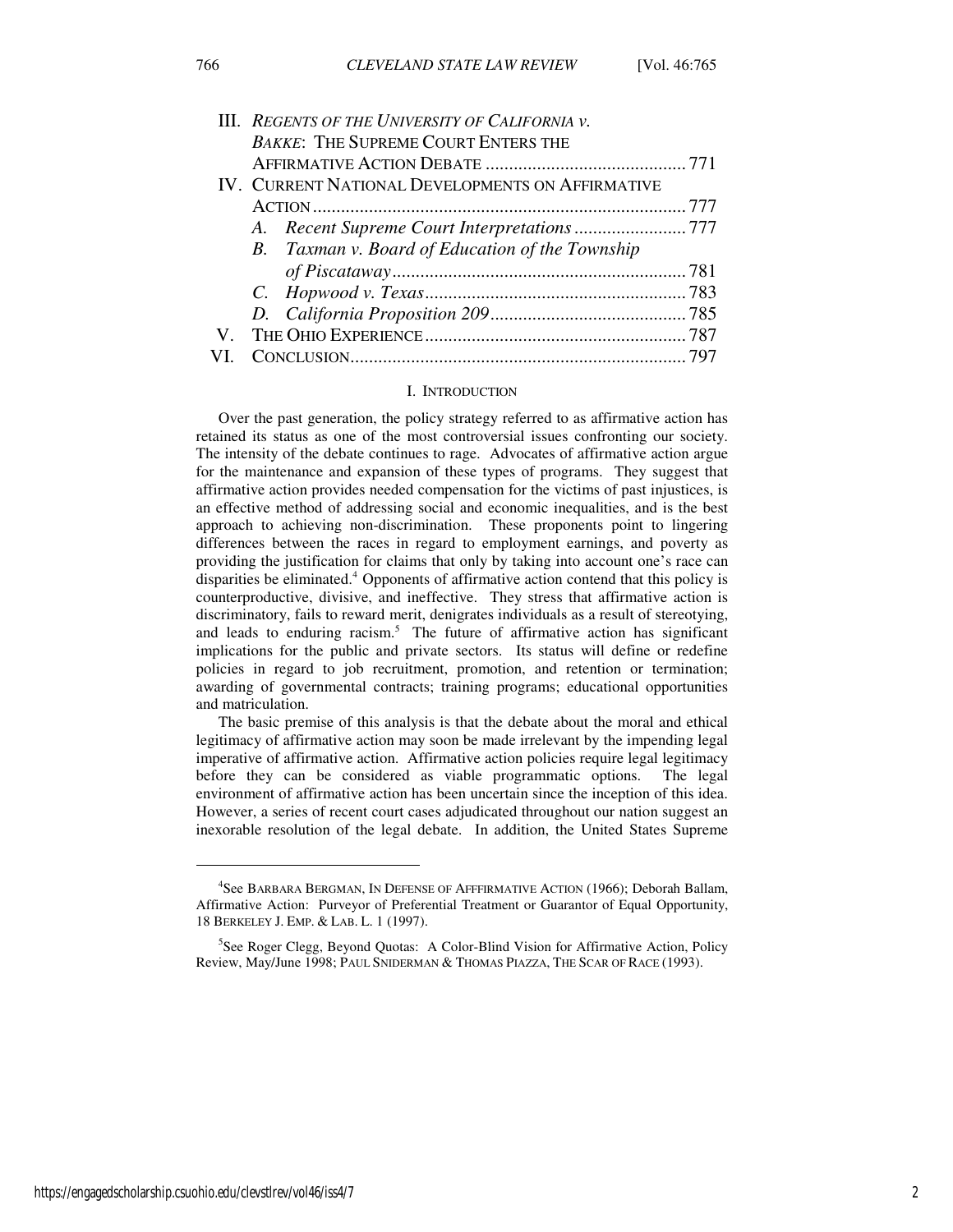|    | III. REGENTS OF THE UNIVERSITY OF CALIFORNIA V.  |  |
|----|--------------------------------------------------|--|
|    | <b>BAKKE: THE SUPREME COURT ENTERS THE</b>       |  |
|    |                                                  |  |
|    | IV. CURRENT NATIONAL DEVELOPMENTS ON AFFIRMATIVE |  |
|    |                                                  |  |
|    |                                                  |  |
|    | B. Taxman v. Board of Education of the Township  |  |
|    |                                                  |  |
|    |                                                  |  |
|    |                                                  |  |
| V. |                                                  |  |
|    |                                                  |  |

#### I. INTRODUCTION

Over the past generation, the policy strategy referred to as affirmative action has retained its status as one of the most controversial issues confronting our society. The intensity of the debate continues to rage. Advocates of affirmative action argue for the maintenance and expansion of these types of programs. They suggest that affirmative action provides needed compensation for the victims of past injustices, is an effective method of addressing social and economic inequalities, and is the best approach to achieving non-discrimination. These proponents point to lingering differences between the races in regard to employment earnings, and poverty as providing the justification for claims that only by taking into account one's race can disparities be eliminated.<sup>4</sup> Opponents of affirmative action contend that this policy is counterproductive, divisive, and ineffective. They stress that affirmative action is discriminatory, fails to reward merit, denigrates individuals as a result of stereotying, and leads to enduring racism.<sup>5</sup> The future of affirmative action has significant implications for the public and private sectors. Its status will define or redefine policies in regard to job recruitment, promotion, and retention or termination; awarding of governmental contracts; training programs; educational opportunities and matriculation.

The basic premise of this analysis is that the debate about the moral and ethical legitimacy of affirmative action may soon be made irrelevant by the impending legal imperative of affirmative action. Affirmative action policies require legal legitimacy before they can be considered as viable programmatic options. The legal environment of affirmative action has been uncertain since the inception of this idea. However, a series of recent court cases adjudicated throughout our nation suggest an inexorable resolution of the legal debate. In addition, the United States Supreme

<sup>&</sup>lt;sup>4</sup>See BARBARA BERGMAN, IN DEFENSE OF AFFFIRMATIVE ACTION (1966); Deborah Ballam, Affirmative Action: Purveyor of Preferential Treatment or Guarantor of Equal Opportunity, 18 BERKELEY J. EMP. & LAB. L. 1 (1997).

<sup>&</sup>lt;sup>5</sup>See Roger Clegg, Beyond Quotas: A Color-Blind Vision for Affirmative Action, Policy Review, May/June 1998; PAUL SNIDERMAN & THOMAS PIAZZA, THE SCAR OF RACE (1993).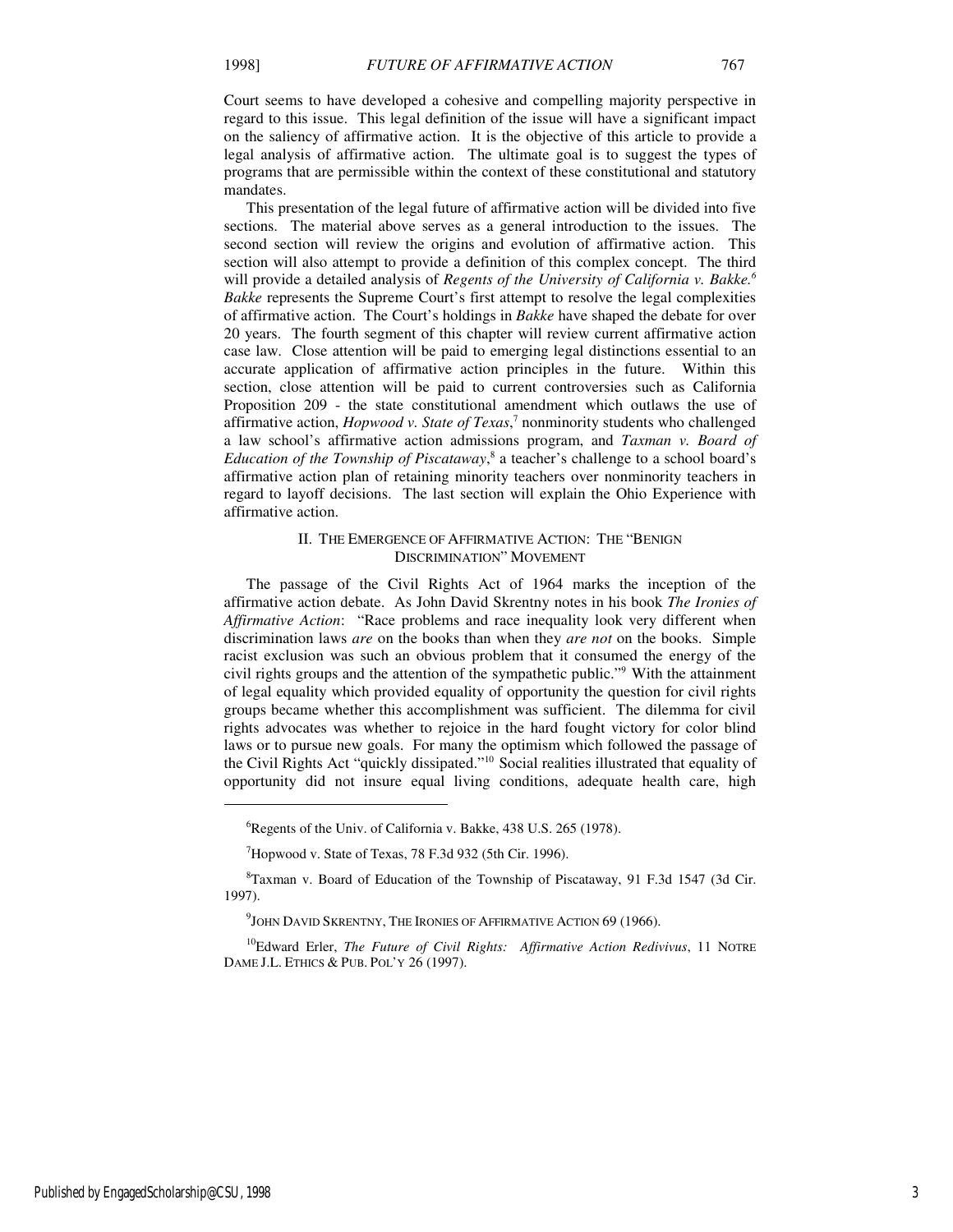Court seems to have developed a cohesive and compelling majority perspective in regard to this issue. This legal definition of the issue will have a significant impact on the saliency of affirmative action. It is the objective of this article to provide a legal analysis of affirmative action. The ultimate goal is to suggest the types of programs that are permissible within the context of these constitutional and statutory mandates.

This presentation of the legal future of affirmative action will be divided into five sections. The material above serves as a general introduction to the issues. The second section will review the origins and evolution of affirmative action. This section will also attempt to provide a definition of this complex concept. The third will provide a detailed analysis of *Regents of the University of California v. Bakke.<sup>6</sup> Bakke* represents the Supreme Court's first attempt to resolve the legal complexities of affirmative action. The Court's holdings in *Bakke* have shaped the debate for over 20 years. The fourth segment of this chapter will review current affirmative action case law. Close attention will be paid to emerging legal distinctions essential to an accurate application of affirmative action principles in the future. Within this section, close attention will be paid to current controversies such as California Proposition 209 - the state constitutional amendment which outlaws the use of affirmative action, *Hopwood v. State of Texas*, 7 nonminority students who challenged a law school's affirmative action admissions program, and *Taxman v. Board of*  Education of the Township of Piscataway,<sup>8</sup> a teacher's challenge to a school board's affirmative action plan of retaining minority teachers over nonminority teachers in regard to layoff decisions. The last section will explain the Ohio Experience with affirmative action.

#### II. THE EMERGENCE OF AFFIRMATIVE ACTION: THE "BENIGN DISCRIMINATION" MOVEMENT

The passage of the Civil Rights Act of 1964 marks the inception of the affirmative action debate. As John David Skrentny notes in his book *The Ironies of Affirmative Action*: "Race problems and race inequality look very different when discrimination laws *are* on the books than when they *are not* on the books. Simple racist exclusion was such an obvious problem that it consumed the energy of the civil rights groups and the attention of the sympathetic public."<sup>9</sup> With the attainment of legal equality which provided equality of opportunity the question for civil rights groups became whether this accomplishment was sufficient. The dilemma for civil rights advocates was whether to rejoice in the hard fought victory for color blind laws or to pursue new goals. For many the optimism which followed the passage of the Civil Rights Act "quickly dissipated."<sup>10</sup> Social realities illustrated that equality of opportunity did not insure equal living conditions, adequate health care, high

<sup>&</sup>lt;sup>6</sup>Regents of the Univ. of California v. Bakke, 438 U.S. 265 (1978).

 $7$ Hopwood v. State of Texas, 78 F.3d 932 (5th Cir. 1996).

<sup>&</sup>lt;sup>8</sup>Taxman v. Board of Education of the Township of Piscataway, 91 F.3d 1547 (3d Cir. 1997).

 $^{9}$ John David Skrentny, The Ironies of Affirmative Action 69 (1966).

<sup>&</sup>lt;sup>10</sup>Edward Erler, *The Future of Civil Rights: Affirmative Action Redivivus*, 11 NOTRE DAME J.L. ETHICS & PUB. POL'Y 26 (1997).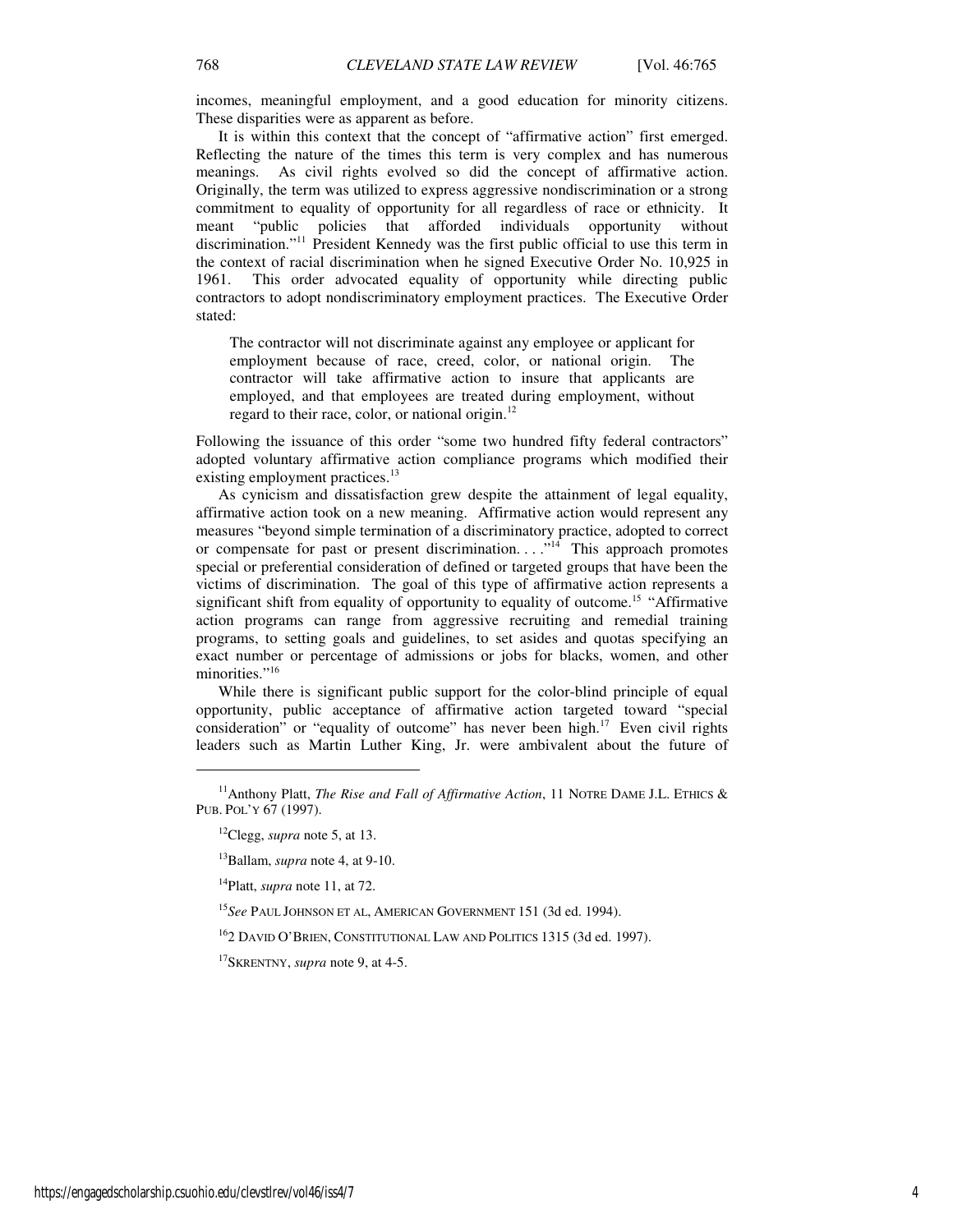incomes, meaningful employment, and a good education for minority citizens. These disparities were as apparent as before.

It is within this context that the concept of "affirmative action" first emerged. Reflecting the nature of the times this term is very complex and has numerous meanings. As civil rights evolved so did the concept of affirmative action. Originally, the term was utilized to express aggressive nondiscrimination or a strong commitment to equality of opportunity for all regardless of race or ethnicity. It meant "public policies that afforded individuals opportunity without discrimination."<sup>11</sup> President Kennedy was the first public official to use this term in the context of racial discrimination when he signed Executive Order No. 10,925 in 1961. This order advocated equality of opportunity while directing public contractors to adopt nondiscriminatory employment practices. The Executive Order stated:

The contractor will not discriminate against any employee or applicant for employment because of race, creed, color, or national origin. The contractor will take affirmative action to insure that applicants are employed, and that employees are treated during employment, without regard to their race, color, or national origin. $^{12}$ 

Following the issuance of this order "some two hundred fifty federal contractors" adopted voluntary affirmative action compliance programs which modified their existing employment practices.<sup>13</sup>

As cynicism and dissatisfaction grew despite the attainment of legal equality, affirmative action took on a new meaning. Affirmative action would represent any measures "beyond simple termination of a discriminatory practice, adopted to correct or compensate for past or present discrimination.  $\ldots$ <sup>14</sup> This approach promotes special or preferential consideration of defined or targeted groups that have been the victims of discrimination. The goal of this type of affirmative action represents a significant shift from equality of opportunity to equality of outcome.<sup>15</sup> "Affirmative action programs can range from aggressive recruiting and remedial training programs, to setting goals and guidelines, to set asides and quotas specifying an exact number or percentage of admissions or jobs for blacks, women, and other minorities."<sup>16</sup>

While there is significant public support for the color-blind principle of equal opportunity, public acceptance of affirmative action targeted toward "special consideration" or "equality of outcome" has never been high. $17$  Even civil rights leaders such as Martin Luther King, Jr. were ambivalent about the future of

<sup>12</sup>Clegg, *supra* note 5, at 13.

<sup>13</sup>Ballam, *supra* note 4, at 9-10.

<sup>14</sup>Platt, *supra* note 11, at 72.

<sup>15</sup>*See* PAUL JOHNSON ET AL, AMERICAN GOVERNMENT 151 (3d ed. 1994).

 $^{16}$ 2 David O'Brien, Constitutional Law and Politics 1315 (3d ed. 1997).

<sup>17</sup>SKRENTNY, *supra* note 9, at 4-5.

<sup>&</sup>lt;sup>11</sup>Anthony Platt, *The Rise and Fall of Affirmative Action*, 11 NOTRE DAME J.L. ETHICS & PUB. POL'Y 67 (1997).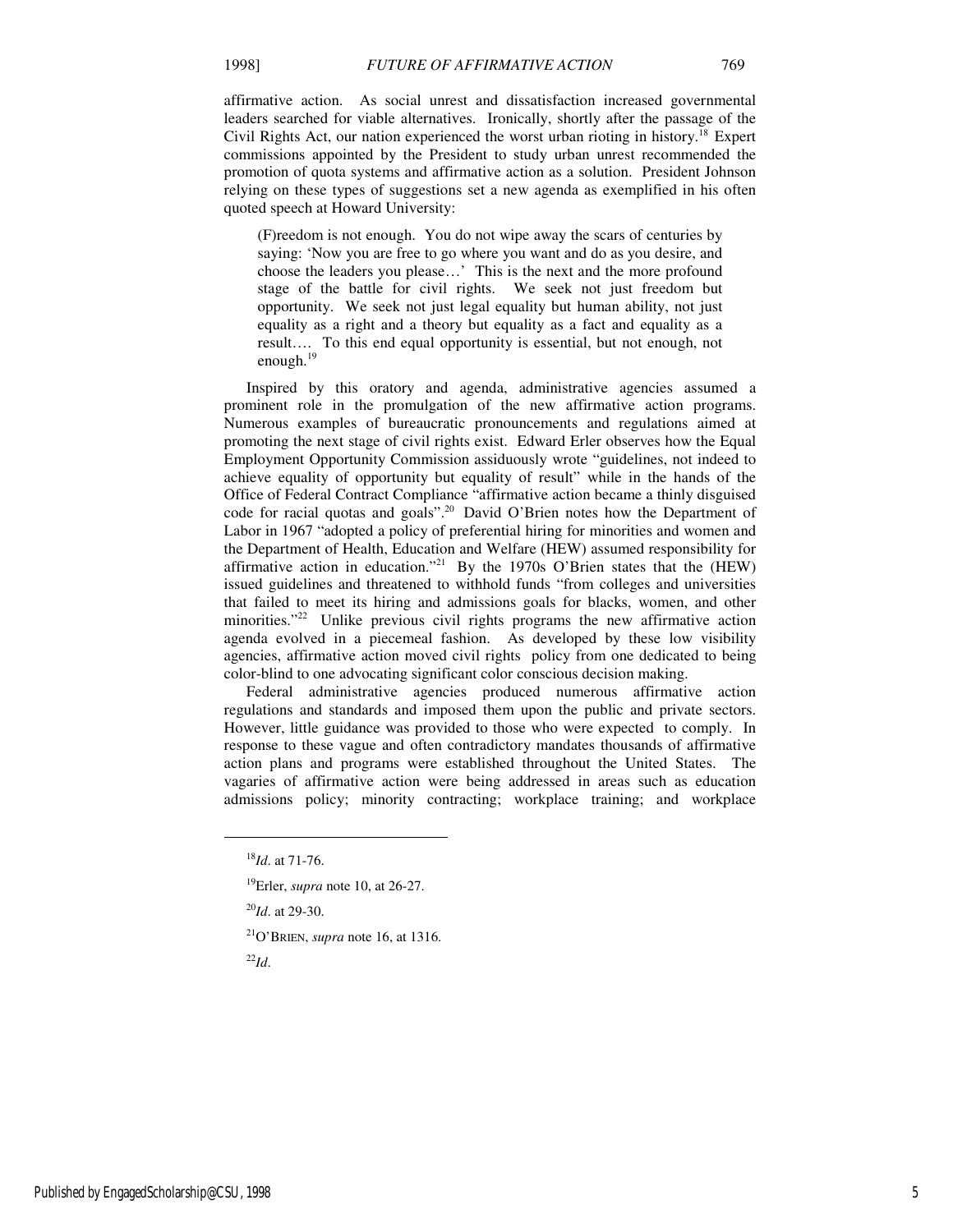affirmative action. As social unrest and dissatisfaction increased governmental leaders searched for viable alternatives. Ironically, shortly after the passage of the Civil Rights Act, our nation experienced the worst urban rioting in history.<sup>18</sup> Expert commissions appointed by the President to study urban unrest recommended the promotion of quota systems and affirmative action as a solution. President Johnson relying on these types of suggestions set a new agenda as exemplified in his often quoted speech at Howard University:

(F)reedom is not enough. You do not wipe away the scars of centuries by saying: 'Now you are free to go where you want and do as you desire, and choose the leaders you please…' This is the next and the more profound stage of the battle for civil rights. We seek not just freedom but opportunity. We seek not just legal equality but human ability, not just equality as a right and a theory but equality as a fact and equality as a result…. To this end equal opportunity is essential, but not enough, not enough.<sup>19</sup>

Inspired by this oratory and agenda, administrative agencies assumed a prominent role in the promulgation of the new affirmative action programs. Numerous examples of bureaucratic pronouncements and regulations aimed at promoting the next stage of civil rights exist. Edward Erler observes how the Equal Employment Opportunity Commission assiduously wrote "guidelines, not indeed to achieve equality of opportunity but equality of result" while in the hands of the Office of Federal Contract Compliance "affirmative action became a thinly disguised code for racial quotas and goals".<sup>20</sup> David O'Brien notes how the Department of Labor in 1967 "adopted a policy of preferential hiring for minorities and women and the Department of Health, Education and Welfare (HEW) assumed responsibility for affirmative action in education."<sup>21</sup> By the 1970s O'Brien states that the (HEW) issued guidelines and threatened to withhold funds "from colleges and universities that failed to meet its hiring and admissions goals for blacks, women, and other minorities. $^{22}$  Unlike previous civil rights programs the new affirmative action agenda evolved in a piecemeal fashion. As developed by these low visibility agencies, affirmative action moved civil rights policy from one dedicated to being color-blind to one advocating significant color conscious decision making.

Federal administrative agencies produced numerous affirmative action regulations and standards and imposed them upon the public and private sectors. However, little guidance was provided to those who were expected to comply. In response to these vague and often contradictory mandates thousands of affirmative action plans and programs were established throughout the United States. The vagaries of affirmative action were being addressed in areas such as education admissions policy; minority contracting; workplace training; and workplace

<sup>21</sup>O'BRIEN, *supra* note 16, at 1316.

<sup>22</sup>*Id*.

<sup>18</sup>*Id*. at 71-76.

<sup>19</sup>Erler, *supra* note 10, at 26-27.

<sup>20</sup>*Id*. at 29-30.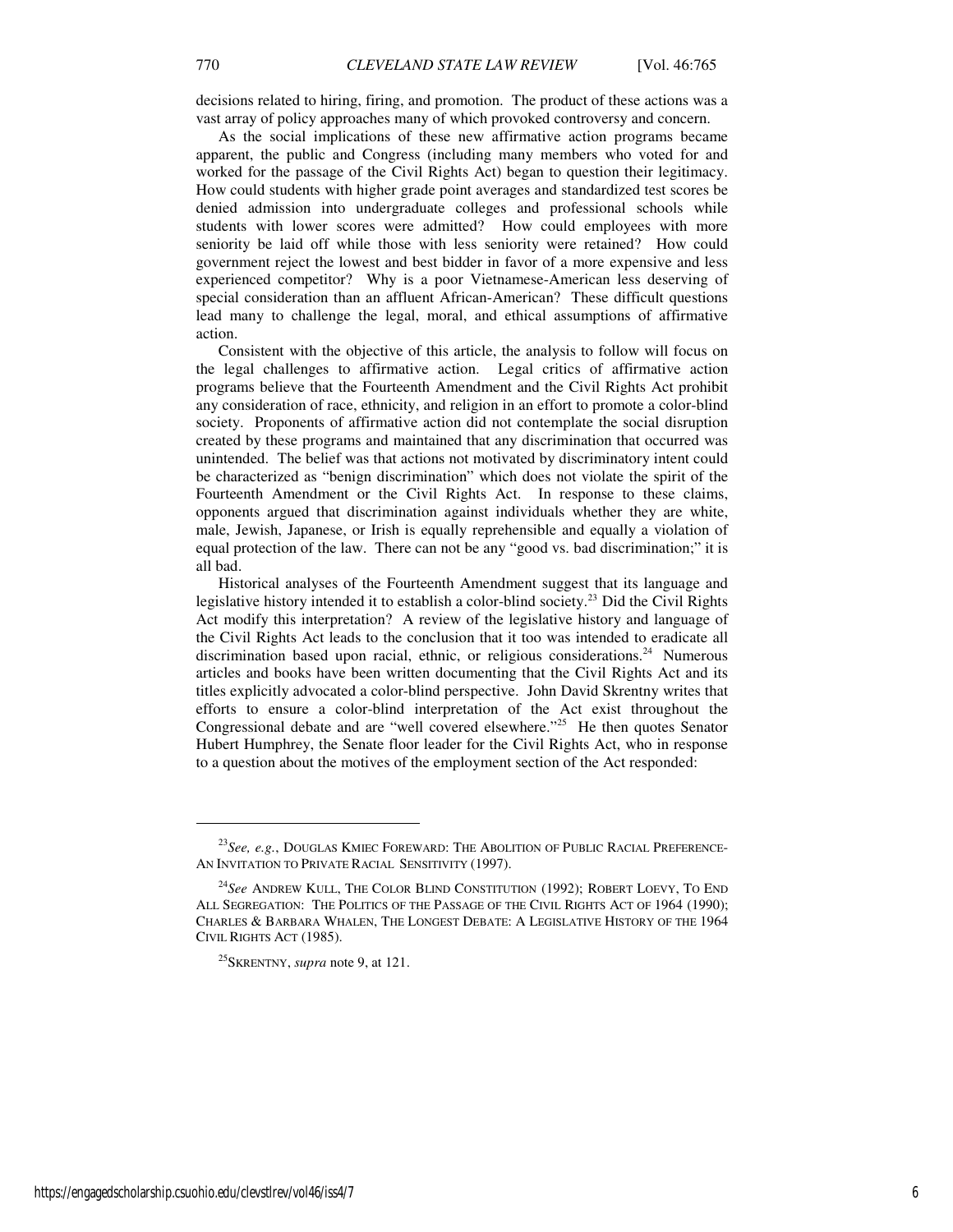decisions related to hiring, firing, and promotion. The product of these actions was a vast array of policy approaches many of which provoked controversy and concern.

As the social implications of these new affirmative action programs became apparent, the public and Congress (including many members who voted for and worked for the passage of the Civil Rights Act) began to question their legitimacy. How could students with higher grade point averages and standardized test scores be denied admission into undergraduate colleges and professional schools while students with lower scores were admitted? How could employees with more seniority be laid off while those with less seniority were retained? How could government reject the lowest and best bidder in favor of a more expensive and less experienced competitor? Why is a poor Vietnamese-American less deserving of special consideration than an affluent African-American? These difficult questions lead many to challenge the legal, moral, and ethical assumptions of affirmative action.

Consistent with the objective of this article, the analysis to follow will focus on the legal challenges to affirmative action. Legal critics of affirmative action programs believe that the Fourteenth Amendment and the Civil Rights Act prohibit any consideration of race, ethnicity, and religion in an effort to promote a color-blind society. Proponents of affirmative action did not contemplate the social disruption created by these programs and maintained that any discrimination that occurred was unintended. The belief was that actions not motivated by discriminatory intent could be characterized as "benign discrimination" which does not violate the spirit of the Fourteenth Amendment or the Civil Rights Act. In response to these claims, opponents argued that discrimination against individuals whether they are white, male, Jewish, Japanese, or Irish is equally reprehensible and equally a violation of equal protection of the law. There can not be any "good vs. bad discrimination;" it is all bad.

Historical analyses of the Fourteenth Amendment suggest that its language and legislative history intended it to establish a color-blind society.<sup>23</sup> Did the Civil Rights Act modify this interpretation? A review of the legislative history and language of the Civil Rights Act leads to the conclusion that it too was intended to eradicate all discrimination based upon racial, ethnic, or religious considerations.<sup>24</sup> Numerous articles and books have been written documenting that the Civil Rights Act and its titles explicitly advocated a color-blind perspective. John David Skrentny writes that efforts to ensure a color-blind interpretation of the Act exist throughout the Congressional debate and are "well covered elsewhere."<sup>25</sup> He then quotes Senator Hubert Humphrey, the Senate floor leader for the Civil Rights Act, who in response to a question about the motives of the employment section of the Act responded:

<sup>23</sup>*See, e.g.*, DOUGLAS KMIEC FOREWARD: THE ABOLITION OF PUBLIC RACIAL PREFERENCE-AN INVITATION TO PRIVATE RACIAL SENSITIVITY (1997).

<sup>24</sup>*See* ANDREW KULL, THE COLOR BLIND CONSTITUTION (1992); ROBERT LOEVY, TO END ALL SEGREGATION: THE POLITICS OF THE PASSAGE OF THE CIVIL RIGHTS ACT OF 1964 (1990); CHARLES & BARBARA WHALEN, THE LONGEST DEBATE: A LEGISLATIVE HISTORY OF THE 1964 CIVIL RIGHTS ACT (1985).

<sup>25</sup>SKRENTNY, *supra* note 9, at 121.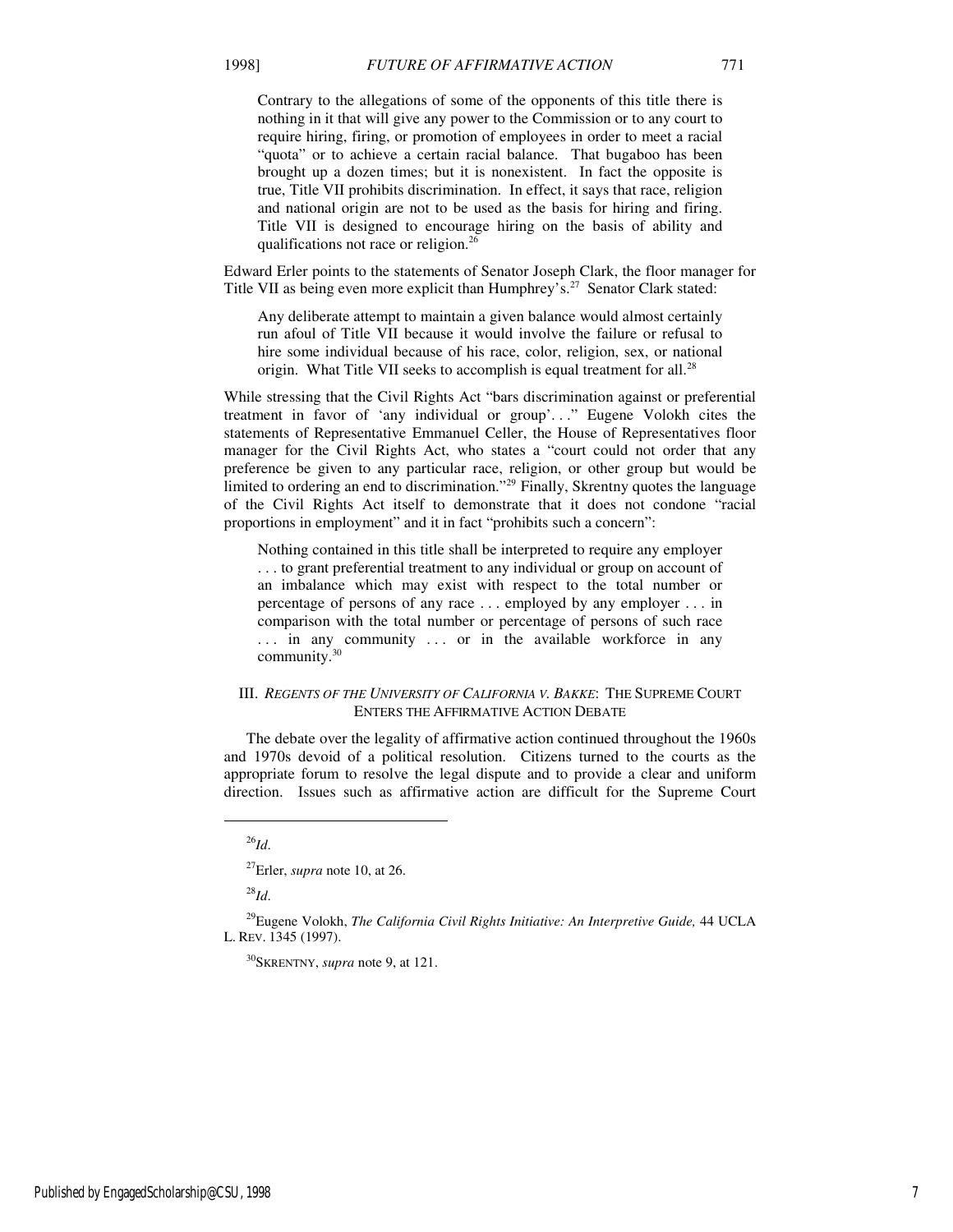Contrary to the allegations of some of the opponents of this title there is nothing in it that will give any power to the Commission or to any court to require hiring, firing, or promotion of employees in order to meet a racial "quota" or to achieve a certain racial balance. That bugaboo has been brought up a dozen times; but it is nonexistent. In fact the opposite is true, Title VII prohibits discrimination. In effect, it says that race, religion and national origin are not to be used as the basis for hiring and firing. Title VII is designed to encourage hiring on the basis of ability and qualifications not race or religion.<sup>26</sup>

Edward Erler points to the statements of Senator Joseph Clark, the floor manager for Title VII as being even more explicit than Humphrey's.<sup>27</sup> Senator Clark stated:

Any deliberate attempt to maintain a given balance would almost certainly run afoul of Title VII because it would involve the failure or refusal to hire some individual because of his race, color, religion, sex, or national origin. What Title VII seeks to accomplish is equal treatment for all.<sup>28</sup>

While stressing that the Civil Rights Act "bars discrimination against or preferential treatment in favor of 'any individual or group'. . ." Eugene Volokh cites the statements of Representative Emmanuel Celler, the House of Representatives floor manager for the Civil Rights Act, who states a "court could not order that any preference be given to any particular race, religion, or other group but would be limited to ordering an end to discrimination."<sup>29</sup> Finally, Skrentny quotes the language of the Civil Rights Act itself to demonstrate that it does not condone "racial proportions in employment" and it in fact "prohibits such a concern":

Nothing contained in this title shall be interpreted to require any employer . . . to grant preferential treatment to any individual or group on account of an imbalance which may exist with respect to the total number or percentage of persons of any race . . . employed by any employer . . . in comparison with the total number or percentage of persons of such race ... in any community ... or in the available workforce in any community.<sup>30</sup>

#### III. *REGENTS OF THE UNIVERSITY OF CALIFORNIA V. BAKKE*: THE SUPREME COURT ENTERS THE AFFIRMATIVE ACTION DEBATE

The debate over the legality of affirmative action continued throughout the 1960s and 1970s devoid of a political resolution. Citizens turned to the courts as the appropriate forum to resolve the legal dispute and to provide a clear and uniform direction. Issues such as affirmative action are difficult for the Supreme Court

j

<sup>30</sup>SKRENTNY, *supra* note 9, at 121.

<sup>26</sup>*Id*.

<sup>27</sup>Erler, *supra* note 10, at 26.

<sup>28</sup>*Id*.

<sup>29</sup>Eugene Volokh, *The California Civil Rights Initiative: An Interpretive Guide,* 44 UCLA L. REV. 1345 (1997).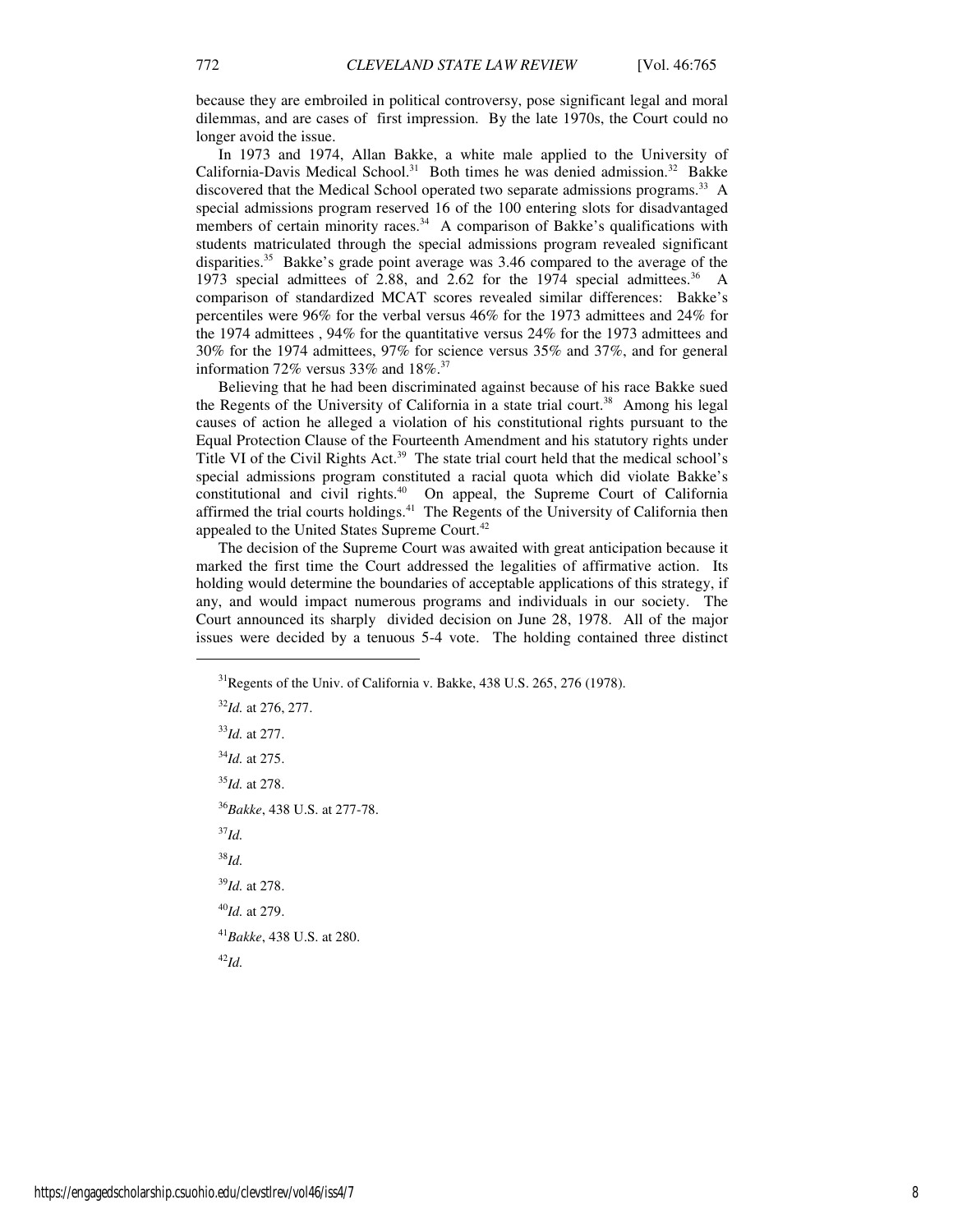because they are embroiled in political controversy, pose significant legal and moral dilemmas, and are cases of first impression. By the late 1970s, the Court could no longer avoid the issue.

In 1973 and 1974, Allan Bakke, a white male applied to the University of California-Davis Medical School.<sup>31</sup> Both times he was denied admission.<sup>32</sup> Bakke discovered that the Medical School operated two separate admissions programs.<sup>33</sup> A special admissions program reserved 16 of the 100 entering slots for disadvantaged members of certain minority races.<sup>34</sup> A comparison of Bakke's qualifications with students matriculated through the special admissions program revealed significant disparities.<sup>35</sup> Bakke's grade point average was  $3.46$  compared to the average of the 1973 special admittees of 2.88, and 2.62 for the 1974 special admittees.<sup>36</sup> A comparison of standardized MCAT scores revealed similar differences: Bakke's percentiles were 96% for the verbal versus 46% for the 1973 admittees and 24% for the 1974 admittees , 94% for the quantitative versus 24% for the 1973 admittees and 30% for the 1974 admittees, 97% for science versus 35% and 37%, and for general information 72% versus 33% and  $18\%.$ <sup>37</sup>

Believing that he had been discriminated against because of his race Bakke sued the Regents of the University of California in a state trial court.<sup>38</sup> Among his legal causes of action he alleged a violation of his constitutional rights pursuant to the Equal Protection Clause of the Fourteenth Amendment and his statutory rights under Title VI of the Civil Rights Act.<sup>39</sup> The state trial court held that the medical school's special admissions program constituted a racial quota which did violate Bakke's constitutional and civil rights.<sup>40</sup> On appeal, the Supreme Court of California affirmed the trial courts holdings.<sup>41</sup> The Regents of the University of California then appealed to the United States Supreme Court.<sup>42</sup>

The decision of the Supreme Court was awaited with great anticipation because it marked the first time the Court addressed the legalities of affirmative action. Its holding would determine the boundaries of acceptable applications of this strategy, if any, and would impact numerous programs and individuals in our society. The Court announced its sharply divided decision on June 28, 1978. All of the major issues were decided by a tenuous 5-4 vote. The holding contained three distinct

Regents of the Univ. of California v. Bakke, 438 U.S. 265, 276 (1978). *Id.* at 276, 277. *Id.* at 277. *Id.* at 275. *Id.* at 278. *Bakke*, 438 U.S. at 277-78. <sup>37</sup>*Id.*  <sup>38</sup>*Id. Id.* at 278. *Id.* at 279. *Bakke*, 438 U.S. at 280.

<sup>42</sup>*Id.*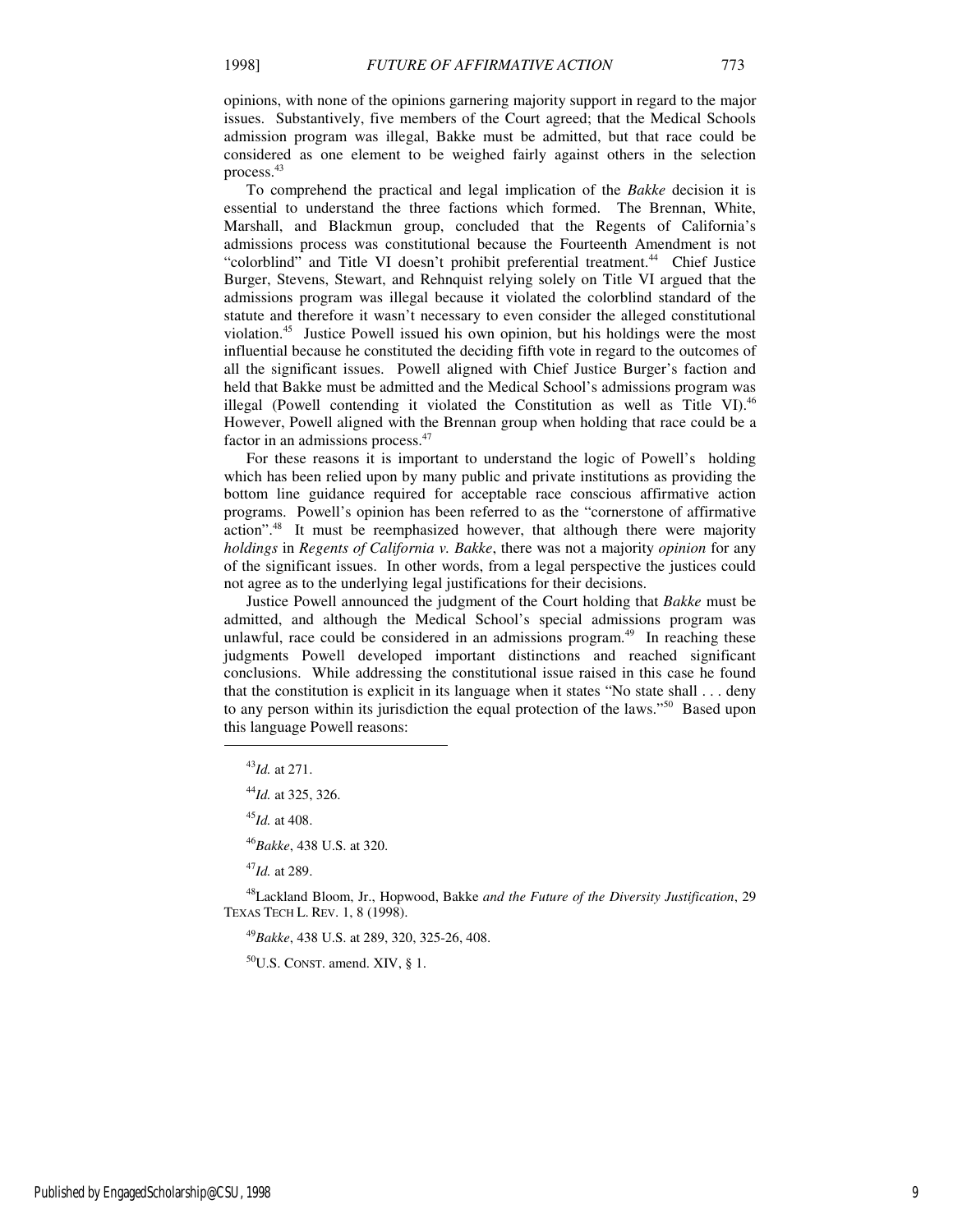opinions, with none of the opinions garnering majority support in regard to the major issues. Substantively, five members of the Court agreed; that the Medical Schools admission program was illegal, Bakke must be admitted, but that race could be considered as one element to be weighed fairly against others in the selection process.<sup>43</sup>

To comprehend the practical and legal implication of the *Bakke* decision it is essential to understand the three factions which formed. The Brennan, White, Marshall, and Blackmun group, concluded that the Regents of California's admissions process was constitutional because the Fourteenth Amendment is not "colorblind" and Title VI doesn't prohibit preferential treatment.<sup>44</sup> Chief Justice Burger, Stevens, Stewart, and Rehnquist relying solely on Title VI argued that the admissions program was illegal because it violated the colorblind standard of the statute and therefore it wasn't necessary to even consider the alleged constitutional violation.<sup>45</sup> Justice Powell issued his own opinion, but his holdings were the most influential because he constituted the deciding fifth vote in regard to the outcomes of all the significant issues. Powell aligned with Chief Justice Burger's faction and held that Bakke must be admitted and the Medical School's admissions program was illegal (Powell contending it violated the Constitution as well as Title VI). $46$ However, Powell aligned with the Brennan group when holding that race could be a factor in an admissions process.<sup>47</sup>

For these reasons it is important to understand the logic of Powell's holding which has been relied upon by many public and private institutions as providing the bottom line guidance required for acceptable race conscious affirmative action programs. Powell's opinion has been referred to as the "cornerstone of affirmative action".<sup>48</sup> It must be reemphasized however, that although there were majority *holdings* in *Regents of California v. Bakke*, there was not a majority *opinion* for any of the significant issues. In other words, from a legal perspective the justices could not agree as to the underlying legal justifications for their decisions.

Justice Powell announced the judgment of the Court holding that *Bakke* must be admitted, and although the Medical School's special admissions program was unlawful, race could be considered in an admissions program.<sup>49</sup> In reaching these judgments Powell developed important distinctions and reached significant conclusions. While addressing the constitutional issue raised in this case he found that the constitution is explicit in its language when it states "No state shall . . . deny to any person within its jurisdiction the equal protection of the laws."<sup>50</sup> Based upon this language Powell reasons:

1

<sup>47</sup>*Id.* at 289.

<sup>48</sup>Lackland Bloom, Jr., Hopwood, Bakke *and the Future of the Diversity Justification*, 29 TEXAS TECH L. REV. 1, 8 (1998).

<sup>49</sup>*Bakke*, 438 U.S. at 289, 320, 325-26, 408.

 $50$ U.S. CONST. amend. XIV, § 1.

<sup>43</sup>*Id.* at 271.

<sup>44</sup>*Id.* at 325, 326.

<sup>45</sup>*Id.* at 408.

<sup>46</sup>*Bakke*, 438 U.S. at 320.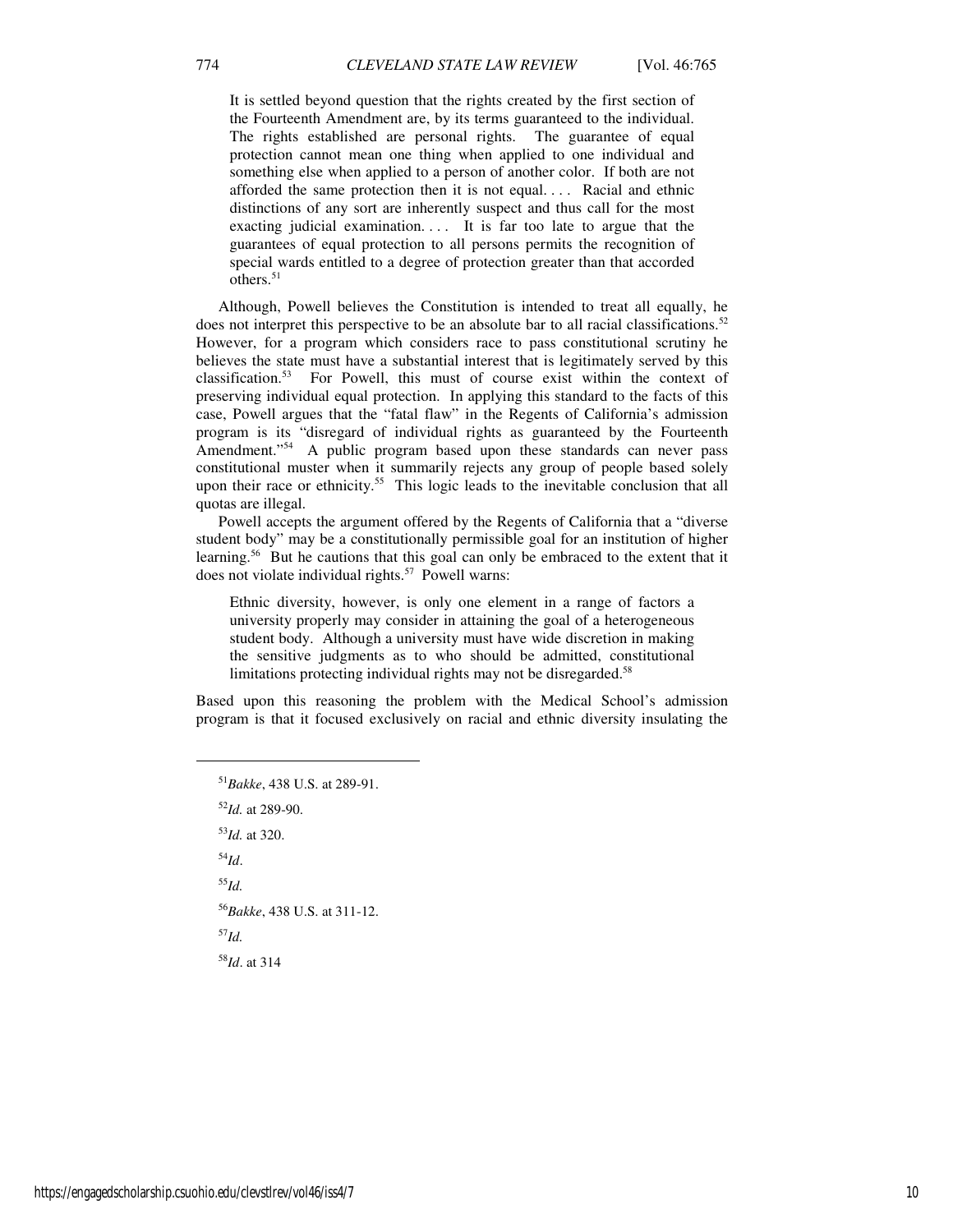It is settled beyond question that the rights created by the first section of the Fourteenth Amendment are, by its terms guaranteed to the individual. The rights established are personal rights. The guarantee of equal protection cannot mean one thing when applied to one individual and something else when applied to a person of another color. If both are not afforded the same protection then it is not equal. . . . Racial and ethnic distinctions of any sort are inherently suspect and thus call for the most exacting judicial examination.... It is far too late to argue that the guarantees of equal protection to all persons permits the recognition of special wards entitled to a degree of protection greater than that accorded others. $51$ 

Although, Powell believes the Constitution is intended to treat all equally, he does not interpret this perspective to be an absolute bar to all racial classifications.<sup>52</sup> However, for a program which considers race to pass constitutional scrutiny he believes the state must have a substantial interest that is legitimately served by this classification.<sup>53</sup> For Powell, this must of course exist within the context of preserving individual equal protection. In applying this standard to the facts of this case, Powell argues that the "fatal flaw" in the Regents of California's admission program is its "disregard of individual rights as guaranteed by the Fourteenth Amendment."<sup>54</sup> A public program based upon these standards can never pass constitutional muster when it summarily rejects any group of people based solely upon their race or ethnicity.<sup>55</sup> This logic leads to the inevitable conclusion that all quotas are illegal.

Powell accepts the argument offered by the Regents of California that a "diverse student body" may be a constitutionally permissible goal for an institution of higher learning.<sup>56</sup> But he cautions that this goal can only be embraced to the extent that it does not violate individual rights.<sup>57</sup> Powell warns:

Ethnic diversity, however, is only one element in a range of factors a university properly may consider in attaining the goal of a heterogeneous student body. Although a university must have wide discretion in making the sensitive judgments as to who should be admitted, constitutional limitations protecting individual rights may not be disregarded.<sup>58</sup>

Based upon this reasoning the problem with the Medical School's admission program is that it focused exclusively on racial and ethnic diversity insulating the

*Bakke*, 438 U.S. at 289-91. *Id.* at 289-90. *Id.* at 320. <sup>54</sup>*Id*. <sup>55</sup>*Id. Bakke*, 438 U.S. at 311-12. <sup>57</sup>*Id. Id*. at 314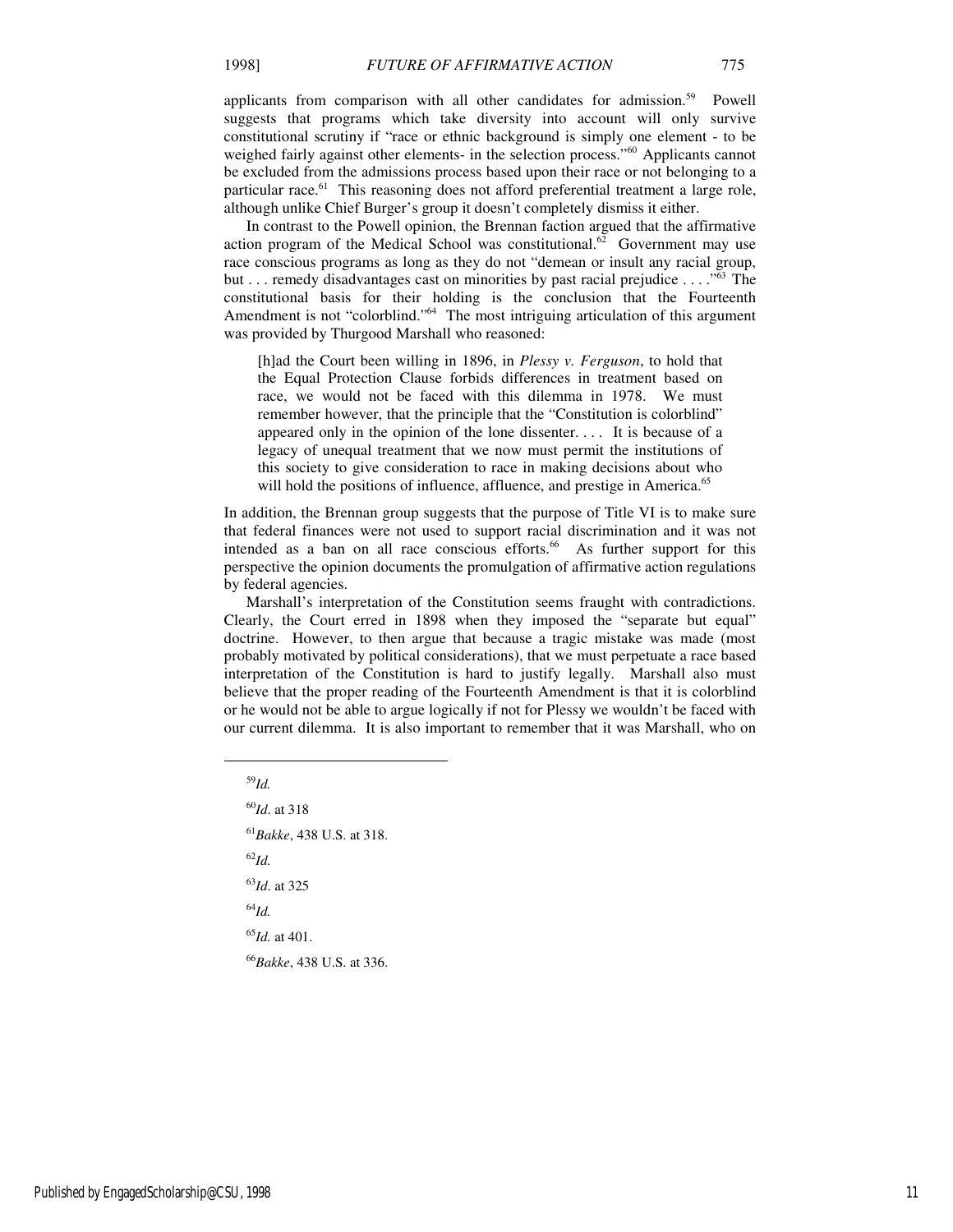applicants from comparison with all other candidates for admission.<sup>59</sup> Powell suggests that programs which take diversity into account will only survive constitutional scrutiny if "race or ethnic background is simply one element - to be weighed fairly against other elements- in the selection process."<sup>60</sup> Applicants cannot be excluded from the admissions process based upon their race or not belonging to a particular race. $61$  This reasoning does not afford preferential treatment a large role, although unlike Chief Burger's group it doesn't completely dismiss it either.

In contrast to the Powell opinion, the Brennan faction argued that the affirmative action program of the Medical School was constitutional.<sup>62</sup> Government may use race conscious programs as long as they do not "demean or insult any racial group, but  $\dots$  remedy disadvantages cast on minorities by past racial prejudice  $\dots$ ."<sup>63</sup> The constitutional basis for their holding is the conclusion that the Fourteenth Amendment is not "colorblind."<sup>64</sup> The most intriguing articulation of this argument was provided by Thurgood Marshall who reasoned:

[h]ad the Court been willing in 1896, in *Plessy v. Ferguson*, to hold that the Equal Protection Clause forbids differences in treatment based on race, we would not be faced with this dilemma in 1978. We must remember however, that the principle that the "Constitution is colorblind" appeared only in the opinion of the lone dissenter. . . . It is because of a legacy of unequal treatment that we now must permit the institutions of this society to give consideration to race in making decisions about who will hold the positions of influence, affluence, and prestige in America.<sup>65</sup>

In addition, the Brennan group suggests that the purpose of Title VI is to make sure that federal finances were not used to support racial discrimination and it was not intended as a ban on all race conscious efforts.<sup>66</sup> As further support for this perspective the opinion documents the promulgation of affirmative action regulations by federal agencies.

Marshall's interpretation of the Constitution seems fraught with contradictions. Clearly, the Court erred in 1898 when they imposed the "separate but equal" doctrine. However, to then argue that because a tragic mistake was made (most probably motivated by political considerations), that we must perpetuate a race based interpretation of the Constitution is hard to justify legally. Marshall also must believe that the proper reading of the Fourteenth Amendment is that it is colorblind or he would not be able to argue logically if not for Plessy we wouldn't be faced with our current dilemma. It is also important to remember that it was Marshall, who on

<sup>59</sup>*Id.* 

1

*Id*. at 318 *Bakke*, 438 U.S. at 318. <sup>62</sup>*Id. Id*. at 325 <sup>64</sup>*Id. Id.* at 401. *Bakke*, 438 U.S. at 336.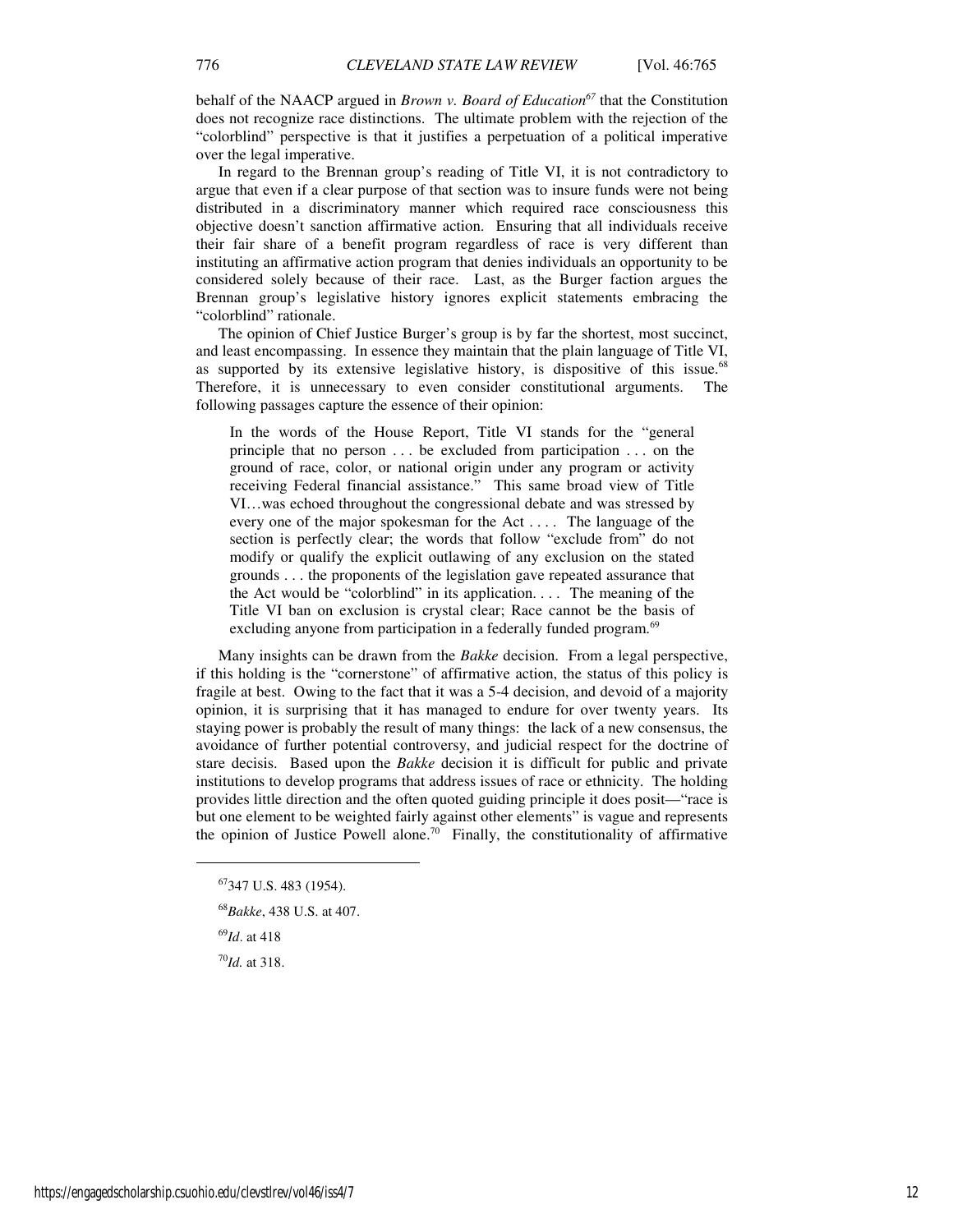behalf of the NAACP argued in *Brown v. Board of Education<sup>67</sup>* that the Constitution does not recognize race distinctions. The ultimate problem with the rejection of the "colorblind" perspective is that it justifies a perpetuation of a political imperative over the legal imperative.

In regard to the Brennan group's reading of Title VI, it is not contradictory to argue that even if a clear purpose of that section was to insure funds were not being distributed in a discriminatory manner which required race consciousness this objective doesn't sanction affirmative action. Ensuring that all individuals receive their fair share of a benefit program regardless of race is very different than instituting an affirmative action program that denies individuals an opportunity to be considered solely because of their race. Last, as the Burger faction argues the Brennan group's legislative history ignores explicit statements embracing the "colorblind" rationale.

The opinion of Chief Justice Burger's group is by far the shortest, most succinct, and least encompassing. In essence they maintain that the plain language of Title VI, as supported by its extensive legislative history, is dispositive of this issue.<sup>68</sup> Therefore, it is unnecessary to even consider constitutional arguments. The following passages capture the essence of their opinion:

In the words of the House Report, Title VI stands for the "general principle that no person . . . be excluded from participation . . . on the ground of race, color, or national origin under any program or activity receiving Federal financial assistance." This same broad view of Title VI…was echoed throughout the congressional debate and was stressed by every one of the major spokesman for the Act . . . . The language of the section is perfectly clear; the words that follow "exclude from" do not modify or qualify the explicit outlawing of any exclusion on the stated grounds . . . the proponents of the legislation gave repeated assurance that the Act would be "colorblind" in its application.  $\ldots$  The meaning of the Title VI ban on exclusion is crystal clear; Race cannot be the basis of excluding anyone from participation in a federally funded program.<sup>69</sup>

Many insights can be drawn from the *Bakke* decision. From a legal perspective, if this holding is the "cornerstone" of affirmative action, the status of this policy is fragile at best. Owing to the fact that it was a 5-4 decision, and devoid of a majority opinion, it is surprising that it has managed to endure for over twenty years. Its staying power is probably the result of many things: the lack of a new consensus, the avoidance of further potential controversy, and judicial respect for the doctrine of stare decisis. Based upon the *Bakke* decision it is difficult for public and private institutions to develop programs that address issues of race or ethnicity. The holding provides little direction and the often quoted guiding principle it does posit—"race is but one element to be weighted fairly against other elements" is vague and represents the opinion of Justice Powell alone.<sup>70</sup> Finally, the constitutionality of affirmative

<sup>69</sup>*Id*. at 418

<sup>70</sup>*Id.* at 318.

<sup>67</sup>347 U.S. 483 (1954).

<sup>68</sup>*Bakke*, 438 U.S. at 407.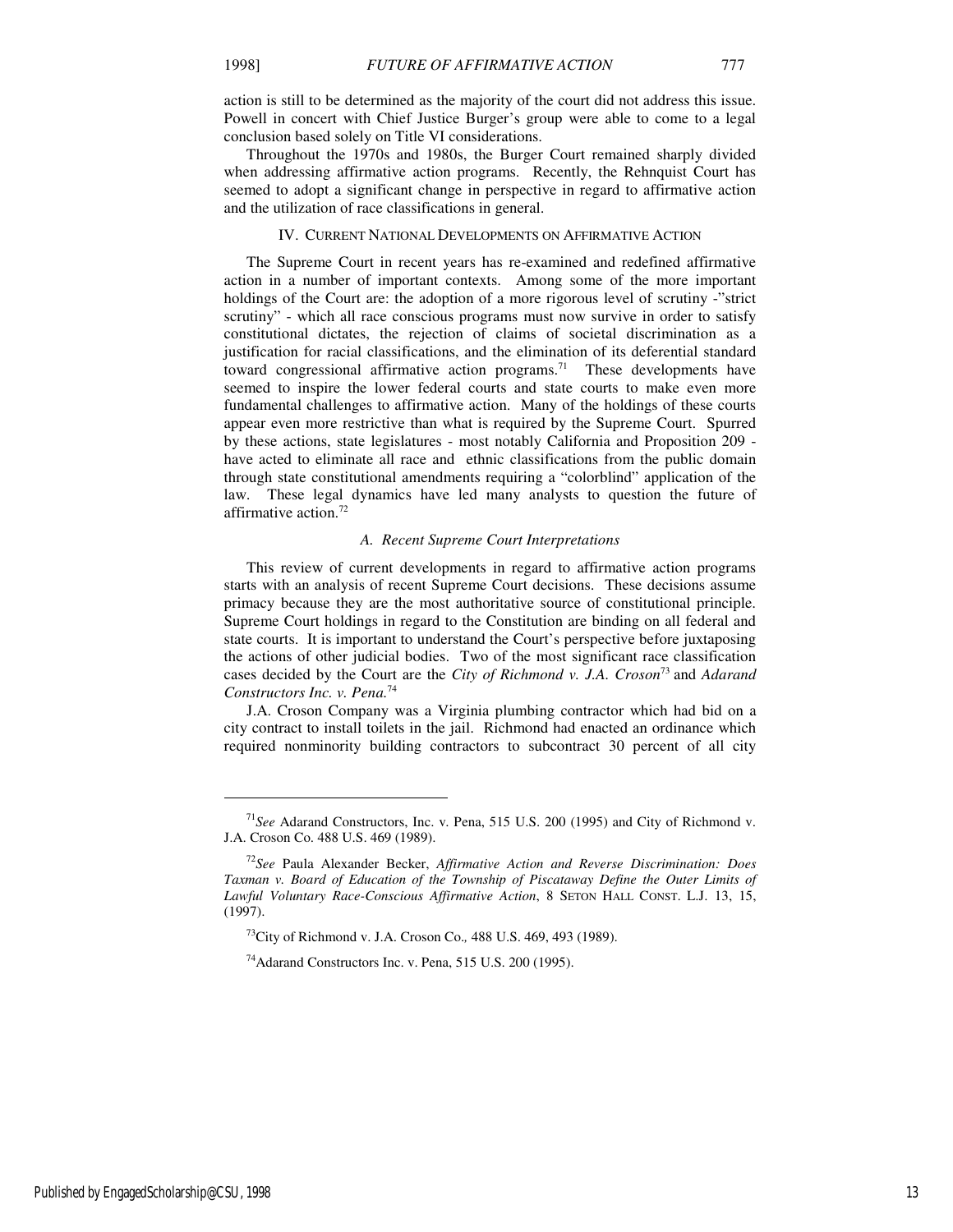action is still to be determined as the majority of the court did not address this issue. Powell in concert with Chief Justice Burger's group were able to come to a legal conclusion based solely on Title VI considerations.

Throughout the 1970s and 1980s, the Burger Court remained sharply divided when addressing affirmative action programs. Recently, the Rehnquist Court has seemed to adopt a significant change in perspective in regard to affirmative action and the utilization of race classifications in general.

#### IV. CURRENT NATIONAL DEVELOPMENTS ON AFFIRMATIVE ACTION

The Supreme Court in recent years has re-examined and redefined affirmative action in a number of important contexts. Among some of the more important holdings of the Court are: the adoption of a more rigorous level of scrutiny -"strict scrutiny" - which all race conscious programs must now survive in order to satisfy constitutional dictates, the rejection of claims of societal discrimination as a justification for racial classifications, and the elimination of its deferential standard toward congressional affirmative action programs.<sup>71</sup> These developments have seemed to inspire the lower federal courts and state courts to make even more fundamental challenges to affirmative action. Many of the holdings of these courts appear even more restrictive than what is required by the Supreme Court. Spurred by these actions, state legislatures - most notably California and Proposition 209 have acted to eliminate all race and ethnic classifications from the public domain through state constitutional amendments requiring a "colorblind" application of the law. These legal dynamics have led many analysts to question the future of affirmative action.<sup>72</sup>

#### *A. Recent Supreme Court Interpretations*

This review of current developments in regard to affirmative action programs starts with an analysis of recent Supreme Court decisions. These decisions assume primacy because they are the most authoritative source of constitutional principle. Supreme Court holdings in regard to the Constitution are binding on all federal and state courts. It is important to understand the Court's perspective before juxtaposing the actions of other judicial bodies. Two of the most significant race classification cases decided by the Court are the *City of Richmond v. J.A. Croson*<sup>73</sup>and *Adarand Constructors Inc. v. Pena.*<sup>74</sup>

J.A. Croson Company was a Virginia plumbing contractor which had bid on a city contract to install toilets in the jail. Richmond had enacted an ordinance which required nonminority building contractors to subcontract 30 percent of all city

<sup>71</sup>*See* Adarand Constructors, Inc. v. Pena, 515 U.S. 200 (1995) and City of Richmond v. J.A. Croson Co. 488 U.S. 469 (1989).

<sup>72</sup>*See* Paula Alexander Becker, *Affirmative Action and Reverse Discrimination: Does Taxman v. Board of Education of the Township of Piscataway Define the Outer Limits of Lawful Voluntary Race-Conscious Affirmative Action*, 8 SETON HALL CONST. L.J. 13, 15, (1997).

<sup>73</sup>City of Richmond v. J.A. Croson Co.*,* 488 U.S. 469, 493 (1989).

<sup>74</sup>Adarand Constructors Inc. v. Pena, 515 U.S. 200 (1995).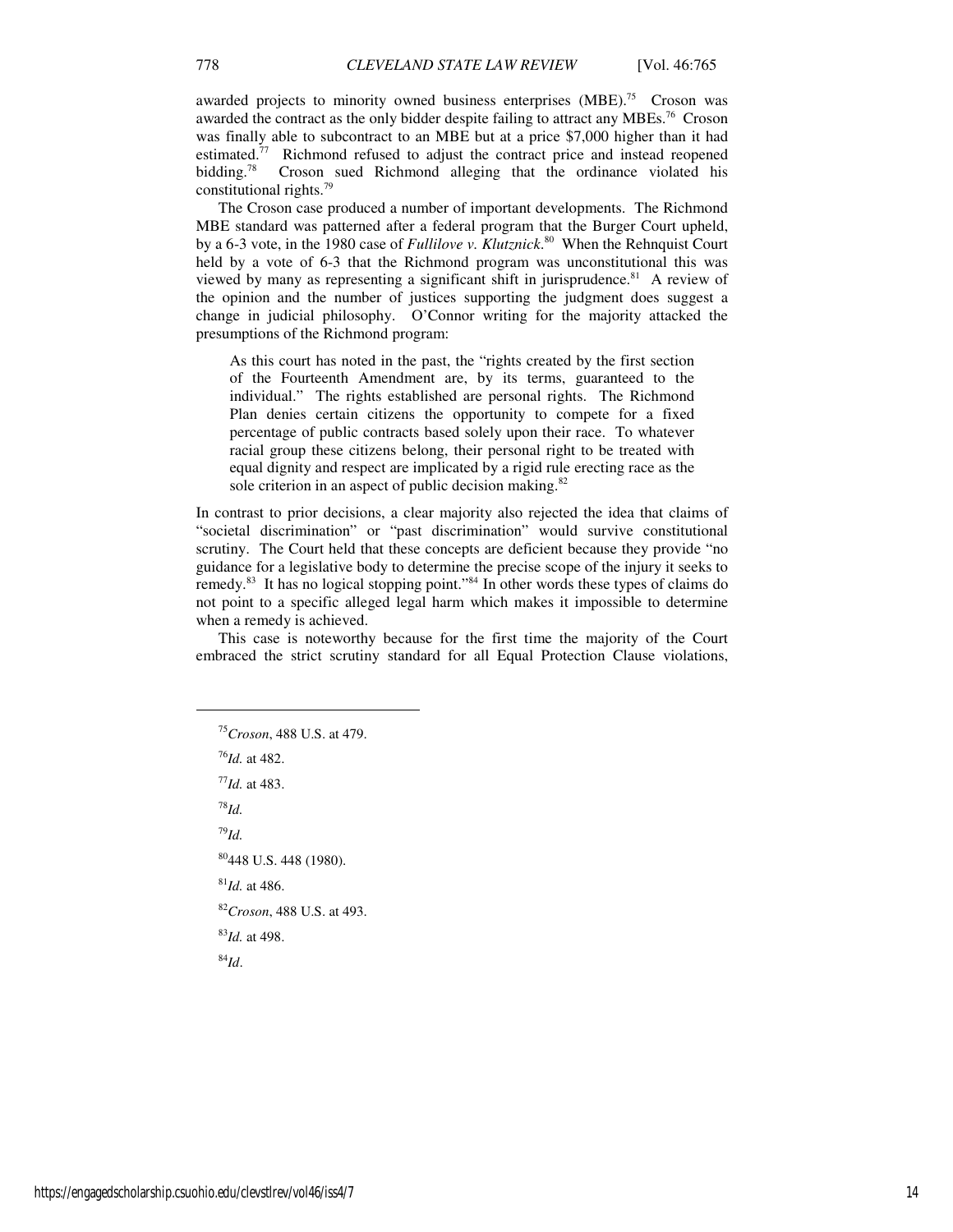awarded projects to minority owned business enterprises (MBE).<sup>75</sup> Croson was awarded the contract as the only bidder despite failing to attract any MBEs.<sup>76</sup> Croson was finally able to subcontract to an MBE but at a price \$7,000 higher than it had estimated.<sup>77</sup> Richmond refused to adjust the contract price and instead reopened bidding.<sup>78</sup> Croson sued Richmond alleging that the ordinance violated his constitutional rights.<sup>79</sup>

The Croson case produced a number of important developments. The Richmond MBE standard was patterned after a federal program that the Burger Court upheld, by a 6-3 vote, in the 1980 case of *Fullilove v. Klutznick*. <sup>80</sup> When the Rehnquist Court held by a vote of 6-3 that the Richmond program was unconstitutional this was viewed by many as representing a significant shift in jurisprudence.<sup>81</sup> A review of the opinion and the number of justices supporting the judgment does suggest a change in judicial philosophy. O'Connor writing for the majority attacked the presumptions of the Richmond program:

As this court has noted in the past, the "rights created by the first section of the Fourteenth Amendment are, by its terms, guaranteed to the individual." The rights established are personal rights. The Richmond Plan denies certain citizens the opportunity to compete for a fixed percentage of public contracts based solely upon their race. To whatever racial group these citizens belong, their personal right to be treated with equal dignity and respect are implicated by a rigid rule erecting race as the sole criterion in an aspect of public decision making.<sup>82</sup>

In contrast to prior decisions, a clear majority also rejected the idea that claims of "societal discrimination" or "past discrimination" would survive constitutional scrutiny. The Court held that these concepts are deficient because they provide "no guidance for a legislative body to determine the precise scope of the injury it seeks to remedy.<sup>83</sup> It has no logical stopping point."<sup>84</sup> In other words these types of claims do not point to a specific alleged legal harm which makes it impossible to determine when a remedy is achieved.

This case is noteworthy because for the first time the majority of the Court embraced the strict scrutiny standard for all Equal Protection Clause violations,

*Croson*, 488 U.S. at 479. *Id.* at 482. *Id.* at 483. <sup>78</sup>*Id.*  <sup>79</sup>*Id.*  448 U.S. 448 (1980). *Id.* at 486. *Croson*, 488 U.S. at 493. *Id.* at 498. <sup>84</sup>*Id*.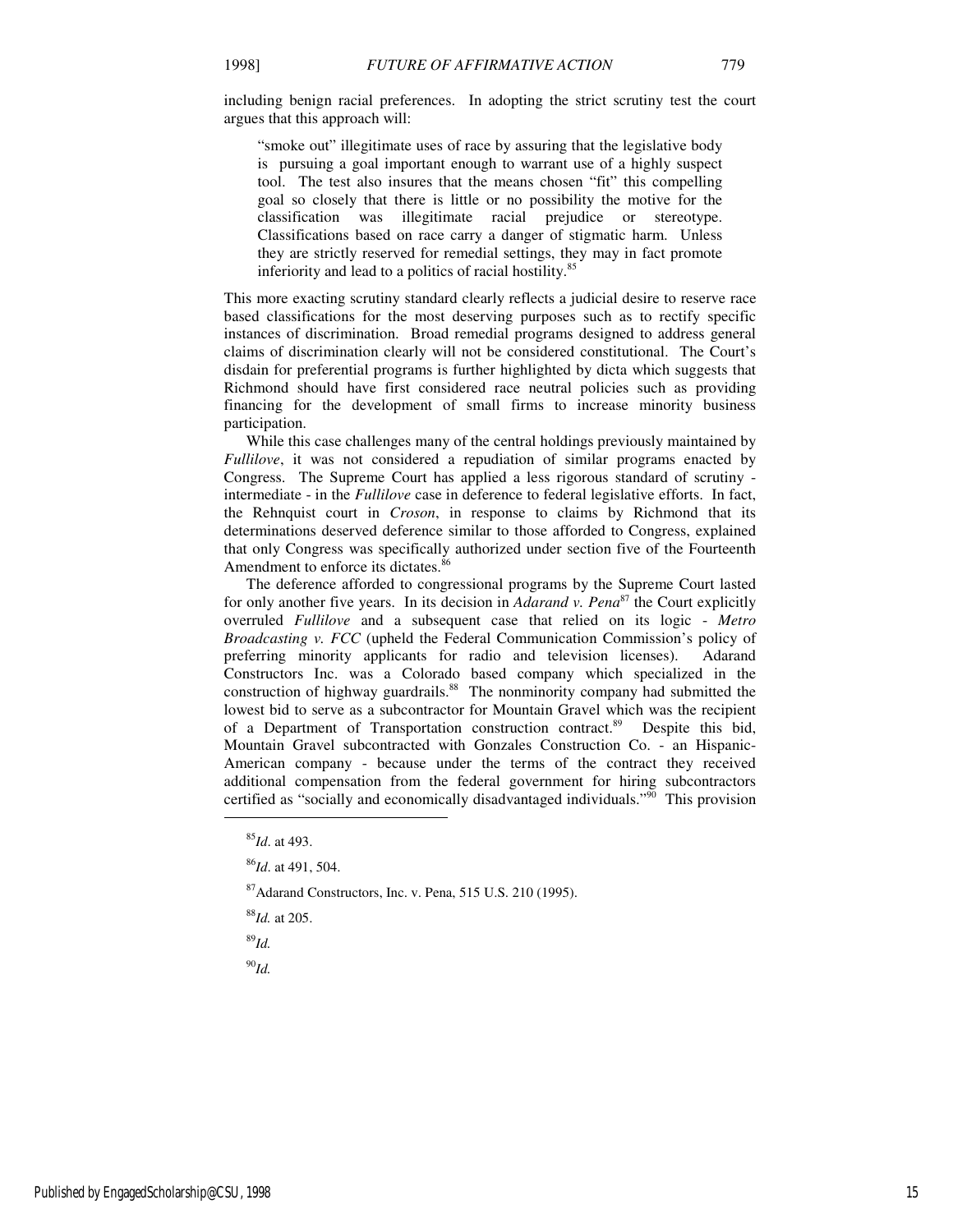including benign racial preferences. In adopting the strict scrutiny test the court argues that this approach will:

"smoke out" illegitimate uses of race by assuring that the legislative body is pursuing a goal important enough to warrant use of a highly suspect tool. The test also insures that the means chosen "fit" this compelling goal so closely that there is little or no possibility the motive for the classification was illegitimate racial prejudice or stereotype. Classifications based on race carry a danger of stigmatic harm. Unless they are strictly reserved for remedial settings, they may in fact promote inferiority and lead to a politics of racial hostility.<sup>85</sup>

This more exacting scrutiny standard clearly reflects a judicial desire to reserve race based classifications for the most deserving purposes such as to rectify specific instances of discrimination. Broad remedial programs designed to address general claims of discrimination clearly will not be considered constitutional. The Court's disdain for preferential programs is further highlighted by dicta which suggests that Richmond should have first considered race neutral policies such as providing financing for the development of small firms to increase minority business participation.

While this case challenges many of the central holdings previously maintained by *Fullilove*, it was not considered a repudiation of similar programs enacted by Congress. The Supreme Court has applied a less rigorous standard of scrutiny intermediate - in the *Fullilove* case in deference to federal legislative efforts. In fact, the Rehnquist court in *Croson*, in response to claims by Richmond that its determinations deserved deference similar to those afforded to Congress, explained that only Congress was specifically authorized under section five of the Fourteenth Amendment to enforce its dictates.<sup>86</sup>

The deference afforded to congressional programs by the Supreme Court lasted for only another five years. In its decision in *Adarand v. Pena*<sup>87</sup> the Court explicitly overruled *Fullilove* and a subsequent case that relied on its logic - *Metro Broadcasting v. FCC* (upheld the Federal Communication Commission's policy of preferring minority applicants for radio and television licenses). Adarand Constructors Inc. was a Colorado based company which specialized in the construction of highway guardrails.<sup>88</sup> The nonminority company had submitted the lowest bid to serve as a subcontractor for Mountain Gravel which was the recipient of a Department of Transportation construction contract.<sup>89</sup> Despite this bid, Mountain Gravel subcontracted with Gonzales Construction Co. - an Hispanic-American company - because under the terms of the contract they received additional compensation from the federal government for hiring subcontractors certified as "socially and economically disadvantaged individuals." $\overline{90}$  This provision

<sup>87</sup>Adarand Constructors, Inc. v. Pena, 515 U.S. 210 (1995).

<sup>88</sup>*Id.* at 205.

<sup>89</sup>*Id.* 

1

<sup>90</sup>*Id.* 

<sup>85</sup>*Id*. at 493.

<sup>86</sup>*Id*. at 491, 504.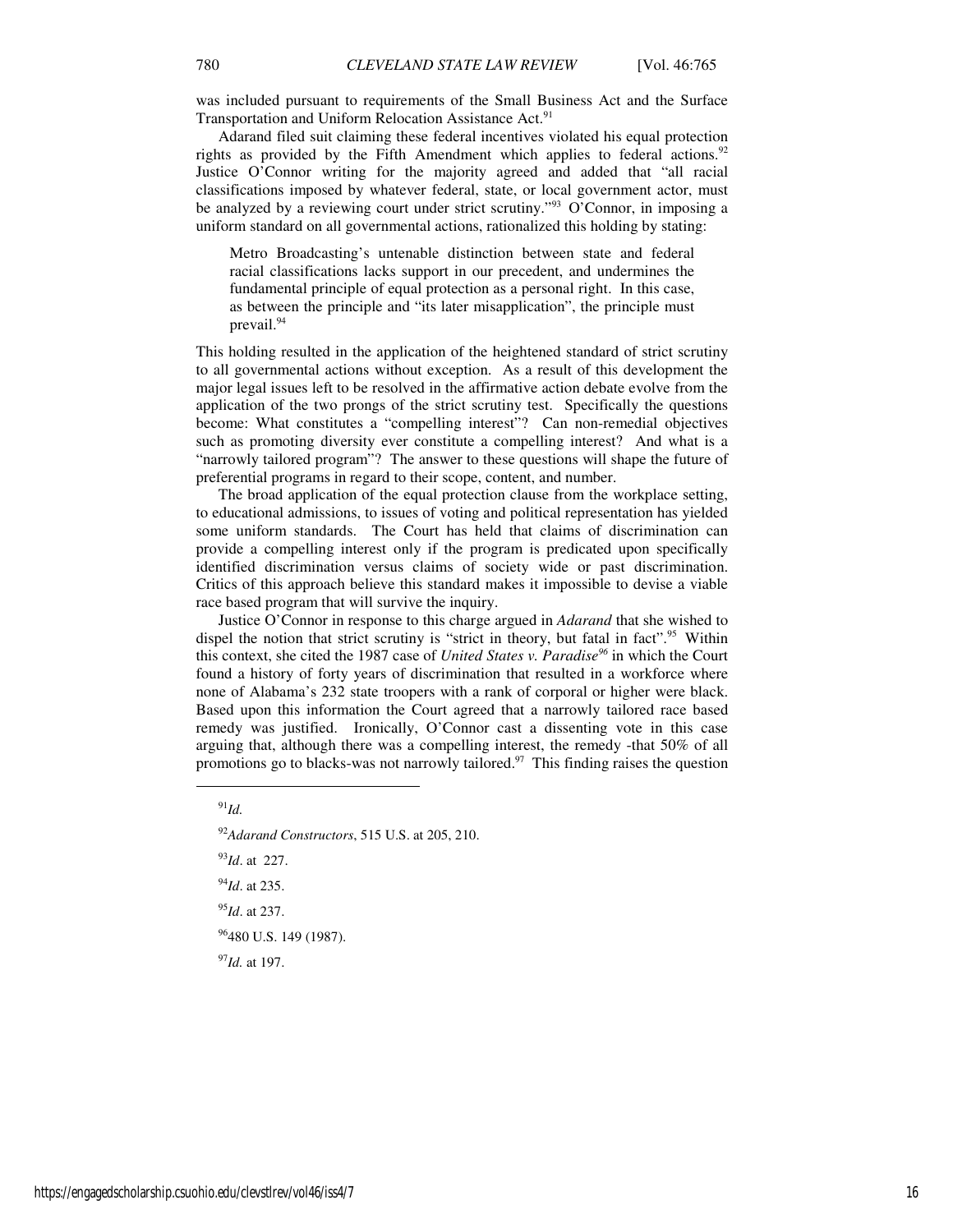was included pursuant to requirements of the Small Business Act and the Surface Transportation and Uniform Relocation Assistance Act.<sup>91</sup>

Adarand filed suit claiming these federal incentives violated his equal protection rights as provided by the Fifth Amendment which applies to federal actions.<sup>92</sup> Justice O'Connor writing for the majority agreed and added that "all racial classifications imposed by whatever federal, state, or local government actor, must be analyzed by a reviewing court under strict scrutiny."<sup>93</sup> O'Connor, in imposing a uniform standard on all governmental actions, rationalized this holding by stating:

Metro Broadcasting's untenable distinction between state and federal racial classifications lacks support in our precedent, and undermines the fundamental principle of equal protection as a personal right. In this case, as between the principle and "its later misapplication", the principle must prevail.<sup>94</sup>

This holding resulted in the application of the heightened standard of strict scrutiny to all governmental actions without exception. As a result of this development the major legal issues left to be resolved in the affirmative action debate evolve from the application of the two prongs of the strict scrutiny test. Specifically the questions become: What constitutes a "compelling interest"? Can non-remedial objectives such as promoting diversity ever constitute a compelling interest? And what is a "narrowly tailored program"? The answer to these questions will shape the future of preferential programs in regard to their scope, content, and number.

The broad application of the equal protection clause from the workplace setting, to educational admissions, to issues of voting and political representation has yielded some uniform standards. The Court has held that claims of discrimination can provide a compelling interest only if the program is predicated upon specifically identified discrimination versus claims of society wide or past discrimination. Critics of this approach believe this standard makes it impossible to devise a viable race based program that will survive the inquiry.

Justice O'Connor in response to this charge argued in *Adarand* that she wished to dispel the notion that strict scrutiny is "strict in theory, but fatal in fact".<sup>95</sup> Within this context, she cited the 1987 case of *United States v. Paradise<sup>96</sup>* in which the Court found a history of forty years of discrimination that resulted in a workforce where none of Alabama's 232 state troopers with a rank of corporal or higher were black. Based upon this information the Court agreed that a narrowly tailored race based remedy was justified. Ironically, O'Connor cast a dissenting vote in this case arguing that, although there was a compelling interest, the remedy -that 50% of all promotions go to blacks-was not narrowly tailored.<sup>97</sup> This finding raises the question

1

<sup>92</sup>*Adarand Constructors*, 515 U.S. at 205, 210.

<sup>93</sup>*Id*. at 227.

<sup>94</sup>*Id*. at 235.

<sup>95</sup>*Id*. at 237.

<sup>96</sup>480 U.S. 149 (1987).

<sup>97</sup>*Id.* at 197.

 $^{91}$ *Id.*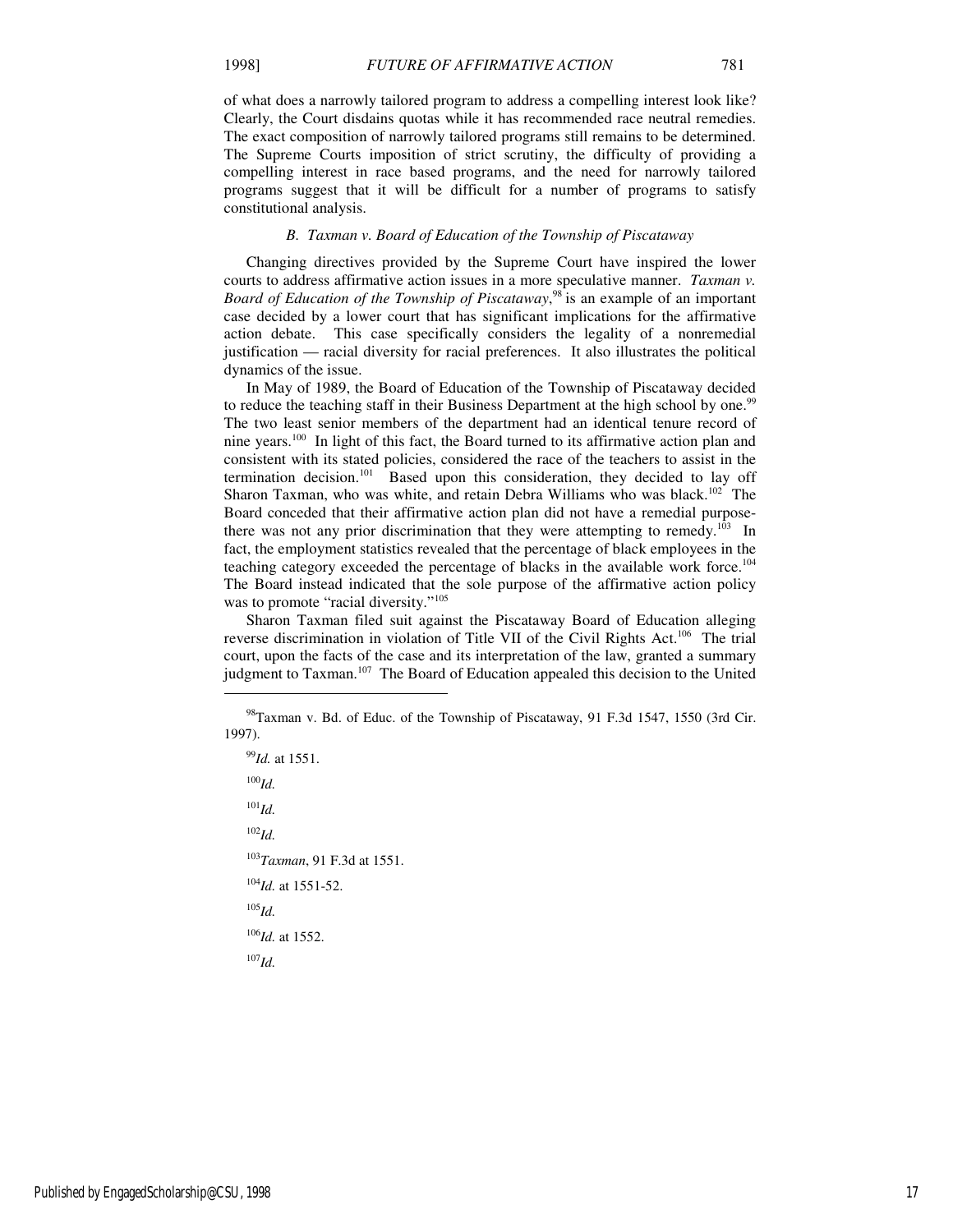of what does a narrowly tailored program to address a compelling interest look like? Clearly, the Court disdains quotas while it has recommended race neutral remedies. The exact composition of narrowly tailored programs still remains to be determined. The Supreme Courts imposition of strict scrutiny, the difficulty of providing a compelling interest in race based programs, and the need for narrowly tailored programs suggest that it will be difficult for a number of programs to satisfy constitutional analysis.

#### *B. Taxman v. Board of Education of the Township of Piscataway*

Changing directives provided by the Supreme Court have inspired the lower courts to address affirmative action issues in a more speculative manner. *Taxman v.*  Board of Education of the Township of Piscataway,<sup>98</sup> is an example of an important case decided by a lower court that has significant implications for the affirmative action debate. This case specifically considers the legality of a nonremedial justification — racial diversity for racial preferences. It also illustrates the political dynamics of the issue.

In May of 1989, the Board of Education of the Township of Piscataway decided to reduce the teaching staff in their Business Department at the high school by one.<sup>99</sup> The two least senior members of the department had an identical tenure record of nine years.<sup>100</sup> In light of this fact, the Board turned to its affirmative action plan and consistent with its stated policies, considered the race of the teachers to assist in the termination decision.<sup>101</sup> Based upon this consideration, they decided to lay off Sharon Taxman, who was white, and retain Debra Williams who was black.<sup>102</sup> The Board conceded that their affirmative action plan did not have a remedial purposethere was not any prior discrimination that they were attempting to remedy.<sup>103</sup> In fact, the employment statistics revealed that the percentage of black employees in the teaching category exceeded the percentage of blacks in the available work force.<sup>104</sup> The Board instead indicated that the sole purpose of the affirmative action policy was to promote "racial diversity."<sup>105</sup>

Sharon Taxman filed suit against the Piscataway Board of Education alleging reverse discrimination in violation of Title VII of the Civil Rights Act.<sup>106</sup> The trial court, upon the facts of the case and its interpretation of the law, granted a summary judgment to Taxman.<sup>107</sup> The Board of Education appealed this decision to the United

<sup>99</sup>*Id.* at 1551.  $100$ *Id.* <sup>101</sup>*Id.*   $^{102}$ *Id.* <sup>103</sup>*Taxman*, 91 F.3d at 1551. <sup>104</sup>*Id.* at 1551-52. <sup>105</sup>*Id.* <sup>106</sup>*Id.* at 1552.  $^{107}$ *Id.* 

j

<sup>98</sup>Taxman v. Bd. of Educ. of the Township of Piscataway, 91 F.3d 1547, 1550 (3rd Cir. 1997).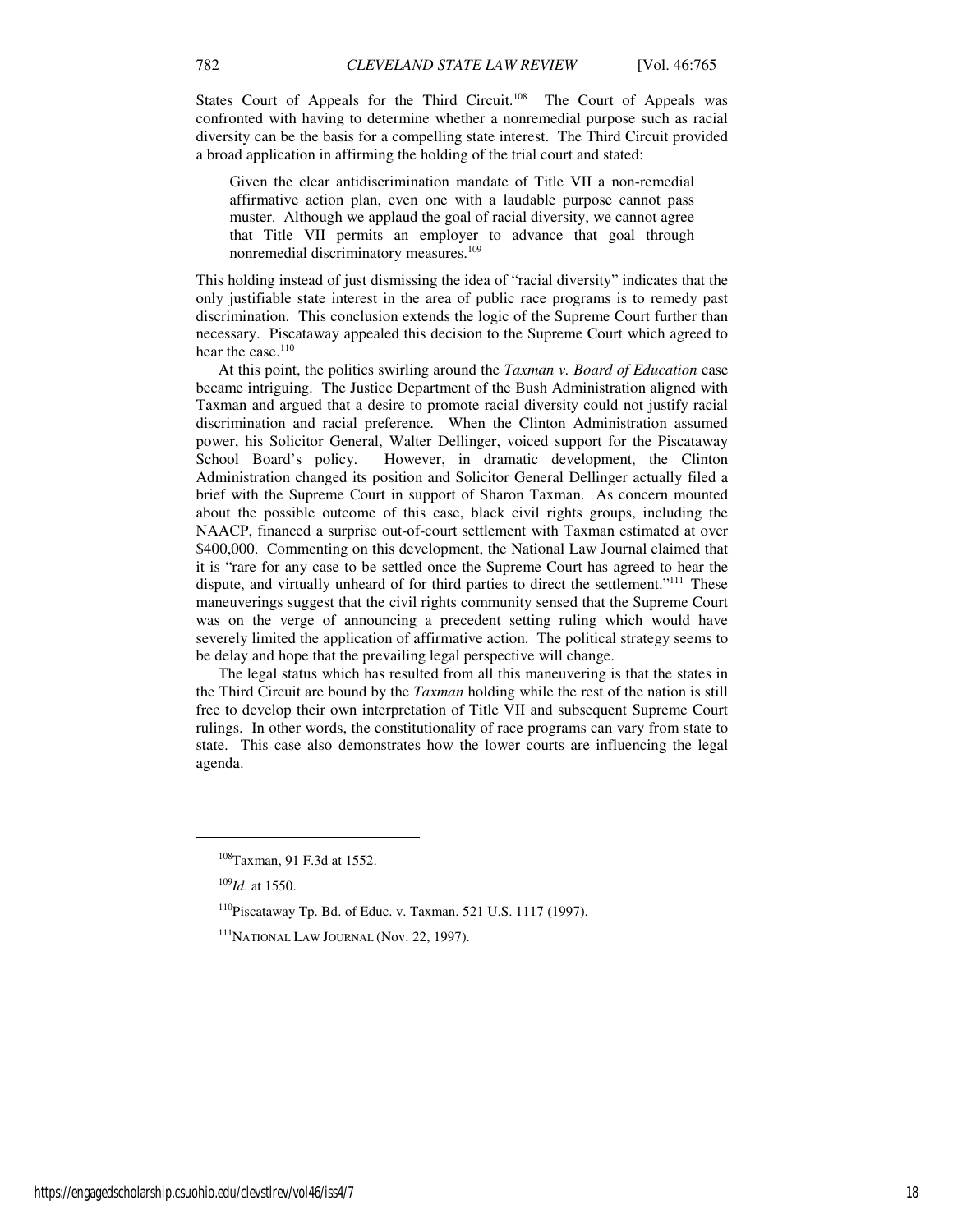States Court of Appeals for the Third Circuit.<sup>108</sup> The Court of Appeals was confronted with having to determine whether a nonremedial purpose such as racial diversity can be the basis for a compelling state interest. The Third Circuit provided a broad application in affirming the holding of the trial court and stated:

Given the clear antidiscrimination mandate of Title VII a non-remedial affirmative action plan, even one with a laudable purpose cannot pass muster. Although we applaud the goal of racial diversity, we cannot agree that Title VII permits an employer to advance that goal through nonremedial discriminatory measures.<sup>109</sup>

This holding instead of just dismissing the idea of "racial diversity" indicates that the only justifiable state interest in the area of public race programs is to remedy past discrimination. This conclusion extends the logic of the Supreme Court further than necessary. Piscataway appealed this decision to the Supreme Court which agreed to hear the case.<sup>110</sup>

At this point, the politics swirling around the *Taxman v. Board of Education* case became intriguing. The Justice Department of the Bush Administration aligned with Taxman and argued that a desire to promote racial diversity could not justify racial discrimination and racial preference. When the Clinton Administration assumed power, his Solicitor General, Walter Dellinger, voiced support for the Piscataway School Board's policy. However, in dramatic development, the Clinton Administration changed its position and Solicitor General Dellinger actually filed a brief with the Supreme Court in support of Sharon Taxman. As concern mounted about the possible outcome of this case, black civil rights groups, including the NAACP, financed a surprise out-of-court settlement with Taxman estimated at over \$400,000. Commenting on this development, the National Law Journal claimed that it is "rare for any case to be settled once the Supreme Court has agreed to hear the dispute, and virtually unheard of for third parties to direct the settlement."<sup>111</sup> These maneuverings suggest that the civil rights community sensed that the Supreme Court was on the verge of announcing a precedent setting ruling which would have severely limited the application of affirmative action. The political strategy seems to be delay and hope that the prevailing legal perspective will change.

The legal status which has resulted from all this maneuvering is that the states in the Third Circuit are bound by the *Taxman* holding while the rest of the nation is still free to develop their own interpretation of Title VII and subsequent Supreme Court rulings. In other words, the constitutionality of race programs can vary from state to state. This case also demonstrates how the lower courts are influencing the legal agenda.

<sup>108</sup>Taxman, 91 F.3d at 1552.

<sup>109</sup>*Id*. at 1550.

<sup>110</sup>Piscataway Tp. Bd. of Educ. v. Taxman, 521 U.S. 1117 (1997).

<sup>111</sup>NATIONAL LAW JOURNAL (Nov. 22, 1997).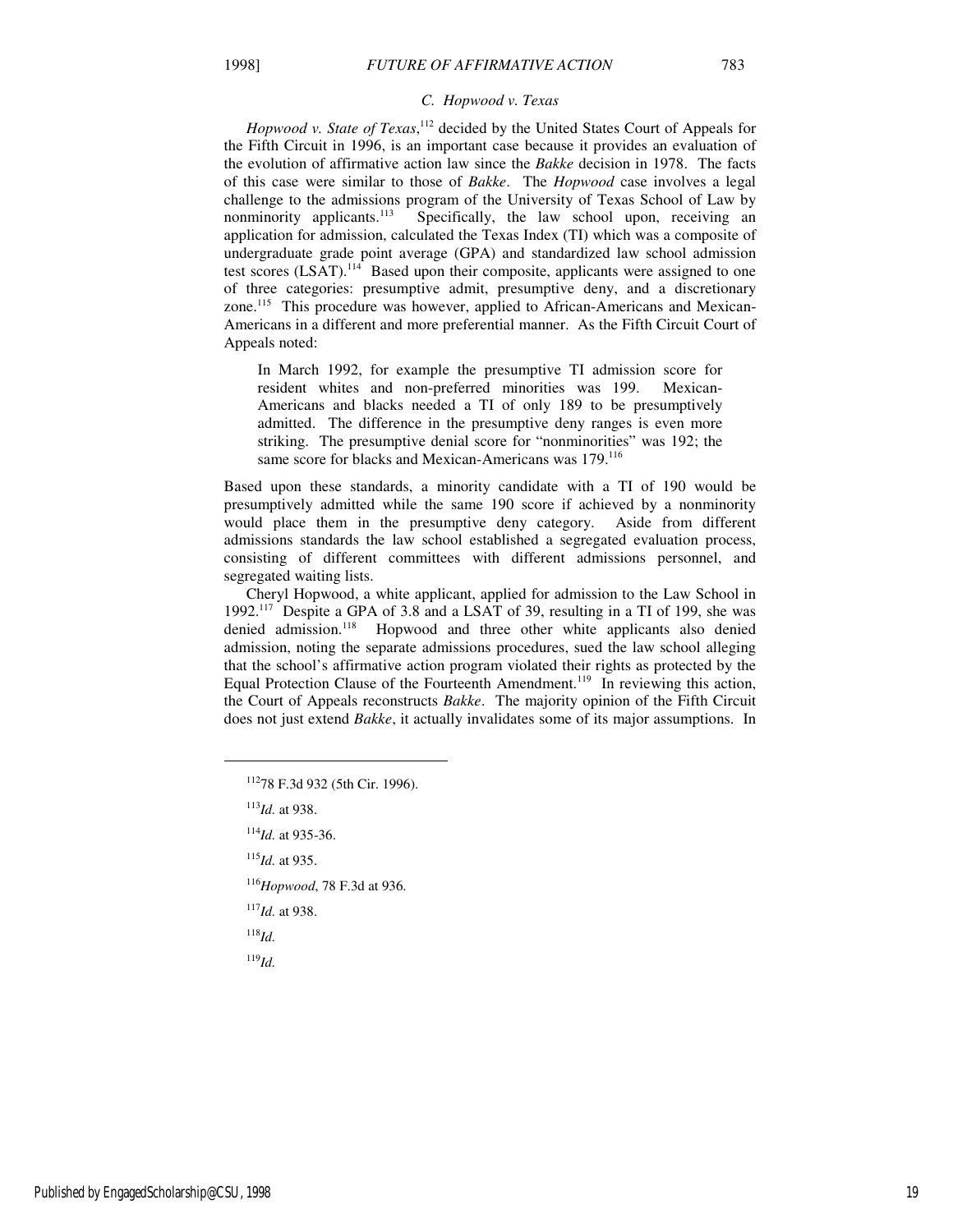#### *C. Hopwood v. Texas*

Hopwood v. State of Texas,<sup>112</sup> decided by the United States Court of Appeals for the Fifth Circuit in 1996, is an important case because it provides an evaluation of the evolution of affirmative action law since the *Bakke* decision in 1978. The facts of this case were similar to those of *Bakke*. The *Hopwood* case involves a legal challenge to the admissions program of the University of Texas School of Law by nonminority applicants.<sup>113</sup> Specifically, the law school upon, receiving an Specifically, the law school upon, receiving an application for admission, calculated the Texas Index (TI) which was a composite of undergraduate grade point average (GPA) and standardized law school admission test scores  $(LSAT)$ .<sup>114</sup> Based upon their composite, applicants were assigned to one of three categories: presumptive admit, presumptive deny, and a discretionary zone.115 This procedure was however, applied to African-Americans and Mexican-Americans in a different and more preferential manner. As the Fifth Circuit Court of Appeals noted:

In March 1992, for example the presumptive TI admission score for resident whites and non-preferred minorities was 199. Mexican-Americans and blacks needed a TI of only 189 to be presumptively admitted. The difference in the presumptive deny ranges is even more striking. The presumptive denial score for "nonminorities" was 192; the same score for blacks and Mexican-Americans was 179.<sup>116</sup>

Based upon these standards, a minority candidate with a TI of 190 would be presumptively admitted while the same 190 score if achieved by a nonminority would place them in the presumptive deny category. Aside from different admissions standards the law school established a segregated evaluation process, consisting of different committees with different admissions personnel, and segregated waiting lists.

Cheryl Hopwood, a white applicant, applied for admission to the Law School in 1992.<sup>117</sup> Despite a GPA of 3.8 and a LSAT of 39, resulting in a TI of 199, she was denied admission.<sup>118</sup> Hopwood and three other white applicants also denied admission, noting the separate admissions procedures, sued the law school alleging that the school's affirmative action program violated their rights as protected by the Equal Protection Clause of the Fourteenth Amendment.<sup>119</sup> In reviewing this action, the Court of Appeals reconstructs *Bakke*. The majority opinion of the Fifth Circuit does not just extend *Bakke*, it actually invalidates some of its major assumptions. In

<sup>113</sup>*Id.* at 938.

 $\overline{a}$ 

<sup>114</sup>*Id.* at 935-36.

<sup>115</sup>*Id.* at 935.

<sup>116</sup>*Hopwood*, 78 F.3d at 936.

<sup>117</sup>*Id.* at 938.

 $118$ *Id.* 

<sup>119</sup>*Id.* 

<sup>112</sup>78 F.3d 932 (5th Cir. 1996).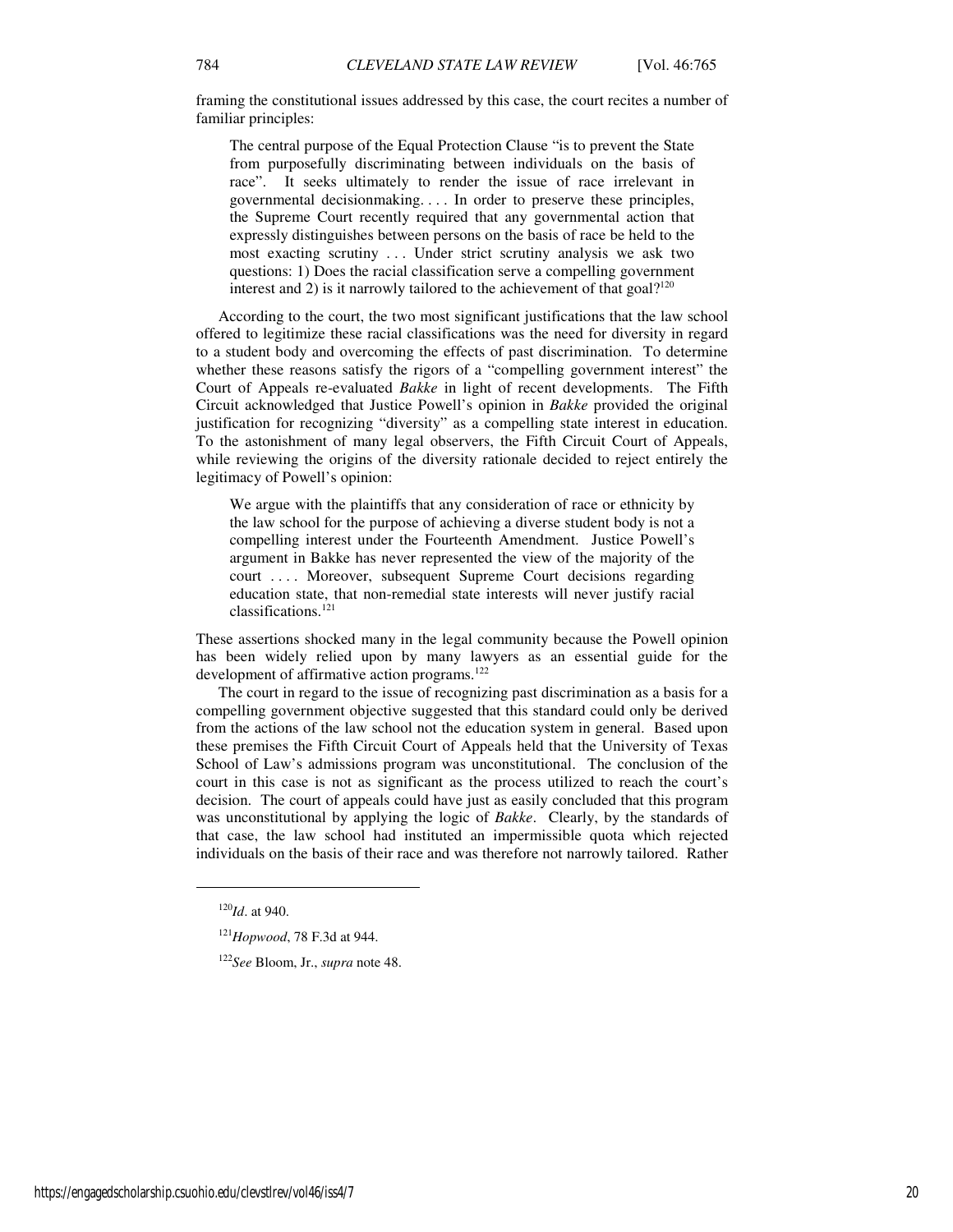framing the constitutional issues addressed by this case, the court recites a number of familiar principles:

The central purpose of the Equal Protection Clause "is to prevent the State from purposefully discriminating between individuals on the basis of race". It seeks ultimately to render the issue of race irrelevant in governmental decisionmaking. . . . In order to preserve these principles, the Supreme Court recently required that any governmental action that expressly distinguishes between persons on the basis of race be held to the most exacting scrutiny . . . Under strict scrutiny analysis we ask two questions: 1) Does the racial classification serve a compelling government interest and 2) is it narrowly tailored to the achievement of that goal?<sup>120</sup>

According to the court, the two most significant justifications that the law school offered to legitimize these racial classifications was the need for diversity in regard to a student body and overcoming the effects of past discrimination. To determine whether these reasons satisfy the rigors of a "compelling government interest" the Court of Appeals re-evaluated *Bakke* in light of recent developments. The Fifth Circuit acknowledged that Justice Powell's opinion in *Bakke* provided the original justification for recognizing "diversity" as a compelling state interest in education. To the astonishment of many legal observers, the Fifth Circuit Court of Appeals, while reviewing the origins of the diversity rationale decided to reject entirely the legitimacy of Powell's opinion:

We argue with the plaintiffs that any consideration of race or ethnicity by the law school for the purpose of achieving a diverse student body is not a compelling interest under the Fourteenth Amendment. Justice Powell's argument in Bakke has never represented the view of the majority of the court .... Moreover, subsequent Supreme Court decisions regarding education state, that non-remedial state interests will never justify racial classifications.<sup>121</sup>

These assertions shocked many in the legal community because the Powell opinion has been widely relied upon by many lawyers as an essential guide for the development of affirmative action programs.<sup>122</sup>

The court in regard to the issue of recognizing past discrimination as a basis for a compelling government objective suggested that this standard could only be derived from the actions of the law school not the education system in general. Based upon these premises the Fifth Circuit Court of Appeals held that the University of Texas School of Law's admissions program was unconstitutional. The conclusion of the court in this case is not as significant as the process utilized to reach the court's decision. The court of appeals could have just as easily concluded that this program was unconstitutional by applying the logic of *Bakke*. Clearly, by the standards of that case, the law school had instituted an impermissible quota which rejected individuals on the basis of their race and was therefore not narrowly tailored. Rather

<sup>120</sup>*Id*. at 940.

<sup>121</sup>*Hopwood*, 78 F.3d at 944.

<sup>122</sup>*See* Bloom, Jr., *supra* note 48.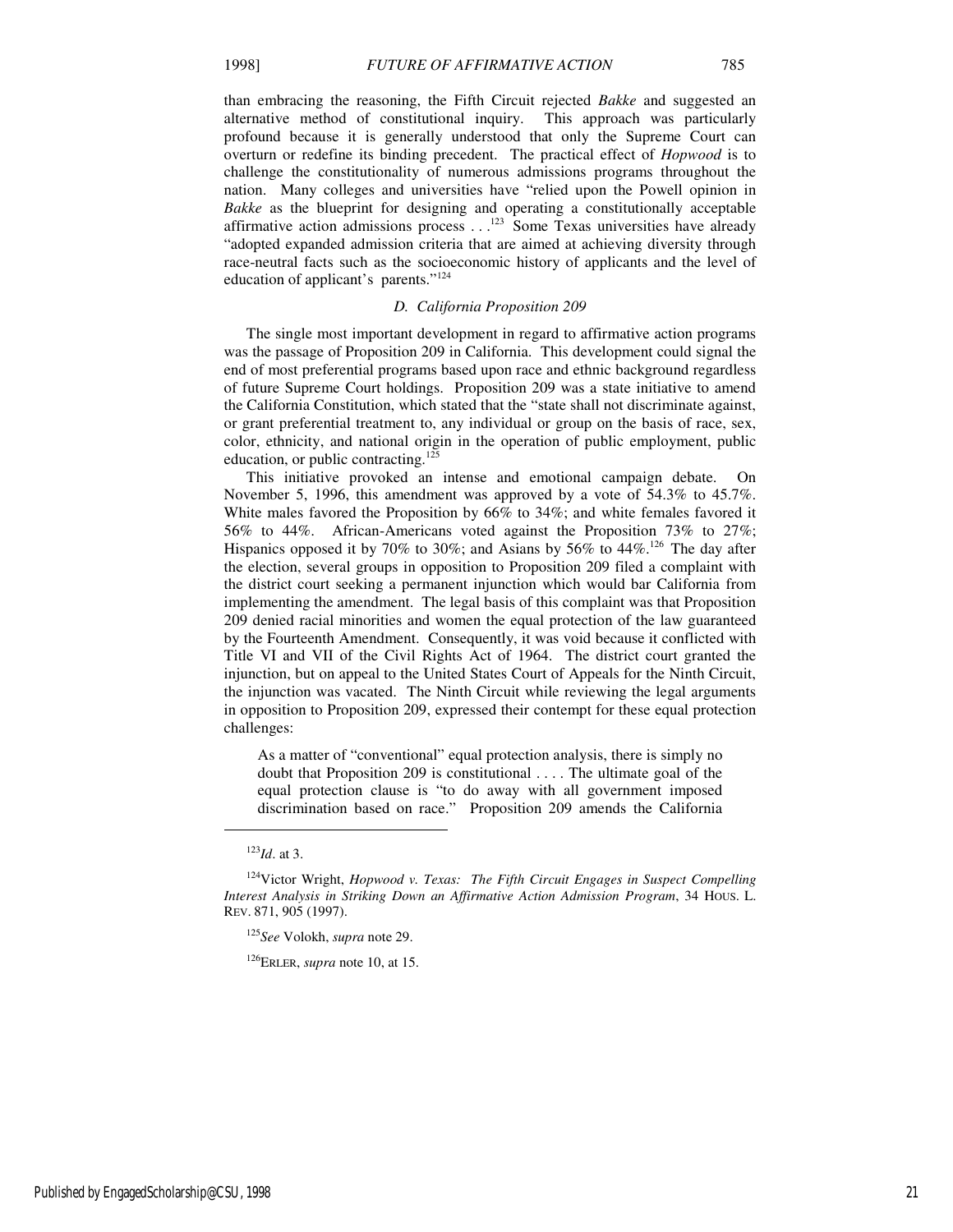than embracing the reasoning, the Fifth Circuit rejected *Bakke* and suggested an alternative method of constitutional inquiry. This approach was particularly profound because it is generally understood that only the Supreme Court can overturn or redefine its binding precedent. The practical effect of *Hopwood* is to challenge the constitutionality of numerous admissions programs throughout the nation. Many colleges and universities have "relied upon the Powell opinion in *Bakke* as the blueprint for designing and operating a constitutionally acceptable affirmative action admissions process  $\dots$ <sup>123</sup> Some Texas universities have already "adopted expanded admission criteria that are aimed at achieving diversity through race-neutral facts such as the socioeconomic history of applicants and the level of education of applicant's parents."<sup>124</sup>

#### *D. California Proposition 209*

The single most important development in regard to affirmative action programs was the passage of Proposition 209 in California. This development could signal the end of most preferential programs based upon race and ethnic background regardless of future Supreme Court holdings. Proposition 209 was a state initiative to amend the California Constitution, which stated that the "state shall not discriminate against, or grant preferential treatment to, any individual or group on the basis of race, sex, color, ethnicity, and national origin in the operation of public employment, public education, or public contracting.<sup>125</sup>

This initiative provoked an intense and emotional campaign debate. On November 5, 1996, this amendment was approved by a vote of 54.3% to 45.7%. White males favored the Proposition by 66% to 34%; and white females favored it 56% to 44%. African-Americans voted against the Proposition 73% to 27%; Hispanics opposed it by 70% to 30%; and Asians by 56% to 44%.<sup>126</sup> The day after the election, several groups in opposition to Proposition 209 filed a complaint with the district court seeking a permanent injunction which would bar California from implementing the amendment. The legal basis of this complaint was that Proposition 209 denied racial minorities and women the equal protection of the law guaranteed by the Fourteenth Amendment. Consequently, it was void because it conflicted with Title VI and VII of the Civil Rights Act of 1964. The district court granted the injunction, but on appeal to the United States Court of Appeals for the Ninth Circuit, the injunction was vacated. The Ninth Circuit while reviewing the legal arguments in opposition to Proposition 209, expressed their contempt for these equal protection challenges:

As a matter of "conventional" equal protection analysis, there is simply no doubt that Proposition 209 is constitutional . . . . The ultimate goal of the equal protection clause is "to do away with all government imposed discrimination based on race." Proposition 209 amends the California

<sup>123</sup>*Id*. at 3.

<sup>124</sup>Victor Wright, *Hopwood v. Texas: The Fifth Circuit Engages in Suspect Compelling Interest Analysis in Striking Down an Affirmative Action Admission Program*, 34 HOUS. L. REV. 871, 905 (1997).

<sup>125</sup>*See* Volokh, *supra* note 29.

<sup>126</sup>ERLER, *supra* note 10, at 15.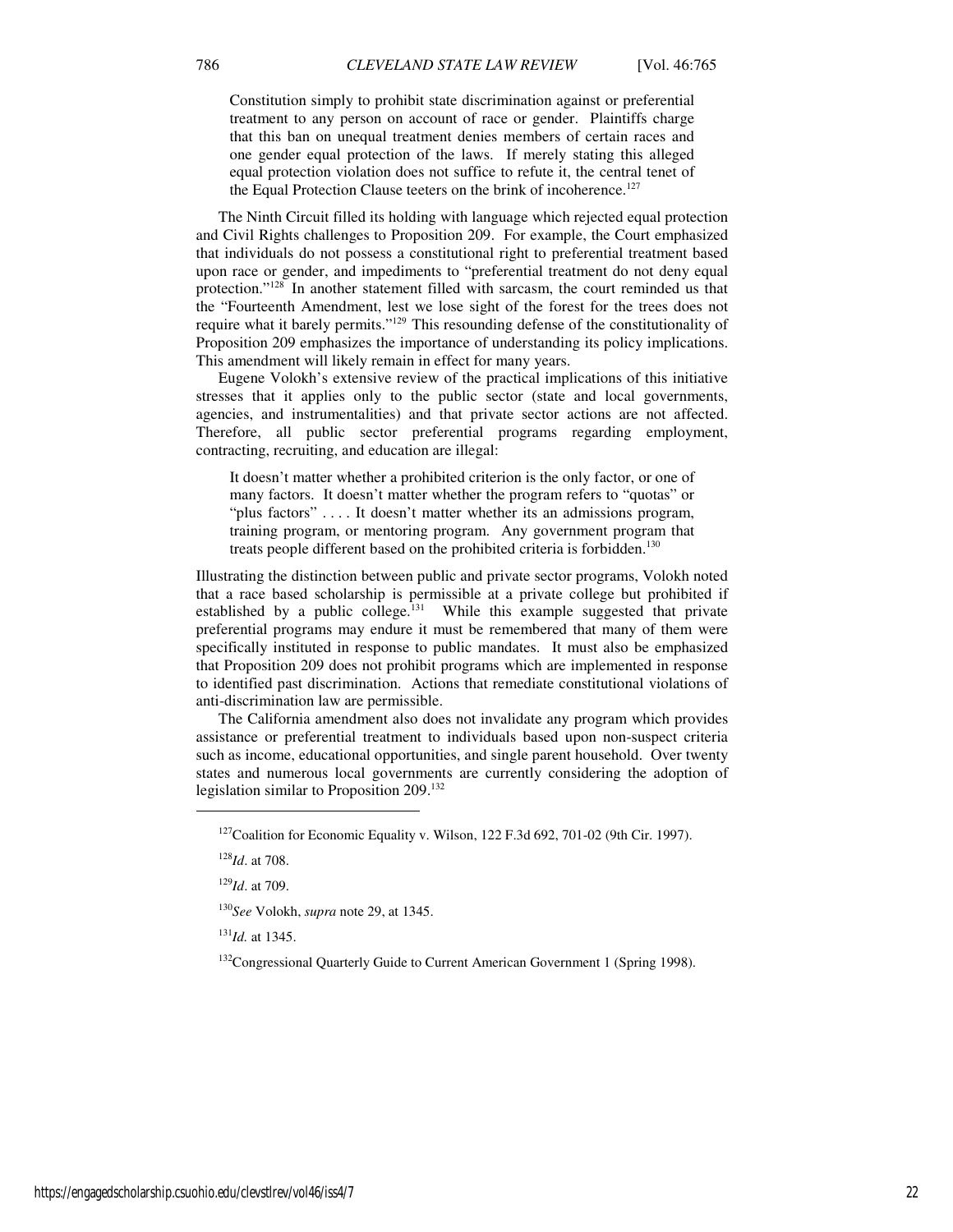Constitution simply to prohibit state discrimination against or preferential treatment to any person on account of race or gender. Plaintiffs charge that this ban on unequal treatment denies members of certain races and one gender equal protection of the laws. If merely stating this alleged equal protection violation does not suffice to refute it, the central tenet of the Equal Protection Clause teeters on the brink of incoherence.<sup>127</sup>

The Ninth Circuit filled its holding with language which rejected equal protection and Civil Rights challenges to Proposition 209. For example, the Court emphasized that individuals do not possess a constitutional right to preferential treatment based upon race or gender, and impediments to "preferential treatment do not deny equal protection."<sup>128</sup> In another statement filled with sarcasm, the court reminded us that the "Fourteenth Amendment, lest we lose sight of the forest for the trees does not require what it barely permits."<sup>129</sup> This resounding defense of the constitutionality of Proposition 209 emphasizes the importance of understanding its policy implications. This amendment will likely remain in effect for many years.

Eugene Volokh's extensive review of the practical implications of this initiative stresses that it applies only to the public sector (state and local governments, agencies, and instrumentalities) and that private sector actions are not affected. Therefore, all public sector preferential programs regarding employment, contracting, recruiting, and education are illegal:

It doesn't matter whether a prohibited criterion is the only factor, or one of many factors. It doesn't matter whether the program refers to "quotas" or "plus factors" .... It doesn't matter whether its an admissions program, training program, or mentoring program. Any government program that treats people different based on the prohibited criteria is forbidden.<sup>130</sup>

Illustrating the distinction between public and private sector programs, Volokh noted that a race based scholarship is permissible at a private college but prohibited if established by a public college.<sup>131</sup> While this example suggested that private preferential programs may endure it must be remembered that many of them were specifically instituted in response to public mandates. It must also be emphasized that Proposition 209 does not prohibit programs which are implemented in response to identified past discrimination. Actions that remediate constitutional violations of anti-discrimination law are permissible.

The California amendment also does not invalidate any program which provides assistance or preferential treatment to individuals based upon non-suspect criteria such as income, educational opportunities, and single parent household. Over twenty states and numerous local governments are currently considering the adoption of legislation similar to Proposition 209.<sup>132</sup>

j

<sup>129</sup>*Id*. at 709.

<sup>130</sup>*See* Volokh, *supra* note 29, at 1345.

<sup>131</sup>*Id.* at 1345.

<sup>132</sup>Congressional Quarterly Guide to Current American Government 1 (Spring 1998).

 $127$ Coalition for Economic Equality v. Wilson, 122 F.3d 692, 701-02 (9th Cir. 1997).

<sup>128</sup>*Id*. at 708.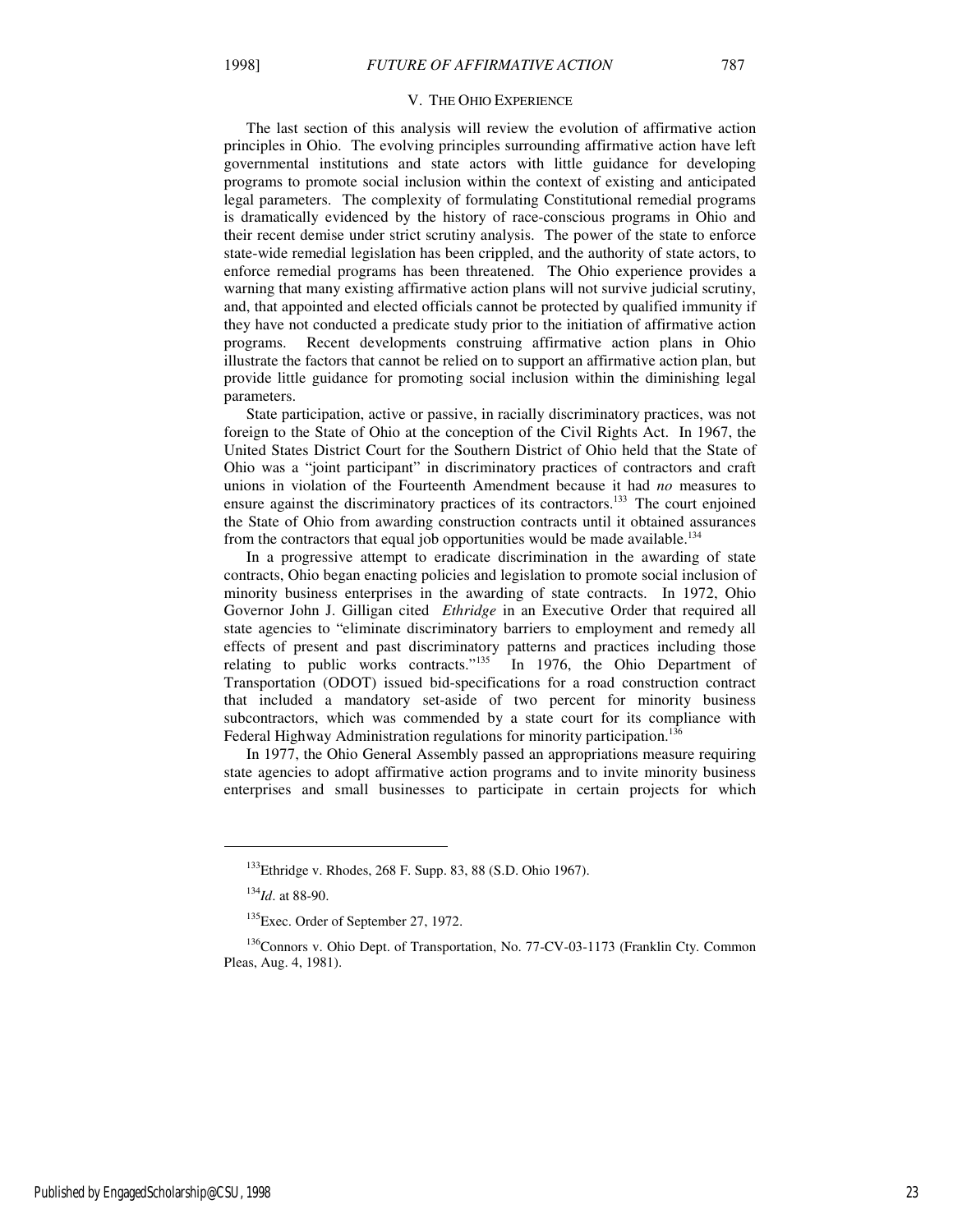The last section of this analysis will review the evolution of affirmative action principles in Ohio. The evolving principles surrounding affirmative action have left governmental institutions and state actors with little guidance for developing programs to promote social inclusion within the context of existing and anticipated legal parameters. The complexity of formulating Constitutional remedial programs is dramatically evidenced by the history of race-conscious programs in Ohio and their recent demise under strict scrutiny analysis. The power of the state to enforce state-wide remedial legislation has been crippled, and the authority of state actors, to enforce remedial programs has been threatened. The Ohio experience provides a warning that many existing affirmative action plans will not survive judicial scrutiny, and, that appointed and elected officials cannot be protected by qualified immunity if they have not conducted a predicate study prior to the initiation of affirmative action programs. Recent developments construing affirmative action plans in Ohio illustrate the factors that cannot be relied on to support an affirmative action plan, but provide little guidance for promoting social inclusion within the diminishing legal parameters.

State participation, active or passive, in racially discriminatory practices, was not foreign to the State of Ohio at the conception of the Civil Rights Act. In 1967, the United States District Court for the Southern District of Ohio held that the State of Ohio was a "joint participant" in discriminatory practices of contractors and craft unions in violation of the Fourteenth Amendment because it had *no* measures to ensure against the discriminatory practices of its contractors.<sup>133</sup> The court enjoined the State of Ohio from awarding construction contracts until it obtained assurances from the contractors that equal job opportunities would be made available.<sup>134</sup>

In a progressive attempt to eradicate discrimination in the awarding of state contracts, Ohio began enacting policies and legislation to promote social inclusion of minority business enterprises in the awarding of state contracts. In 1972, Ohio Governor John J. Gilligan cited *Ethridge* in an Executive Order that required all state agencies to "eliminate discriminatory barriers to employment and remedy all effects of present and past discriminatory patterns and practices including those relating to public works contracts."<sup>135</sup> In 1976, the Ohio Department of Transportation (ODOT) issued bid-specifications for a road construction contract that included a mandatory set-aside of two percent for minority business subcontractors, which was commended by a state court for its compliance with Federal Highway Administration regulations for minority participation.<sup>136</sup>

In 1977, the Ohio General Assembly passed an appropriations measure requiring state agencies to adopt affirmative action programs and to invite minority business enterprises and small businesses to participate in certain projects for which

<sup>134</sup>*Id*. at 88-90.

1

Published by EngagedScholarship@CSU, 1998 23

<sup>&</sup>lt;sup>133</sup>Ethridge v. Rhodes, 268 F. Supp. 83, 88 (S.D. Ohio 1967).

<sup>&</sup>lt;sup>135</sup>Exec. Order of September 27, 1972.

<sup>&</sup>lt;sup>136</sup>Connors v. Ohio Dept. of Transportation, No. 77-CV-03-1173 (Franklin Cty. Common Pleas, Aug. 4, 1981).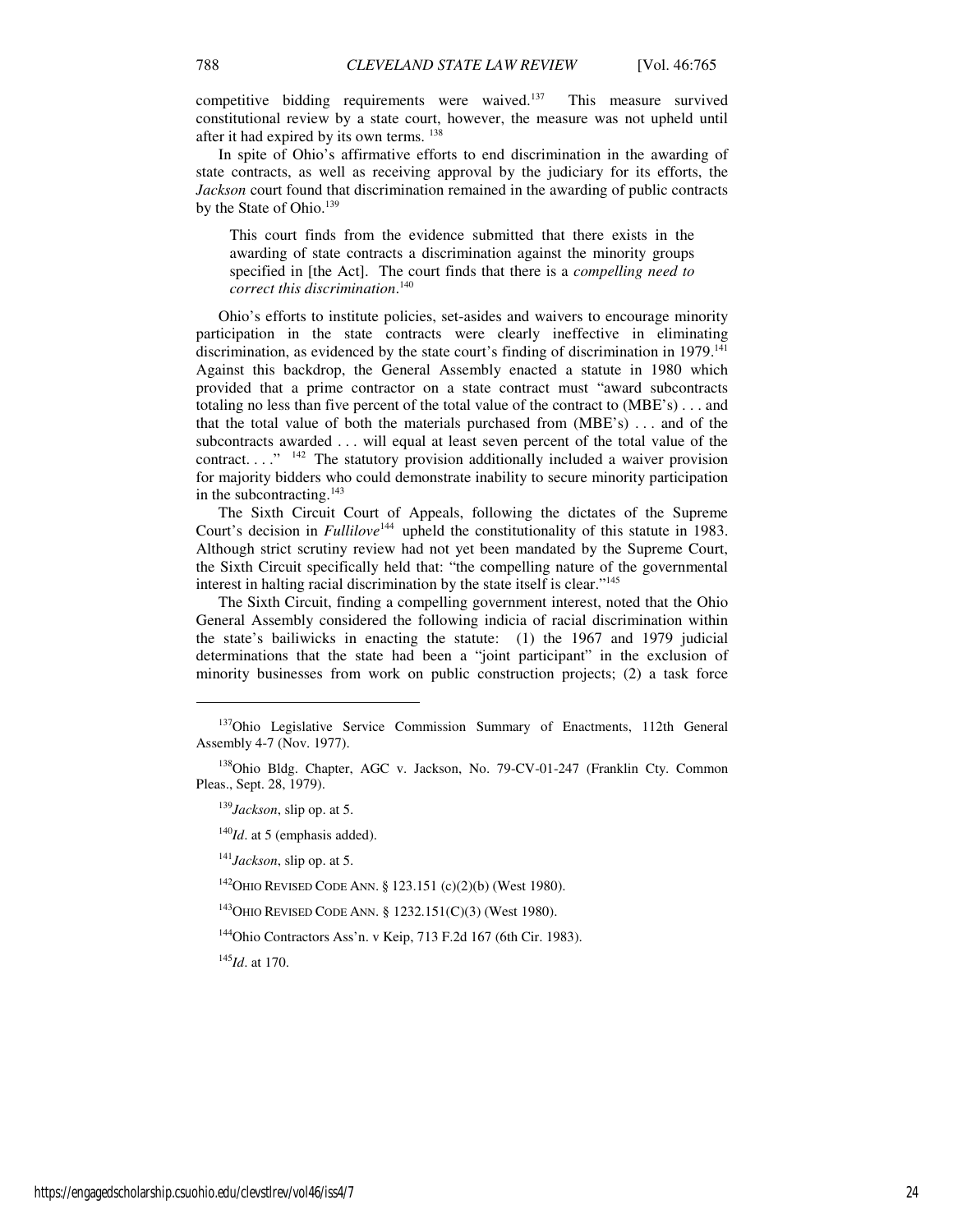competitive bidding requirements were waived.<sup>137</sup> This measure survived constitutional review by a state court, however, the measure was not upheld until after it had expired by its own terms. <sup>138</sup>

In spite of Ohio's affirmative efforts to end discrimination in the awarding of state contracts, as well as receiving approval by the judiciary for its efforts, the *Jackson* court found that discrimination remained in the awarding of public contracts by the State of Ohio.<sup>139</sup>

This court finds from the evidence submitted that there exists in the awarding of state contracts a discrimination against the minority groups specified in [the Act]. The court finds that there is a *compelling need to correct this discrimination*. 140

Ohio's efforts to institute policies, set-asides and waivers to encourage minority participation in the state contracts were clearly ineffective in eliminating discrimination, as evidenced by the state court's finding of discrimination in 1979.<sup>141</sup> Against this backdrop, the General Assembly enacted a statute in 1980 which provided that a prime contractor on a state contract must "award subcontracts totaling no less than five percent of the total value of the contract to (MBE's) . . . and that the total value of both the materials purchased from  $(MBE's)$ ... and of the subcontracts awarded . . . will equal at least seven percent of the total value of the contract.  $\ldots$ <sup>"</sup> <sup>142</sup> The statutory provision additionally included a waiver provision for majority bidders who could demonstrate inability to secure minority participation in the subcontracting. $143$ 

The Sixth Circuit Court of Appeals, following the dictates of the Supreme Court's decision in *Fullilove*<sup>144</sup> upheld the constitutionality of this statute in 1983. Although strict scrutiny review had not yet been mandated by the Supreme Court, the Sixth Circuit specifically held that: "the compelling nature of the governmental interest in halting racial discrimination by the state itself is clear."<sup>145</sup>

The Sixth Circuit, finding a compelling government interest, noted that the Ohio General Assembly considered the following indicia of racial discrimination within the state's bailiwicks in enacting the statute: (1) the 1967 and 1979 judicial determinations that the state had been a "joint participant" in the exclusion of minority businesses from work on public construction projects; (2) a task force

<sup>139</sup>*Jackson*, slip op. at 5.

<sup>140</sup>*Id*. at 5 (emphasis added).

<sup>141</sup>*Jackson*, slip op. at 5.

<sup>142</sup>OHIO REVISED CODE ANN. § 123.151 (c)(2)(b) (West 1980).

<sup>143</sup>OHIO REVISED CODE ANN. § 1232.151(C)(3) (West 1980).

<sup>144</sup>Ohio Contractors Ass'n. v Keip, 713 F.2d 167 (6th Cir. 1983).

<sup>145</sup>*Id*. at 170.

j

<sup>&</sup>lt;sup>137</sup>Ohio Legislative Service Commission Summary of Enactments, 112th General Assembly 4-7 (Nov. 1977).

<sup>138</sup>Ohio Bldg. Chapter, AGC v. Jackson, No. 79-CV-01-247 (Franklin Cty. Common Pleas., Sept. 28, 1979).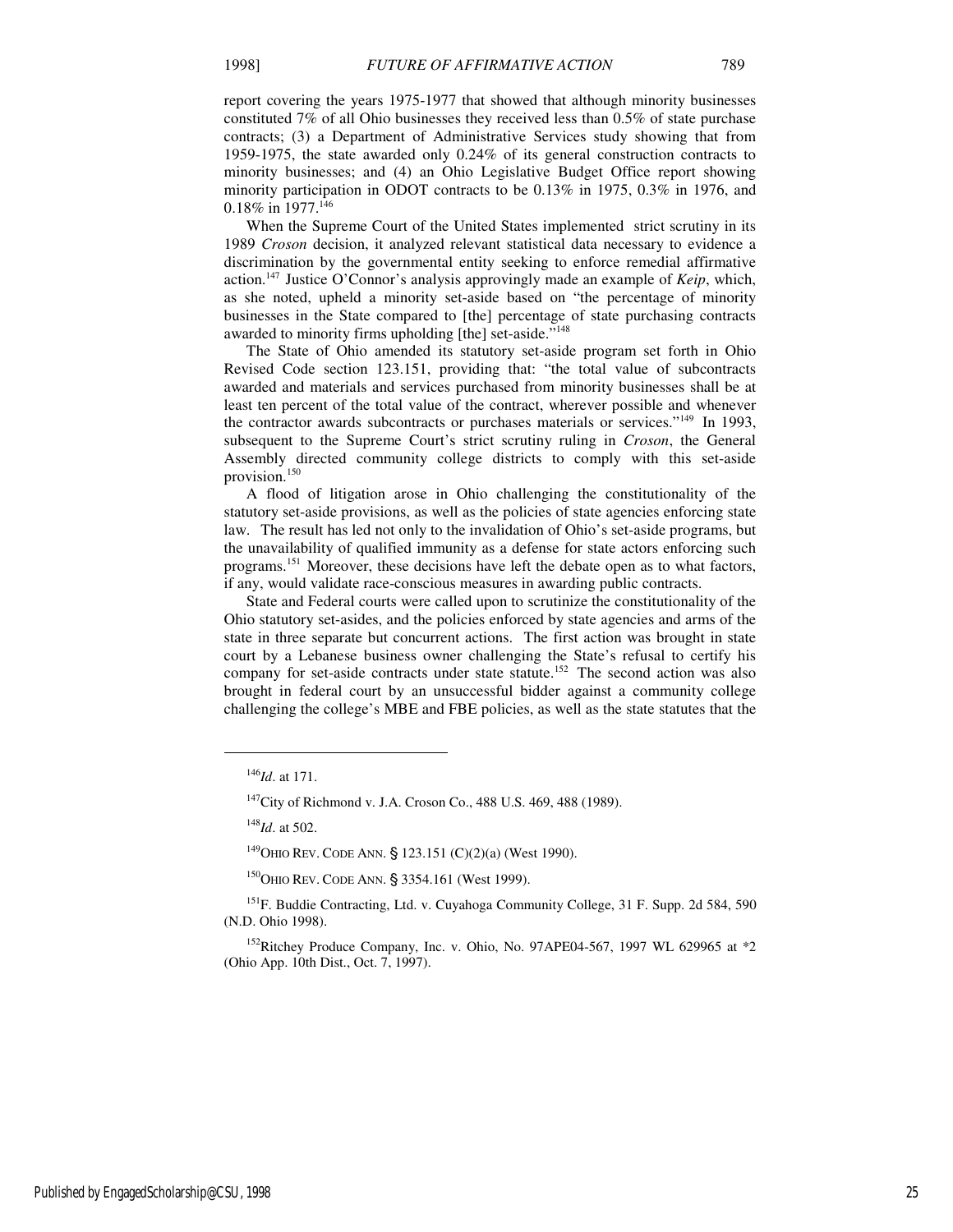report covering the years 1975-1977 that showed that although minority businesses constituted 7% of all Ohio businesses they received less than 0.5% of state purchase contracts; (3) a Department of Administrative Services study showing that from 1959-1975, the state awarded only 0.24% of its general construction contracts to minority businesses; and (4) an Ohio Legislative Budget Office report showing minority participation in ODOT contracts to be 0.13% in 1975, 0.3% in 1976, and 0.18% in 1977.<sup>146</sup>

When the Supreme Court of the United States implemented strict scrutiny in its 1989 *Croson* decision, it analyzed relevant statistical data necessary to evidence a discrimination by the governmental entity seeking to enforce remedial affirmative action.<sup>147</sup> Justice O'Connor's analysis approvingly made an example of *Keip*, which, as she noted, upheld a minority set-aside based on "the percentage of minority businesses in the State compared to [the] percentage of state purchasing contracts awarded to minority firms upholding [the] set-aside."<sup>148</sup>

The State of Ohio amended its statutory set-aside program set forth in Ohio Revised Code section 123.151, providing that: "the total value of subcontracts awarded and materials and services purchased from minority businesses shall be at least ten percent of the total value of the contract, wherever possible and whenever the contractor awards subcontracts or purchases materials or services." $149$  In 1993, subsequent to the Supreme Court's strict scrutiny ruling in *Croson*, the General Assembly directed community college districts to comply with this set-aside provision.<sup>150</sup>

A flood of litigation arose in Ohio challenging the constitutionality of the statutory set-aside provisions, as well as the policies of state agencies enforcing state law. The result has led not only to the invalidation of Ohio's set-aside programs, but the unavailability of qualified immunity as a defense for state actors enforcing such programs.<sup>151</sup> Moreover, these decisions have left the debate open as to what factors, if any, would validate race-conscious measures in awarding public contracts.

State and Federal courts were called upon to scrutinize the constitutionality of the Ohio statutory set-asides, and the policies enforced by state agencies and arms of the state in three separate but concurrent actions. The first action was brought in state court by a Lebanese business owner challenging the State's refusal to certify his company for set-aside contracts under state statute.<sup>152</sup> The second action was also brought in federal court by an unsuccessful bidder against a community college challenging the college's MBE and FBE policies, as well as the state statutes that the

<sup>146</sup>*Id*. at 171.

<sup>&</sup>lt;sup>147</sup>City of Richmond v. J.A. Croson Co., 488 U.S. 469, 488 (1989).

<sup>148</sup>*Id*. at 502.

 $149$ OHIO REV. CODE ANN. § 123.151 (C)(2)(a) (West 1990).

<sup>&</sup>lt;sup>150</sup>OHIO REV. CODE ANN. § 3354.161 (West 1999).

<sup>&</sup>lt;sup>151</sup>F. Buddie Contracting, Ltd. v. Cuyahoga Community College, 31 F. Supp. 2d 584, 590 (N.D. Ohio 1998).

<sup>&</sup>lt;sup>152</sup>Ritchey Produce Company, Inc. v. Ohio, No. 97APE04-567, 1997 WL 629965 at \*2 (Ohio App. 10th Dist., Oct. 7, 1997).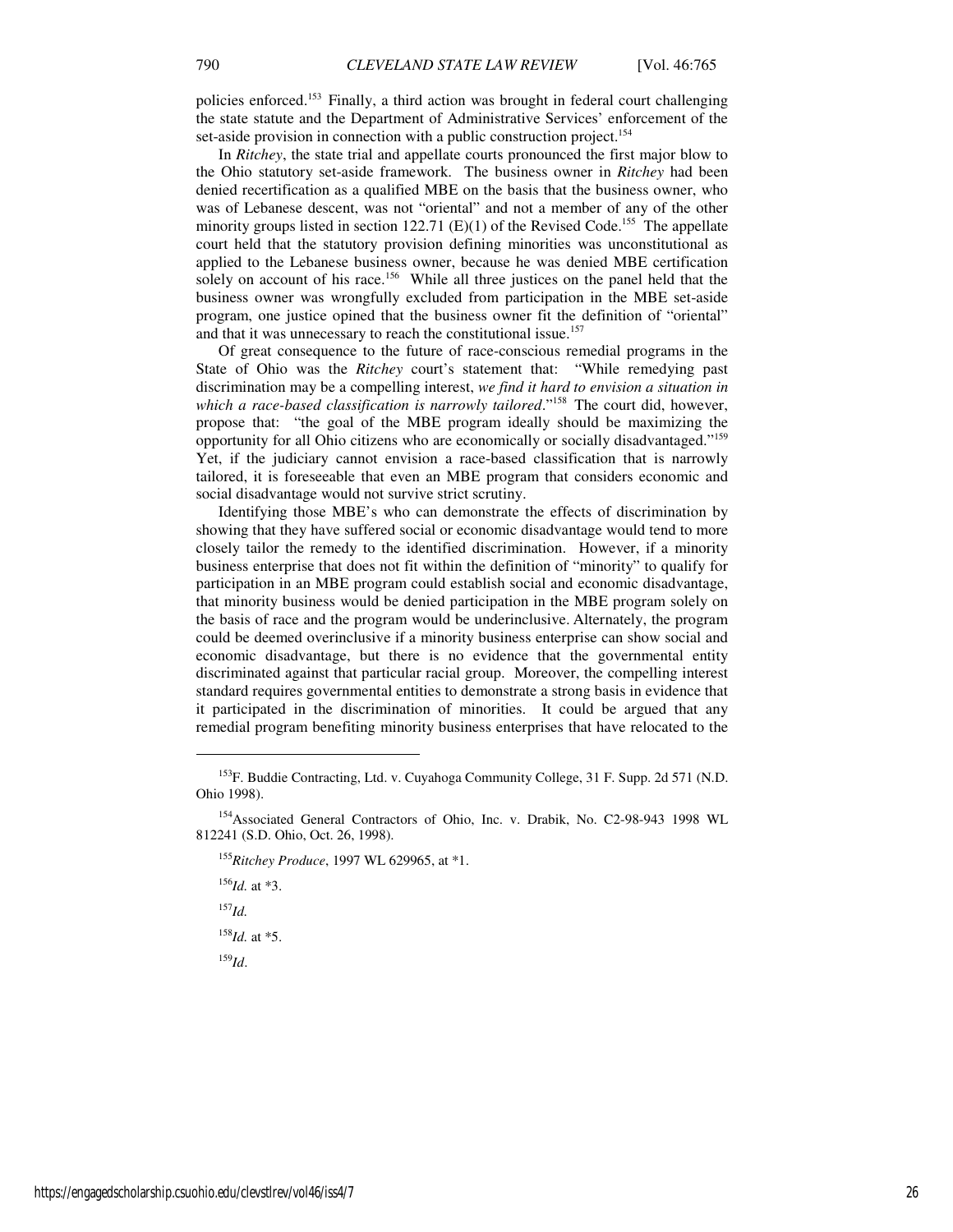policies enforced.<sup>153</sup> Finally, a third action was brought in federal court challenging the state statute and the Department of Administrative Services' enforcement of the set-aside provision in connection with a public construction project.<sup>154</sup>

In *Ritchey*, the state trial and appellate courts pronounced the first major blow to the Ohio statutory set-aside framework. The business owner in *Ritchey* had been denied recertification as a qualified MBE on the basis that the business owner, who was of Lebanese descent, was not "oriental" and not a member of any of the other minority groups listed in section 122.71 (E)(1) of the Revised Code.<sup>155</sup> The appellate court held that the statutory provision defining minorities was unconstitutional as applied to the Lebanese business owner, because he was denied MBE certification solely on account of his race.<sup>156</sup> While all three justices on the panel held that the business owner was wrongfully excluded from participation in the MBE set-aside program, one justice opined that the business owner fit the definition of "oriental" and that it was unnecessary to reach the constitutional issue.<sup>157</sup>

Of great consequence to the future of race-conscious remedial programs in the State of Ohio was the *Ritchey* court's statement that: "While remedying past discrimination may be a compelling interest, *we find it hard to envision a situation in*  which a race-based classification is narrowly tailored."<sup>158</sup> The court did, however, propose that: "the goal of the MBE program ideally should be maximizing the opportunity for all Ohio citizens who are economically or socially disadvantaged."<sup>159</sup> Yet, if the judiciary cannot envision a race-based classification that is narrowly tailored, it is foreseeable that even an MBE program that considers economic and social disadvantage would not survive strict scrutiny.

Identifying those MBE's who can demonstrate the effects of discrimination by showing that they have suffered social or economic disadvantage would tend to more closely tailor the remedy to the identified discrimination. However, if a minority business enterprise that does not fit within the definition of "minority" to qualify for participation in an MBE program could establish social and economic disadvantage, that minority business would be denied participation in the MBE program solely on the basis of race and the program would be underinclusive. Alternately, the program could be deemed overinclusive if a minority business enterprise can show social and economic disadvantage, but there is no evidence that the governmental entity discriminated against that particular racial group. Moreover, the compelling interest standard requires governmental entities to demonstrate a strong basis in evidence that it participated in the discrimination of minorities. It could be argued that any remedial program benefiting minority business enterprises that have relocated to the

<sup>156</sup>*Id.* at \*3.  $^{157}$ *Id.* 

<sup>158</sup>*Id.* at \*5.

<sup>159</sup>*Id*.

<sup>153</sup>F. Buddie Contracting, Ltd. v. Cuyahoga Community College, 31 F. Supp. 2d 571 (N.D. Ohio 1998).

<sup>154</sup>Associated General Contractors of Ohio, Inc. v. Drabik, No. C2-98-943 1998 WL 812241 (S.D. Ohio, Oct. 26, 1998).

<sup>155</sup>*Ritchey Produce*, 1997 WL 629965, at \*1.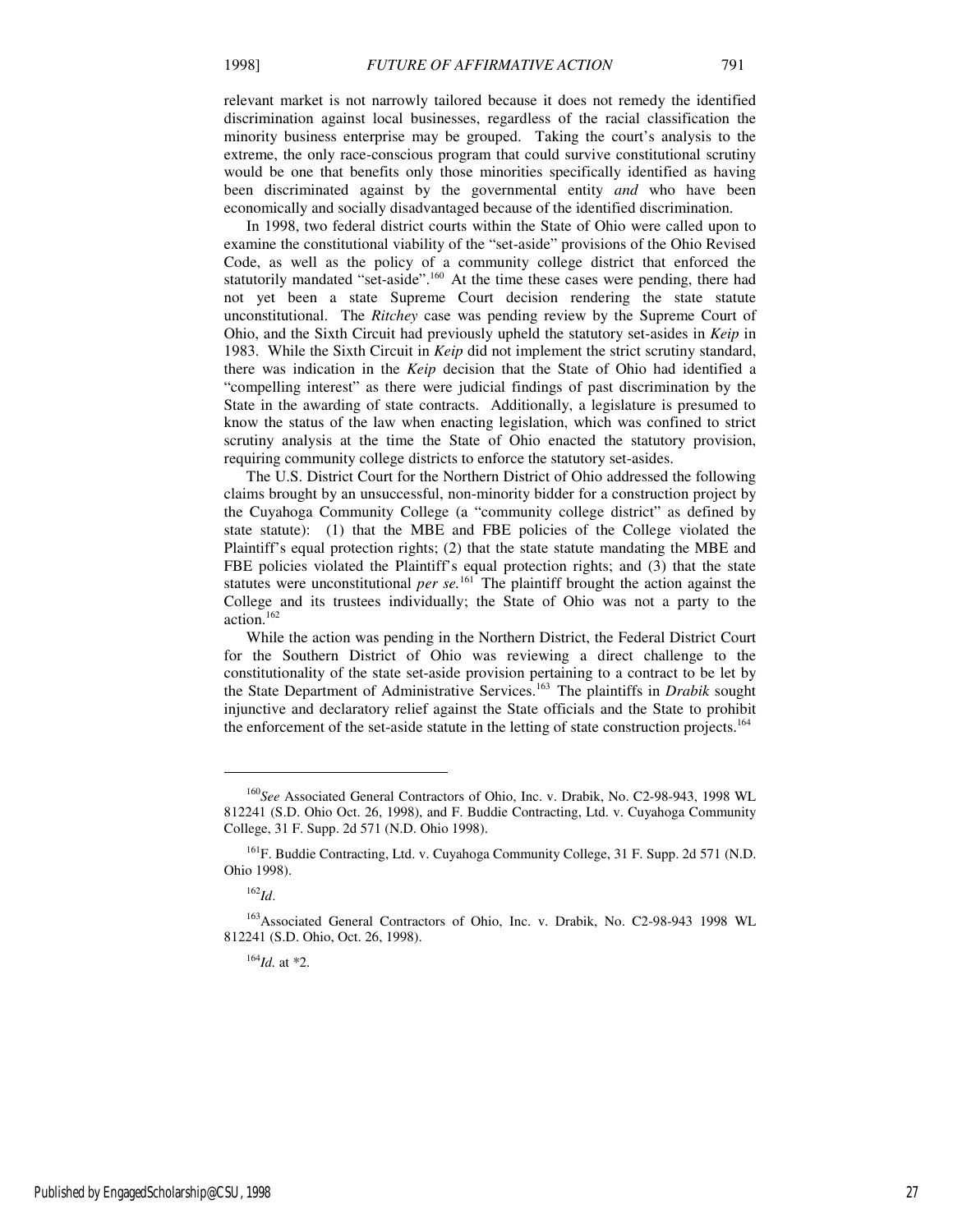relevant market is not narrowly tailored because it does not remedy the identified discrimination against local businesses, regardless of the racial classification the minority business enterprise may be grouped. Taking the court's analysis to the extreme, the only race-conscious program that could survive constitutional scrutiny would be one that benefits only those minorities specifically identified as having been discriminated against by the governmental entity *and* who have been economically and socially disadvantaged because of the identified discrimination.

In 1998, two federal district courts within the State of Ohio were called upon to examine the constitutional viability of the "set-aside" provisions of the Ohio Revised Code, as well as the policy of a community college district that enforced the statutorily mandated "set-aside".<sup>160</sup> At the time these cases were pending, there had not yet been a state Supreme Court decision rendering the state statute unconstitutional. The *Ritchey* case was pending review by the Supreme Court of Ohio, and the Sixth Circuit had previously upheld the statutory set-asides in *Keip* in 1983. While the Sixth Circuit in *Keip* did not implement the strict scrutiny standard, there was indication in the *Keip* decision that the State of Ohio had identified a "compelling interest" as there were judicial findings of past discrimination by the State in the awarding of state contracts. Additionally, a legislature is presumed to know the status of the law when enacting legislation, which was confined to strict scrutiny analysis at the time the State of Ohio enacted the statutory provision, requiring community college districts to enforce the statutory set-asides.

The U.S. District Court for the Northern District of Ohio addressed the following claims brought by an unsuccessful, non-minority bidder for a construction project by the Cuyahoga Community College (a "community college district" as defined by state statute): (1) that the MBE and FBE policies of the College violated the Plaintiff's equal protection rights; (2) that the state statute mandating the MBE and FBE policies violated the Plaintiff's equal protection rights; and (3) that the state statutes were unconstitutional *per se.*<sup>161</sup> The plaintiff brought the action against the College and its trustees individually; the State of Ohio was not a party to the action.<sup>162</sup>

While the action was pending in the Northern District, the Federal District Court for the Southern District of Ohio was reviewing a direct challenge to the constitutionality of the state set-aside provision pertaining to a contract to be let by the State Department of Administrative Services.<sup>163</sup> The plaintiffs in *Drabik* sought injunctive and declaratory relief against the State officials and the State to prohibit the enforcement of the set-aside statute in the letting of state construction projects.<sup>164</sup>

1

<sup>164</sup>*Id.* at \*2.

<sup>160</sup>*See* Associated General Contractors of Ohio, Inc. v. Drabik, No. C2-98-943, 1998 WL 812241 (S.D. Ohio Oct. 26, 1998), and F. Buddie Contracting, Ltd. v. Cuyahoga Community College, 31 F. Supp. 2d 571 (N.D. Ohio 1998).

<sup>161</sup>F. Buddie Contracting, Ltd. v. Cuyahoga Community College, 31 F. Supp. 2d 571 (N.D. Ohio 1998).

<sup>162</sup>*Id*.

<sup>&</sup>lt;sup>163</sup>Associated General Contractors of Ohio, Inc. v. Drabik, No. C2-98-943 1998 WL 812241 (S.D. Ohio, Oct. 26, 1998).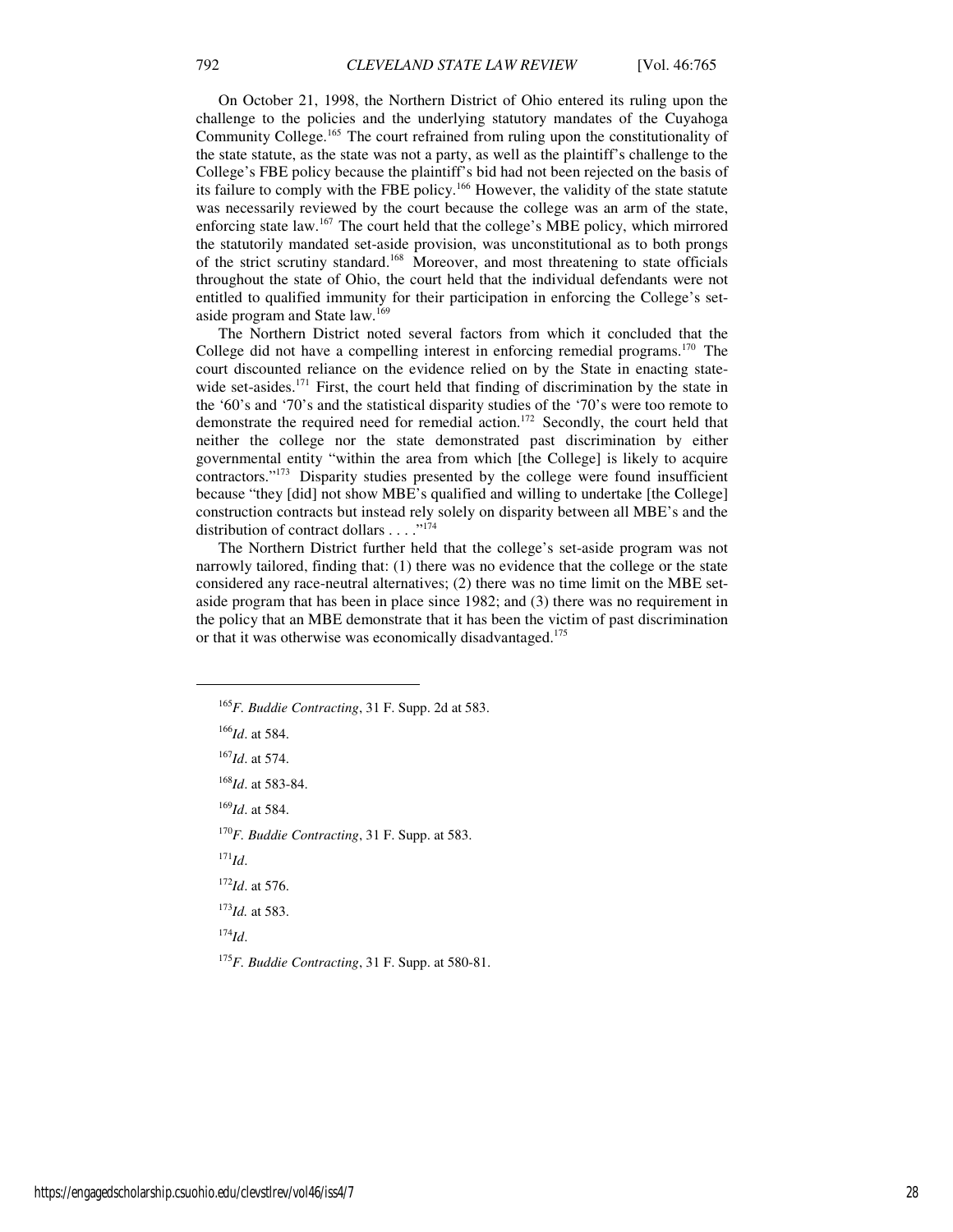On October 21, 1998, the Northern District of Ohio entered its ruling upon the challenge to the policies and the underlying statutory mandates of the Cuyahoga Community College.<sup>165</sup> The court refrained from ruling upon the constitutionality of the state statute, as the state was not a party, as well as the plaintiff's challenge to the College's FBE policy because the plaintiff's bid had not been rejected on the basis of its failure to comply with the FBE policy.<sup>166</sup> However, the validity of the state statute was necessarily reviewed by the court because the college was an arm of the state, enforcing state law.<sup>167</sup> The court held that the college's MBE policy, which mirrored the statutorily mandated set-aside provision, was unconstitutional as to both prongs of the strict scrutiny standard.<sup>168</sup> Moreover, and most threatening to state officials throughout the state of Ohio, the court held that the individual defendants were not entitled to qualified immunity for their participation in enforcing the College's setaside program and State law.<sup>169</sup>

The Northern District noted several factors from which it concluded that the College did not have a compelling interest in enforcing remedial programs.<sup>170</sup> The court discounted reliance on the evidence relied on by the State in enacting statewide set-asides.<sup>171</sup> First, the court held that finding of discrimination by the state in the '60's and '70's and the statistical disparity studies of the '70's were too remote to demonstrate the required need for remedial action.<sup>172</sup> Secondly, the court held that neither the college nor the state demonstrated past discrimination by either governmental entity "within the area from which [the College] is likely to acquire contractors."<sup>173</sup> Disparity studies presented by the college were found insufficient because "they [did] not show MBE's qualified and willing to undertake [the College] construction contracts but instead rely solely on disparity between all MBE's and the distribution of contract dollars  $\dots$ ."<sup>174</sup>

The Northern District further held that the college's set-aside program was not narrowly tailored, finding that: (1) there was no evidence that the college or the state considered any race-neutral alternatives; (2) there was no time limit on the MBE setaside program that has been in place since 1982; and (3) there was no requirement in the policy that an MBE demonstrate that it has been the victim of past discrimination or that it was otherwise was economically disadvantaged.<sup>175</sup>

<sup>166</sup>*Id*. at 584. <sup>167</sup>*Id*. at 574.

<sup>168</sup>*Id*. at 583-84.

<sup>169</sup>*Id*. at 584.

<sup>170</sup>*F. Buddie Contracting*, 31 F. Supp. at 583.

<sup>171</sup>*Id*.

j

<sup>172</sup>*Id*. at 576.

<sup>173</sup>*Id.* at 583.

<sup>174</sup>*Id*.

<sup>175</sup>*F. Buddie Contracting*, 31 F. Supp. at 580-81.

<sup>165</sup>*F. Buddie Contracting*, 31 F. Supp. 2d at 583.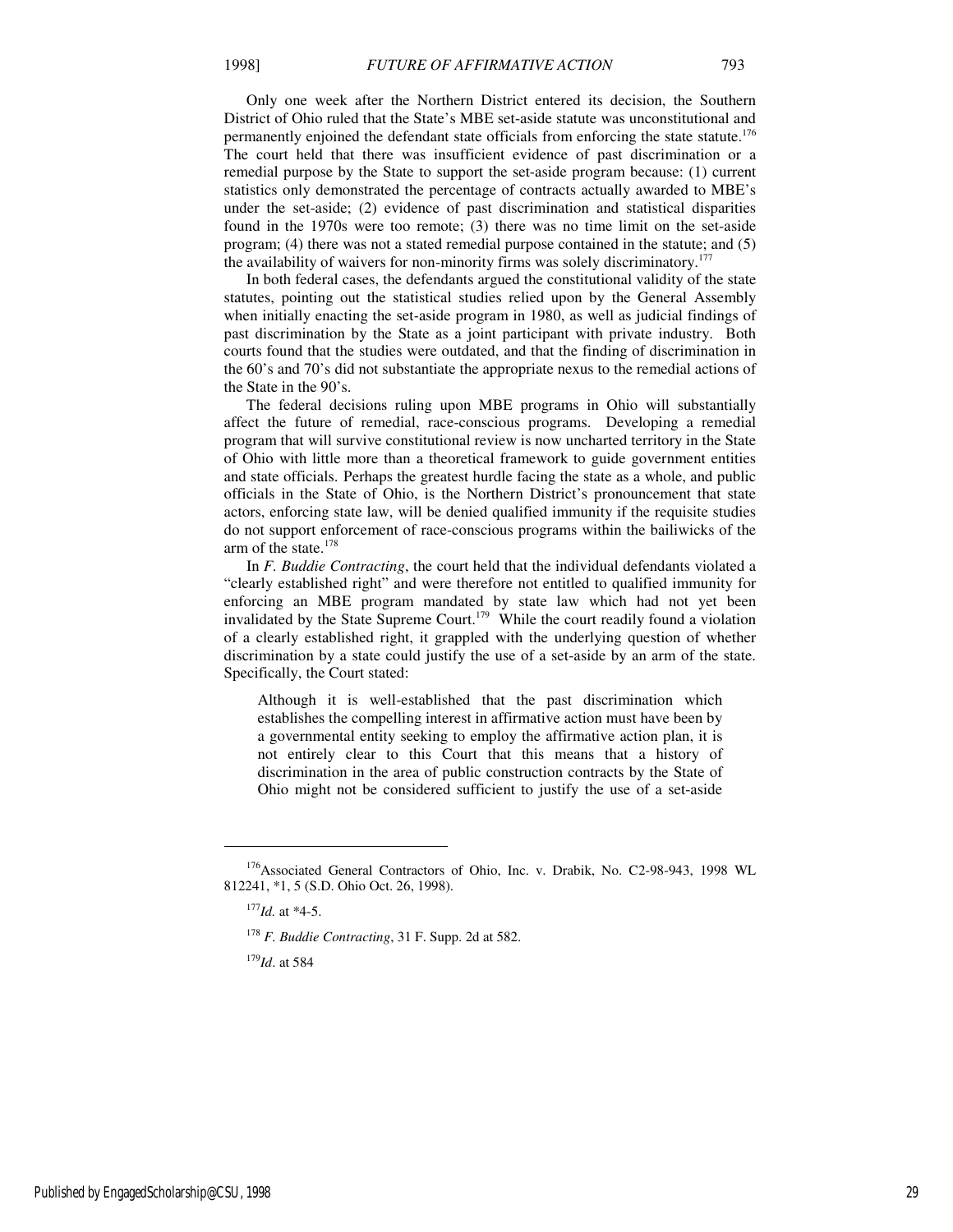Only one week after the Northern District entered its decision, the Southern District of Ohio ruled that the State's MBE set-aside statute was unconstitutional and permanently enjoined the defendant state officials from enforcing the state statute.<sup>176</sup> The court held that there was insufficient evidence of past discrimination or a remedial purpose by the State to support the set-aside program because: (1) current statistics only demonstrated the percentage of contracts actually awarded to MBE's under the set-aside; (2) evidence of past discrimination and statistical disparities found in the 1970s were too remote; (3) there was no time limit on the set-aside program; (4) there was not a stated remedial purpose contained in the statute; and (5) the availability of waivers for non-minority firms was solely discriminatory.<sup>177</sup>

In both federal cases, the defendants argued the constitutional validity of the state statutes, pointing out the statistical studies relied upon by the General Assembly when initially enacting the set-aside program in 1980, as well as judicial findings of past discrimination by the State as a joint participant with private industry. Both courts found that the studies were outdated, and that the finding of discrimination in the 60's and 70's did not substantiate the appropriate nexus to the remedial actions of the State in the 90's.

The federal decisions ruling upon MBE programs in Ohio will substantially affect the future of remedial, race-conscious programs. Developing a remedial program that will survive constitutional review is now uncharted territory in the State of Ohio with little more than a theoretical framework to guide government entities and state officials. Perhaps the greatest hurdle facing the state as a whole, and public officials in the State of Ohio, is the Northern District's pronouncement that state actors, enforcing state law, will be denied qualified immunity if the requisite studies do not support enforcement of race-conscious programs within the bailiwicks of the arm of the state.<sup>178</sup>

In *F. Buddie Contracting*, the court held that the individual defendants violated a "clearly established right" and were therefore not entitled to qualified immunity for enforcing an MBE program mandated by state law which had not yet been invalidated by the State Supreme Court.<sup>179</sup> While the court readily found a violation of a clearly established right, it grappled with the underlying question of whether discrimination by a state could justify the use of a set-aside by an arm of the state. Specifically, the Court stated:

Although it is well-established that the past discrimination which establishes the compelling interest in affirmative action must have been by a governmental entity seeking to employ the affirmative action plan, it is not entirely clear to this Court that this means that a history of discrimination in the area of public construction contracts by the State of Ohio might not be considered sufficient to justify the use of a set-aside

 $\overline{a}$ 

<sup>179</sup>*Id*. at 584

<sup>&</sup>lt;sup>176</sup>Associated General Contractors of Ohio, Inc. v. Drabik, No. C2-98-943, 1998 WL 812241, \*1, 5 (S.D. Ohio Oct. 26, 1998).

<sup>177</sup>*Id.* at \*4-5.

<sup>178</sup> *F. Buddie Contracting*, 31 F. Supp. 2d at 582.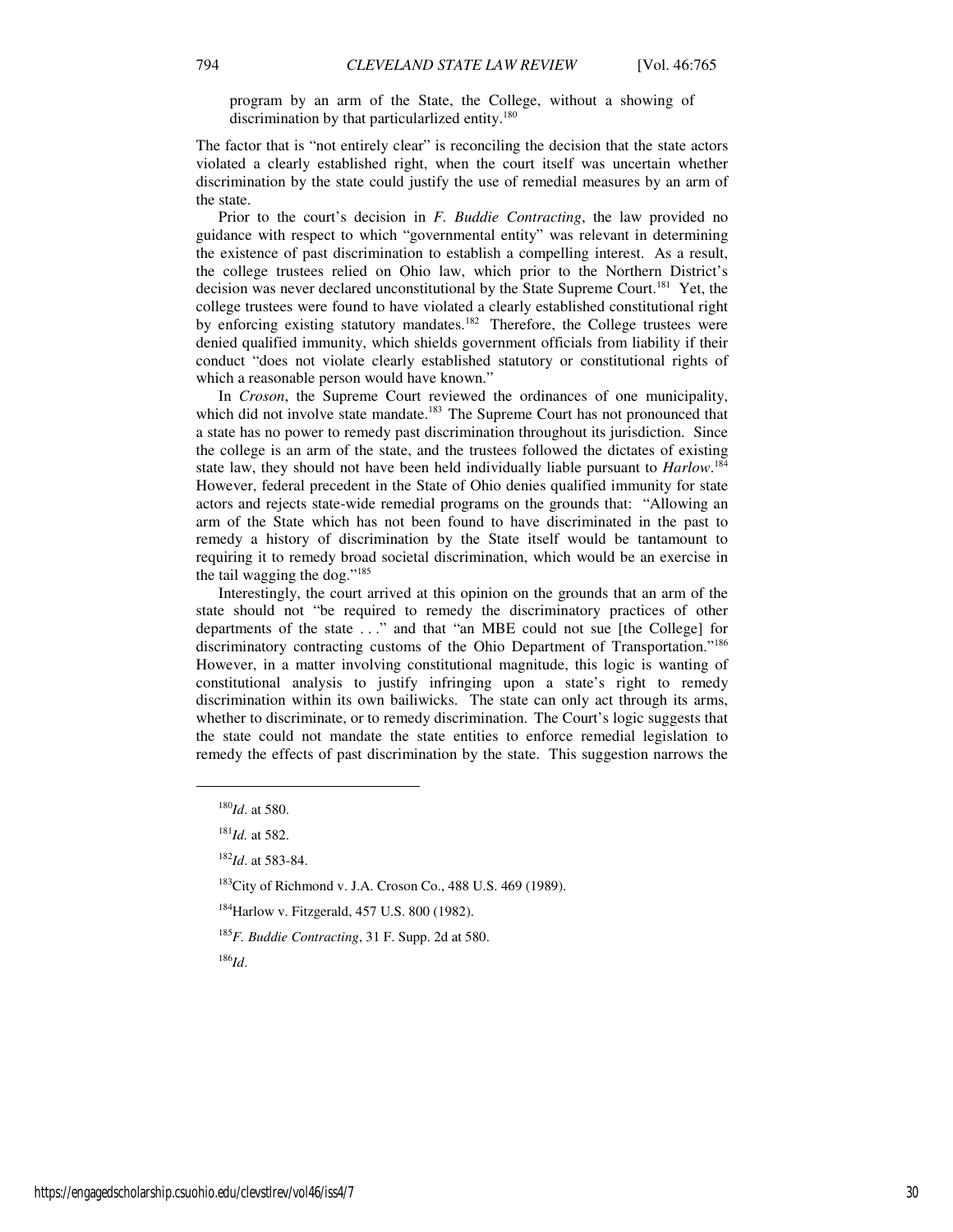program by an arm of the State, the College, without a showing of discrimination by that particularlized entity.<sup>180</sup>

The factor that is "not entirely clear" is reconciling the decision that the state actors violated a clearly established right, when the court itself was uncertain whether discrimination by the state could justify the use of remedial measures by an arm of the state.

Prior to the court's decision in *F. Buddie Contracting*, the law provided no guidance with respect to which "governmental entity" was relevant in determining the existence of past discrimination to establish a compelling interest. As a result, the college trustees relied on Ohio law, which prior to the Northern District's decision was never declared unconstitutional by the State Supreme Court.<sup>181</sup> Yet, the college trustees were found to have violated a clearly established constitutional right by enforcing existing statutory mandates.<sup>182</sup> Therefore, the College trustees were denied qualified immunity, which shields government officials from liability if their conduct "does not violate clearly established statutory or constitutional rights of which a reasonable person would have known."

In *Croson*, the Supreme Court reviewed the ordinances of one municipality, which did not involve state mandate. $183$  The Supreme Court has not pronounced that a state has no power to remedy past discrimination throughout its jurisdiction. Since the college is an arm of the state, and the trustees followed the dictates of existing state law, they should not have been held individually liable pursuant to *Harlow*. 184 However, federal precedent in the State of Ohio denies qualified immunity for state actors and rejects state-wide remedial programs on the grounds that: "Allowing an arm of the State which has not been found to have discriminated in the past to remedy a history of discrimination by the State itself would be tantamount to requiring it to remedy broad societal discrimination, which would be an exercise in the tail wagging the dog."<sup>185</sup>

Interestingly, the court arrived at this opinion on the grounds that an arm of the state should not "be required to remedy the discriminatory practices of other departments of the state . . ." and that "an MBE could not sue [the College] for discriminatory contracting customs of the Ohio Department of Transportation."<sup>186</sup> However, in a matter involving constitutional magnitude, this logic is wanting of constitutional analysis to justify infringing upon a state's right to remedy discrimination within its own bailiwicks. The state can only act through its arms, whether to discriminate, or to remedy discrimination. The Court's logic suggests that the state could not mandate the state entities to enforce remedial legislation to remedy the effects of past discrimination by the state. This suggestion narrows the

1

<sup>186</sup>*Id*.

<sup>180</sup>*Id*. at 580.

<sup>181</sup>*Id.* at 582.

<sup>182</sup>*Id*. at 583-84.

<sup>183</sup>City of Richmond v. J.A. Croson Co., 488 U.S. 469 (1989).

<sup>184</sup>Harlow v. Fitzgerald, 457 U.S. 800 (1982).

<sup>185</sup>*F. Buddie Contracting*, 31 F. Supp. 2d at 580.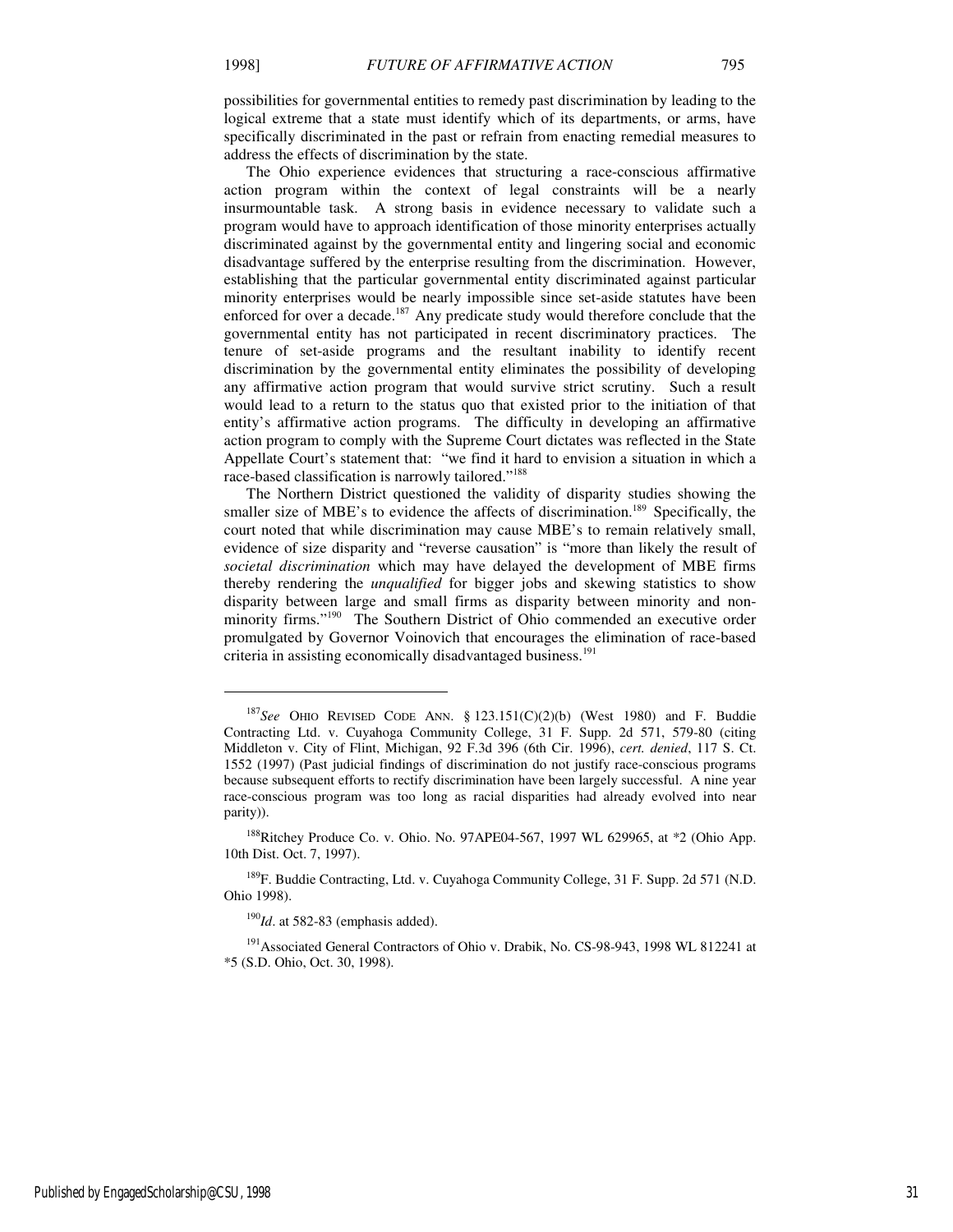possibilities for governmental entities to remedy past discrimination by leading to the logical extreme that a state must identify which of its departments, or arms, have specifically discriminated in the past or refrain from enacting remedial measures to address the effects of discrimination by the state.

The Ohio experience evidences that structuring a race-conscious affirmative action program within the context of legal constraints will be a nearly insurmountable task. A strong basis in evidence necessary to validate such a program would have to approach identification of those minority enterprises actually discriminated against by the governmental entity and lingering social and economic disadvantage suffered by the enterprise resulting from the discrimination. However, establishing that the particular governmental entity discriminated against particular minority enterprises would be nearly impossible since set-aside statutes have been enforced for over a decade.<sup>187</sup> Any predicate study would therefore conclude that the governmental entity has not participated in recent discriminatory practices. The tenure of set-aside programs and the resultant inability to identify recent discrimination by the governmental entity eliminates the possibility of developing any affirmative action program that would survive strict scrutiny. Such a result would lead to a return to the status quo that existed prior to the initiation of that entity's affirmative action programs. The difficulty in developing an affirmative action program to comply with the Supreme Court dictates was reflected in the State Appellate Court's statement that: "we find it hard to envision a situation in which a race-based classification is narrowly tailored."<sup>188</sup>

The Northern District questioned the validity of disparity studies showing the smaller size of MBE's to evidence the affects of discrimination.<sup>189</sup> Specifically, the court noted that while discrimination may cause MBE's to remain relatively small, evidence of size disparity and "reverse causation" is "more than likely the result of *societal discrimination* which may have delayed the development of MBE firms thereby rendering the *unqualified* for bigger jobs and skewing statistics to show disparity between large and small firms as disparity between minority and nonminority firms."<sup>190</sup> The Southern District of Ohio commended an executive order promulgated by Governor Voinovich that encourages the elimination of race-based criteria in assisting economically disadvantaged business.<sup>191</sup>

 $190$ *Id.* at 582-83 (emphasis added).

<sup>187</sup>*See* OHIO REVISED CODE ANN. § 123.151(C)(2)(b) (West 1980) and F. Buddie Contracting Ltd. v. Cuyahoga Community College, 31 F. Supp. 2d 571, 579-80 (citing Middleton v. City of Flint, Michigan, 92 F.3d 396 (6th Cir. 1996), *cert. denied*, 117 S. Ct. 1552 (1997) (Past judicial findings of discrimination do not justify race-conscious programs because subsequent efforts to rectify discrimination have been largely successful. A nine year race-conscious program was too long as racial disparities had already evolved into near parity)).

<sup>188</sup>Ritchey Produce Co. v. Ohio. No. 97APE04-567, 1997 WL 629965, at \*2 (Ohio App. 10th Dist. Oct. 7, 1997).

<sup>&</sup>lt;sup>189</sup>F. Buddie Contracting, Ltd. v. Cuyahoga Community College, 31 F. Supp. 2d 571 (N.D. Ohio 1998).

<sup>&</sup>lt;sup>191</sup> Associated General Contractors of Ohio v. Drabik, No. CS-98-943, 1998 WL 812241 at \*5 (S.D. Ohio, Oct. 30, 1998).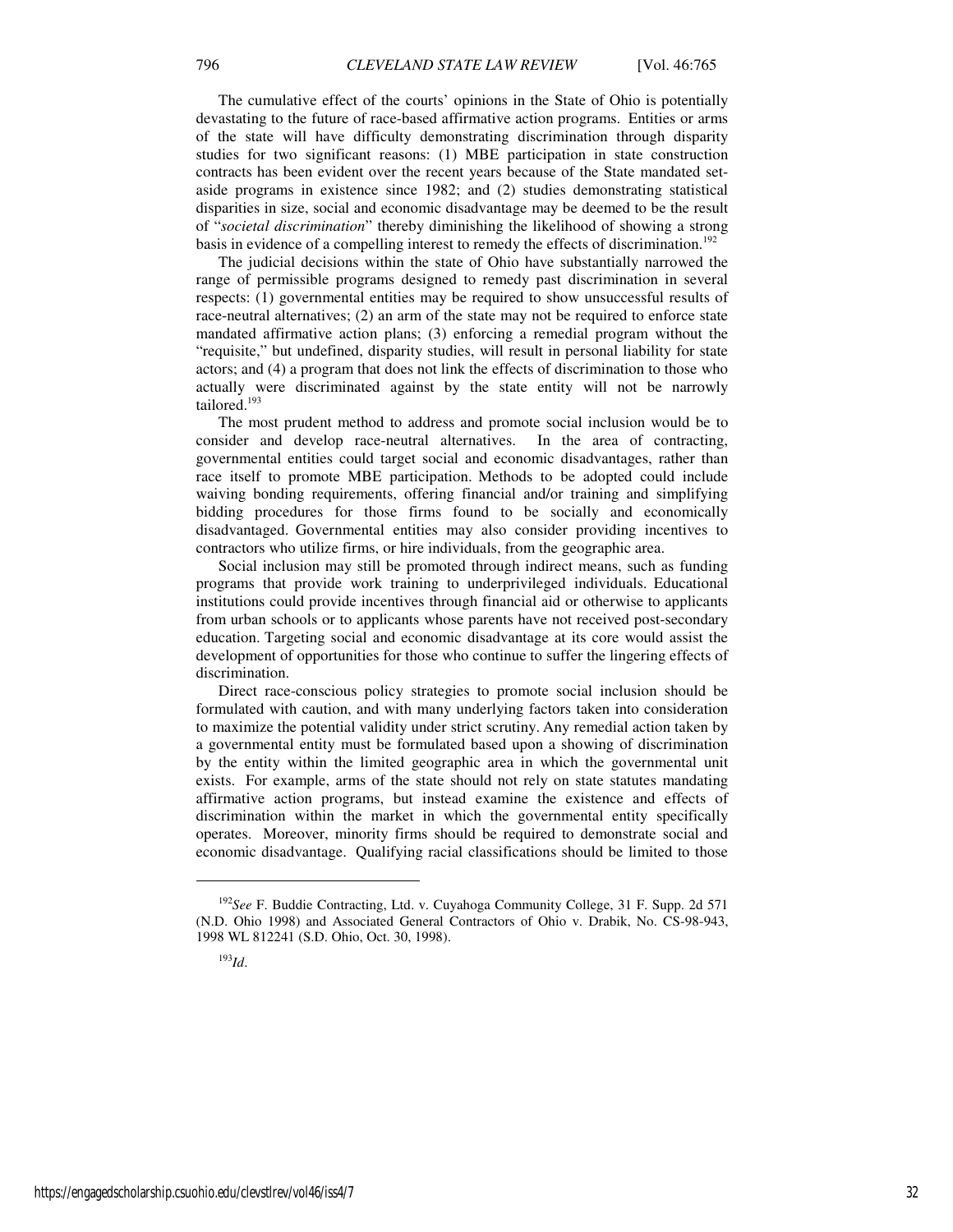The cumulative effect of the courts' opinions in the State of Ohio is potentially devastating to the future of race-based affirmative action programs. Entities or arms of the state will have difficulty demonstrating discrimination through disparity studies for two significant reasons: (1) MBE participation in state construction contracts has been evident over the recent years because of the State mandated setaside programs in existence since 1982; and (2) studies demonstrating statistical disparities in size, social and economic disadvantage may be deemed to be the result of "*societal discrimination*" thereby diminishing the likelihood of showing a strong basis in evidence of a compelling interest to remedy the effects of discrimination.<sup>192</sup>

The judicial decisions within the state of Ohio have substantially narrowed the range of permissible programs designed to remedy past discrimination in several respects: (1) governmental entities may be required to show unsuccessful results of race-neutral alternatives; (2) an arm of the state may not be required to enforce state mandated affirmative action plans; (3) enforcing a remedial program without the "requisite," but undefined, disparity studies, will result in personal liability for state actors; and (4) a program that does not link the effects of discrimination to those who actually were discriminated against by the state entity will not be narrowly tailored.<sup>193</sup>

The most prudent method to address and promote social inclusion would be to consider and develop race-neutral alternatives. In the area of contracting, governmental entities could target social and economic disadvantages, rather than race itself to promote MBE participation. Methods to be adopted could include waiving bonding requirements, offering financial and/or training and simplifying bidding procedures for those firms found to be socially and economically disadvantaged. Governmental entities may also consider providing incentives to contractors who utilize firms, or hire individuals, from the geographic area.

Social inclusion may still be promoted through indirect means, such as funding programs that provide work training to underprivileged individuals. Educational institutions could provide incentives through financial aid or otherwise to applicants from urban schools or to applicants whose parents have not received post-secondary education. Targeting social and economic disadvantage at its core would assist the development of opportunities for those who continue to suffer the lingering effects of discrimination.

Direct race-conscious policy strategies to promote social inclusion should be formulated with caution, and with many underlying factors taken into consideration to maximize the potential validity under strict scrutiny. Any remedial action taken by a governmental entity must be formulated based upon a showing of discrimination by the entity within the limited geographic area in which the governmental unit exists. For example, arms of the state should not rely on state statutes mandating affirmative action programs, but instead examine the existence and effects of discrimination within the market in which the governmental entity specifically operates. Moreover, minority firms should be required to demonstrate social and economic disadvantage. Qualifying racial classifications should be limited to those

j

<sup>192</sup>*See* F. Buddie Contracting, Ltd. v. Cuyahoga Community College, 31 F. Supp. 2d 571 (N.D. Ohio 1998) and Associated General Contractors of Ohio v. Drabik, No. CS-98-943, 1998 WL 812241 (S.D. Ohio, Oct. 30, 1998).

<sup>193</sup>*Id*.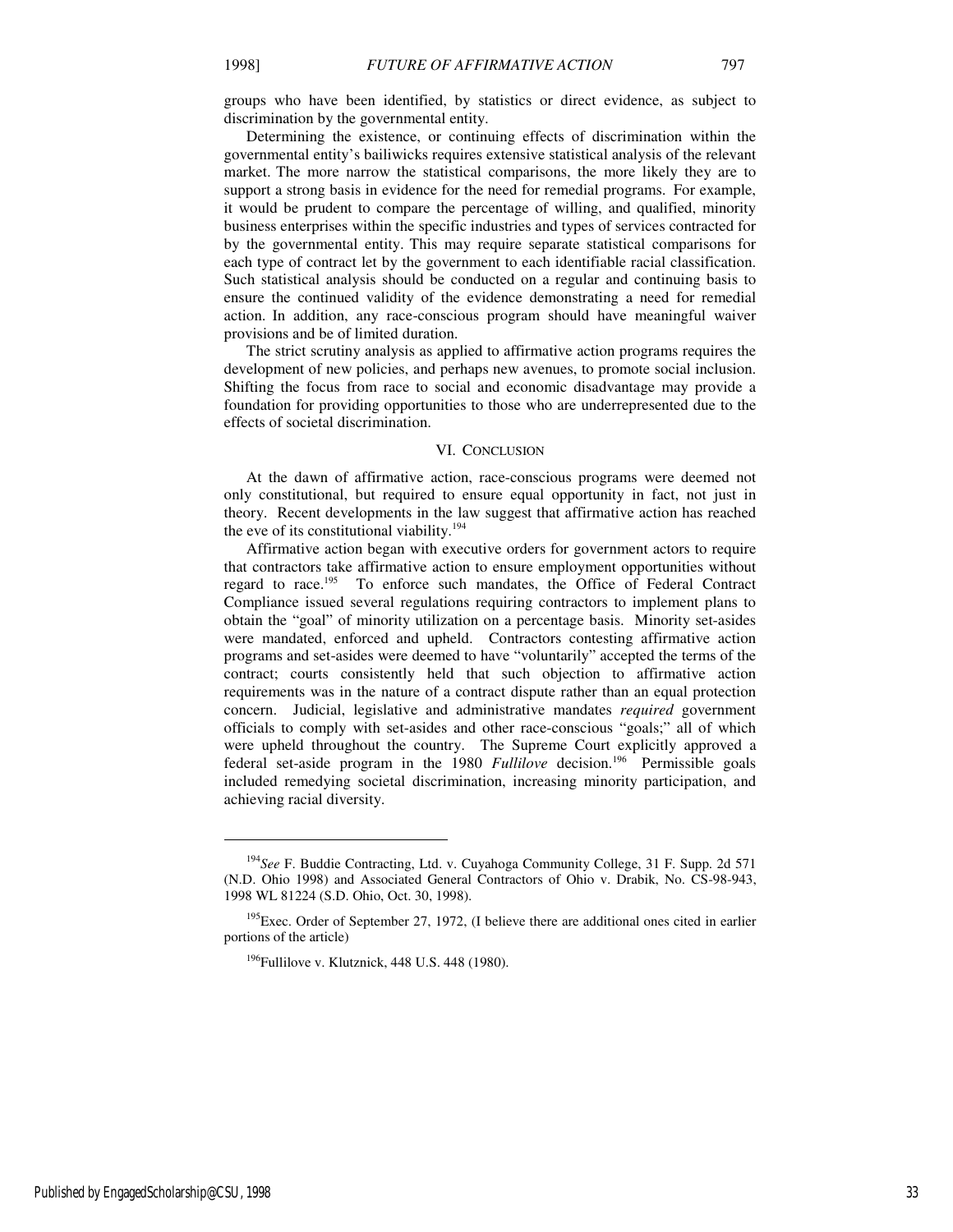groups who have been identified, by statistics or direct evidence, as subject to discrimination by the governmental entity.

Determining the existence, or continuing effects of discrimination within the governmental entity's bailiwicks requires extensive statistical analysis of the relevant market. The more narrow the statistical comparisons, the more likely they are to support a strong basis in evidence for the need for remedial programs. For example, it would be prudent to compare the percentage of willing, and qualified, minority business enterprises within the specific industries and types of services contracted for by the governmental entity. This may require separate statistical comparisons for each type of contract let by the government to each identifiable racial classification. Such statistical analysis should be conducted on a regular and continuing basis to ensure the continued validity of the evidence demonstrating a need for remedial action. In addition, any race-conscious program should have meaningful waiver provisions and be of limited duration.

The strict scrutiny analysis as applied to affirmative action programs requires the development of new policies, and perhaps new avenues, to promote social inclusion. Shifting the focus from race to social and economic disadvantage may provide a foundation for providing opportunities to those who are underrepresented due to the effects of societal discrimination.

#### VI. CONCLUSION

At the dawn of affirmative action, race-conscious programs were deemed not only constitutional, but required to ensure equal opportunity in fact, not just in theory. Recent developments in the law suggest that affirmative action has reached the eve of its constitutional viability.<sup>194</sup>

Affirmative action began with executive orders for government actors to require that contractors take affirmative action to ensure employment opportunities without regard to race.<sup>195</sup> To enforce such mandates, the Office of Federal Contract Compliance issued several regulations requiring contractors to implement plans to obtain the "goal" of minority utilization on a percentage basis. Minority set-asides were mandated, enforced and upheld. Contractors contesting affirmative action programs and set-asides were deemed to have "voluntarily" accepted the terms of the contract; courts consistently held that such objection to affirmative action requirements was in the nature of a contract dispute rather than an equal protection concern. Judicial, legislative and administrative mandates *required* government officials to comply with set-asides and other race-conscious "goals;" all of which were upheld throughout the country. The Supreme Court explicitly approved a federal set-aside program in the 1980 *Fullilove* decision.<sup>196</sup> Permissible goals included remedying societal discrimination, increasing minority participation, and achieving racial diversity.

j

<sup>194</sup>*See* F. Buddie Contracting, Ltd. v. Cuyahoga Community College, 31 F. Supp. 2d 571 (N.D. Ohio 1998) and Associated General Contractors of Ohio v. Drabik, No. CS-98-943, 1998 WL 81224 (S.D. Ohio, Oct. 30, 1998).

 $195E$ <sub>25</sub> Exec. Order of September 27, 1972, (I believe there are additional ones cited in earlier portions of the article)

 $196$ Fullilove v. Klutznick, 448 U.S. 448 (1980).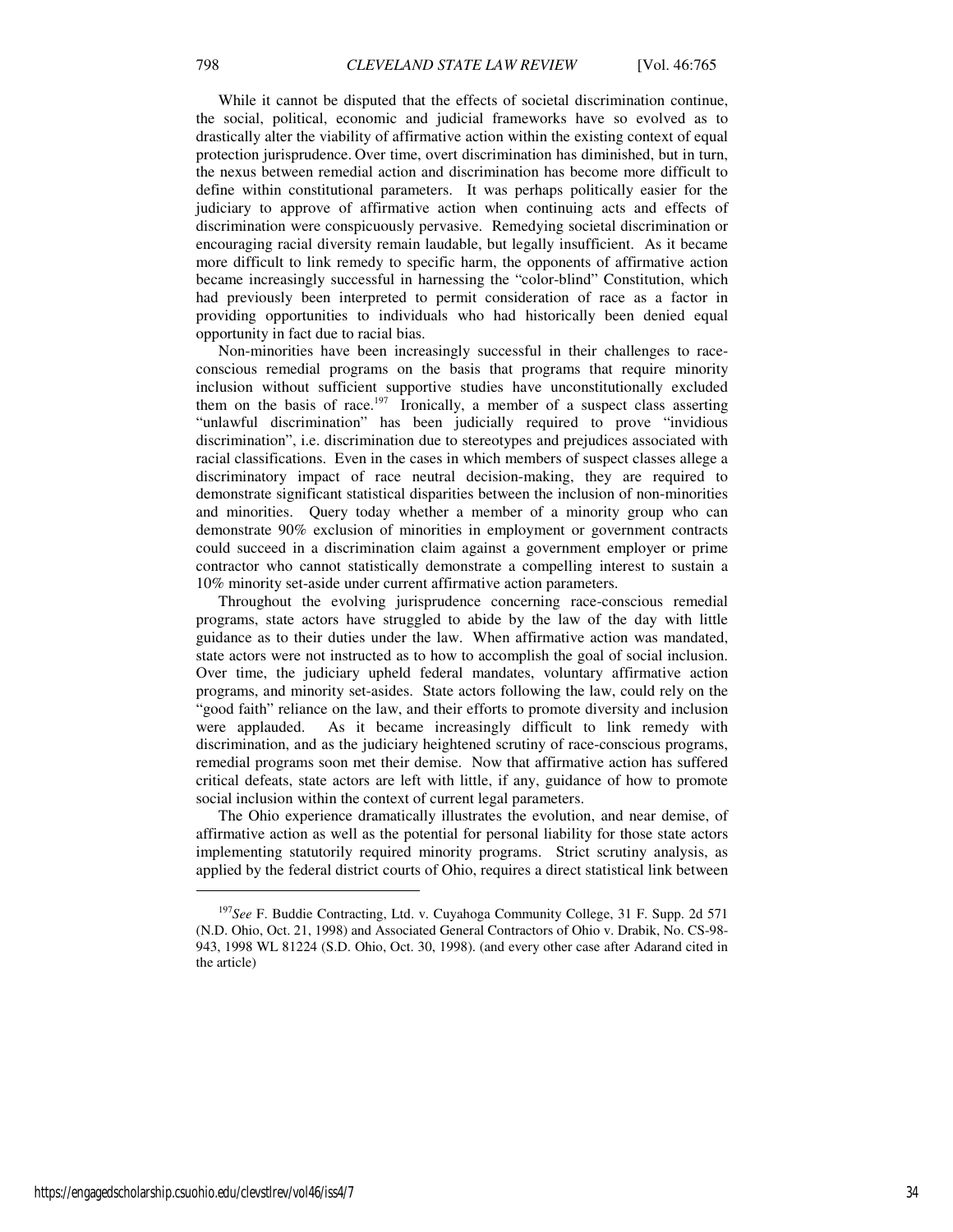While it cannot be disputed that the effects of societal discrimination continue, the social, political, economic and judicial frameworks have so evolved as to drastically alter the viability of affirmative action within the existing context of equal protection jurisprudence. Over time, overt discrimination has diminished, but in turn, the nexus between remedial action and discrimination has become more difficult to define within constitutional parameters. It was perhaps politically easier for the judiciary to approve of affirmative action when continuing acts and effects of discrimination were conspicuously pervasive. Remedying societal discrimination or encouraging racial diversity remain laudable, but legally insufficient. As it became more difficult to link remedy to specific harm, the opponents of affirmative action became increasingly successful in harnessing the "color-blind" Constitution, which had previously been interpreted to permit consideration of race as a factor in providing opportunities to individuals who had historically been denied equal opportunity in fact due to racial bias.

Non-minorities have been increasingly successful in their challenges to raceconscious remedial programs on the basis that programs that require minority inclusion without sufficient supportive studies have unconstitutionally excluded them on the basis of race.<sup>197</sup> Ironically, a member of a suspect class asserting "unlawful discrimination" has been judicially required to prove "invidious discrimination", i.e. discrimination due to stereotypes and prejudices associated with racial classifications. Even in the cases in which members of suspect classes allege a discriminatory impact of race neutral decision-making, they are required to demonstrate significant statistical disparities between the inclusion of non-minorities and minorities. Query today whether a member of a minority group who can demonstrate 90% exclusion of minorities in employment or government contracts could succeed in a discrimination claim against a government employer or prime contractor who cannot statistically demonstrate a compelling interest to sustain a 10% minority set-aside under current affirmative action parameters.

Throughout the evolving jurisprudence concerning race-conscious remedial programs, state actors have struggled to abide by the law of the day with little guidance as to their duties under the law. When affirmative action was mandated, state actors were not instructed as to how to accomplish the goal of social inclusion. Over time, the judiciary upheld federal mandates, voluntary affirmative action programs, and minority set-asides. State actors following the law, could rely on the "good faith" reliance on the law, and their efforts to promote diversity and inclusion were applauded. As it became increasingly difficult to link remedy with discrimination, and as the judiciary heightened scrutiny of race-conscious programs, remedial programs soon met their demise. Now that affirmative action has suffered critical defeats, state actors are left with little, if any, guidance of how to promote social inclusion within the context of current legal parameters.

The Ohio experience dramatically illustrates the evolution, and near demise, of affirmative action as well as the potential for personal liability for those state actors implementing statutorily required minority programs. Strict scrutiny analysis, as applied by the federal district courts of Ohio, requires a direct statistical link between

<sup>197</sup>*See* F. Buddie Contracting, Ltd. v. Cuyahoga Community College, 31 F. Supp. 2d 571 (N.D. Ohio, Oct. 21, 1998) and Associated General Contractors of Ohio v. Drabik, No. CS-98- 943, 1998 WL 81224 (S.D. Ohio, Oct. 30, 1998). (and every other case after Adarand cited in the article)